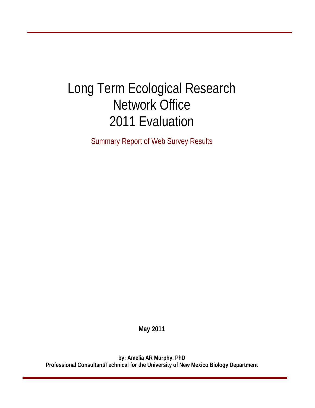# Long Term Ecological Research Network Office 2011 Evaluation

Summary Report of Web Survey Results

**May 2011** 

**by: Amelia AR Murphy, PhD Professional Consultant/Technical for the University of New Mexico Biology Department**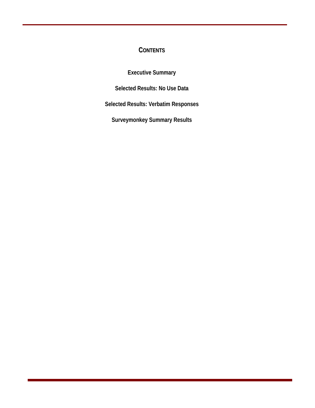# **CONTENTS**

**Executive Summary**

**Selected Results: No Use Data**

**Selected Results: Verbatim Responses**

**Surveymonkey Summary Results**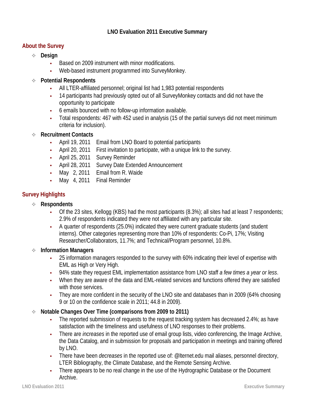# **LNO Evaluation 2011 Executive Summary**

# **About the Survey**

- **Design** 
	- **•** Based on 2009 instrument with minor modifications.
	- **•** Web-based instrument programmed into SurveyMonkey.
- **Potential Respondents** 
	- **•** All LTER-affiliated personnel; original list had 1,983 potential respondents
	- **•** 14 participants had previously opted out of all SurveyMonkey contacts and did not have the opportunity to participate
	- **•** 6 emails bounced with no follow-up information available.
	- **•** Total respondents: 467 with 452 used in analysis (15 of the partial surveys did not meet minimum criteria for inclusion).
- **Recruitment Contacts** 
	- **•** April 19, 2011 Email from LNO Board to potential participants
	- **•** April 20, 2011 First invitation to participate, with a unique link to the survey.
	- **•** April 25, 2011 Survey Reminder
	- **•** April 28, 2011 Survey Date Extended Announcement
	- **•** May 2, 2011 Email from R. Waide
	- **•** May 4, 2011 Final Reminder

# **Survey Highlights**

- **Respondents** 
	- **•** Of the 23 sites, Kellogg (KBS) had the most participants (8.3%); all sites had at least 7 respondents; 2.9% of respondents indicated they were not affiliated with any particular site.
	- **•** A quarter of respondents (25.0%) indicated they were current graduate students (and student interns). Other categories representing more than 10% of respondents: Co-Pi, 17%; Visiting Researcher/Collaborators, 11.7%; and Technical/Program personnel, 10.8%.

# **Information Managers**

- **•** 25 information managers responded to the survey with 60% indicating their level of expertise with EML as High or Very High.
- **•** 94% state they request EML implementation assistance from LNO staff *a few times a year or less*.
- **•** When they are aware of the data and EML-related services and functions offered they are satisfied with those services.
- **•** They are more confident in the security of the LNO site and databases than in 2009 (64% choosing 9 or 10 on the confidence scale in 2011; 44.8 in 2009).
- **Notable Changes Over Time (comparisons from 2009 to 2011)** 
	- The reported submission of requests to the request tracking system has decreased 2.4%; as have satisfaction with the timeliness and usefulness of LNO responses to their problems.
	- **•** There are *increases* in the reported use of email group lists, video conferencing, the Image Archive, the Data Catalog, and in submission for proposals and participation in meetings and training offered by LNO.
	- **•** There have been *decreases* in the reported use of: @lternet.edu mail aliases, personnel directory, LTER Bibliography, the Climate Database, and the Remote Sensing Archive.
	- **•** There appears to be no real change in the use of the Hydrographic Database or the Document Archive.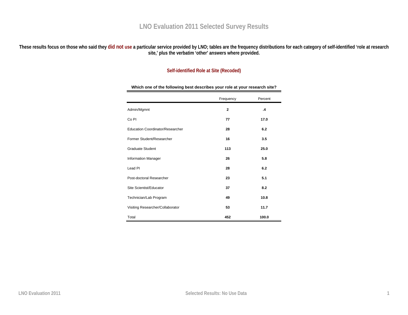# **LNO Evaluation 2011 Selected Survey Results**

**These results focus on those who said they did not use a particular service provided by LNO; tables are the frequency distributions for each category of self-identified 'role at research site,' plus the verbatim 'other' answers where provided.** 

# **Self-identified Role at Site (Recoded)**

|                                  | Frequency    | Percent       |
|----------------------------------|--------------|---------------|
| Admin/Mgmnt                      | $\mathbf{2}$ | $\mathbf{.4}$ |
| Co <sub>PI</sub>                 | 77           | 17.0          |
| Education Coordinator/Researcher | 28           | 6.2           |
| Former Student/Researcher        | 16           | 3.5           |
| <b>Graduate Student</b>          | 113          | 25.0          |
| <b>Information Manager</b>       | 26           | 5.8           |
| Lead PI                          | 28           | 6.2           |
| Post-doctoral Researcher         | 23           | 5.1           |
| Site Scientist/Educator          | 37           | 8.2           |
| Technician/Lab Program           | 49           | 10.8          |
| Visiting Researcher/Collaborator | 53           | 11.7          |
| Total                            | 452          | 100.0         |

**Which one of the following best describes your role at your research site?**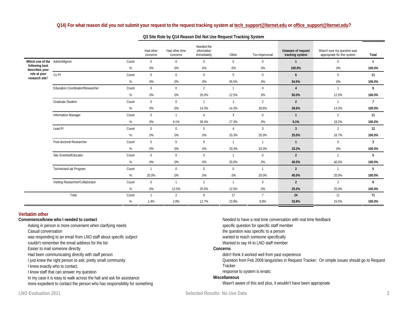#### **Q14) For what reason did you not submit your request to the request tracking system a[t](mailto:tech_support@lternet.edu) [tech\\_support@lternet.edu](mailto:tech_support@lternet.edu) or [office\\_support@lternet.edu](mailto:office_support@lternet.edu)?**

|                                  |                                  |       | Had other<br>concerns | Had other time<br>concerns | Needed the<br>information<br>immediately | Other          | Too impersonal | Unaware of request<br>tracking system | Wasn't sure my question was<br>appropriate for this system | Total          |
|----------------------------------|----------------------------------|-------|-----------------------|----------------------------|------------------------------------------|----------------|----------------|---------------------------------------|------------------------------------------------------------|----------------|
| Which one of the Admin/Mgmnt     |                                  | Count | $\mathbf{0}$          | $\mathbf{0}$               | $\mathbf{0}$                             | $\mathbf{0}$   | $\mathbf 0$    | $\mathbf{1}$                          | 0                                                          | $\mathbf{1}$   |
| following best<br>describes your |                                  | %     | .0%                   | .0%                        | .0%                                      | .0%            | .0%            | 100.0%                                | .0%                                                        | 100.0%         |
| role at your<br>research site?   | Co <sub>PI</sub>                 | Count | $\mathbf 0$           | $\mathbf{0}$               | $\mathbf{0}$                             | 5              | $\mathbf 0$    | 6                                     | $\mathbf{0}$                                               | 11             |
|                                  |                                  | %     | .0%                   | .0%                        | .0%                                      | 45.5%          | .0%            | 54.5%                                 | .0%                                                        | 100.0%         |
|                                  | Education Coordinator/Researcher | Count | $\mathbf 0$           | $\mathbf{0}$               | $\overline{2}$                           | $\mathbf{1}$   | $\mathbf 0$    | $\overline{4}$                        | $\mathbf{1}$                                               | 8              |
|                                  |                                  | %     | .0%                   | .0%                        | 25.0%                                    | 12.5%          | .0%            | 50.0%                                 | 12.5%                                                      | 100.0%         |
|                                  | <b>Graduate Student</b>          | Count | $\mathbf 0$           | $\mathbf{0}$               | $\mathbf{1}$                             | $\mathbf{1}$   | $\overline{2}$ | $\overline{2}$                        | $\mathbf{1}$                                               | $\overline{7}$ |
|                                  |                                  | %     | .0%                   | .0%                        | 14.3%                                    | 14.3%          | 28.6%          | 28.6%                                 | 14.3%                                                      | 100.0%         |
|                                  | <b>Information Manager</b>       | Count | $\mathbf 0$           | $\mathbf{1}$               | 4                                        | $\mathbf{3}$   | $\mathbf{0}$   | $\mathbf{1}$                          | $\overline{2}$                                             | 11             |
|                                  |                                  | %     | .0%                   | 9.1%                       | 36.4%                                    | 27.3%          | .0%            | 9.1%                                  | 18.2%                                                      | 100.0%         |
|                                  | Lead PI                          | Count | $\mathbf 0$           | $\mathbf{0}$               | $\mathbf{0}$                             | $\overline{4}$ | $\overline{3}$ | $\mathbf{3}$                          | $\overline{2}$                                             | 12             |
|                                  |                                  | %     | .0%                   | .0%                        | .0%                                      | 33.3%          | 25.0%          | 25.0%                                 | 16.7%                                                      | 100.0%         |
|                                  | Post-doctoral Researcher         | Count | $\mathbf 0$           | $\mathbf{0}$               | $\mathbf{0}$                             | $\mathbf{1}$   | $\overline{1}$ | $\mathbf{1}$                          | $\mathbf{0}$                                               | 3              |
|                                  |                                  | %     | .0%                   | .0%                        | .0%                                      | 33.3%          | 33.3%          | 33.3%                                 | .0%                                                        | 100.0%         |
|                                  | Site Scientist/Educator          | Count | $\mathbf 0$           | $\mathbf{0}$               | $\mathbf{0}$                             | $\mathbf{1}$   | $\mathbf 0$    | $\overline{2}$                        | $\overline{2}$                                             | 5              |
|                                  |                                  | %     | .0%                   | $.0\%$                     | .0%                                      | 20.0%          | .0%            | 40.0%                                 | 40.0%                                                      | 100.0%         |
|                                  | Technician/Lab Program           | Count | $\overline{1}$        | $\mathbf{0}$               | $\mathbf{0}$                             | $\mathbf{0}$   | $\overline{1}$ | $\overline{2}$                        | $\mathbf{1}$                                               | 5              |
|                                  |                                  | %     | 20.0%                 | $.0\%$                     | $.0\%$                                   | $.0\%$         | 20.0%          | 40.0%                                 | 20.0%                                                      | 100.0%         |
|                                  | Visiting Researcher/Collaborator | Count | $\mathbf 0$           | $\mathbf{1}$               | $\overline{2}$                           | $\mathbf{1}$   | $\mathbf 0$    | $\overline{2}$                        | 2                                                          | 8              |
|                                  |                                  | %     | .0%                   | 12.5%                      | 25.0%                                    | 12.5%          | .0%            | 25.0%                                 | 25.0%                                                      | 100.0%         |
|                                  | Total                            | Count | $\mathbf{1}$          | $\overline{2}$             | 9                                        | 17             | $\overline{7}$ | 24                                    | 11                                                         | 71             |
|                                  |                                  | %     | 1.4%                  | 2.8%                       | 12.7%                                    | 23.9%          | 9.9%           | 33.8%                                 | 15.5%                                                      | 100.0%         |

#### **Q3 Site Role by Q14 Reason Did Not Use Request Tracking System**

#### **Verbatim other**

#### **Convenience/knew who I needed to contact**

Asking in person is more convenient when clarifying needs

Casual conversation

was responding to an email from LNO staff about *specific subject*

couldn't remember the email address for the list

Easier to mail someone directly

Had been communicating directly with staff person

I just knew the right person to ask; pretty small community

I knew exactly who to contact.

I know staff that can answer my question

In my case it is easy to walk across the hall and ask for assistance

more expedient to contact the person who has responsibility for something

Needed to have a real time conversation with real time feedback specific question for specific staff member the question was specific to a person wanted to reach someone specifically Wanted to say Hi to LNO staff member **Concerns** didn't think it worked well from past experience Question from Feb 2009 languishes in Request Tracker; On simple issues should go to Request Tracker

response to system is erratic

#### **Miscellaneous**

Wasn't aware of this and plus, it wouldn't have been appropriate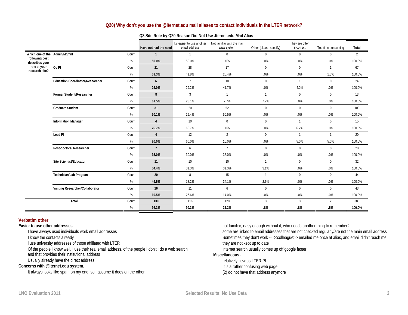### **Q20) Why don't you use the @lternet.edu mail aliases to contact individuals in the LTER network?**

|                                  |                                         |       | Have not had the need | It's easier to use another<br>email address | Not familiar with the mail<br>alias system | Other (please specify) | They are often<br>incorrect | Too time consuming | Total          |
|----------------------------------|-----------------------------------------|-------|-----------------------|---------------------------------------------|--------------------------------------------|------------------------|-----------------------------|--------------------|----------------|
| Which one of the Admin/Mgmnt     |                                         | Count | $\overline{1}$        |                                             | $\mathbf{0}$                               | $\mathbf{0}$           | $\mathbf{0}$                | $\mathbf{0}$       | $\overline{2}$ |
| following best<br>describes your |                                         | %     | 50.0%                 | 50.0%                                       | .0%                                        | .0%                    | .0%                         | $.0\%$             | 100.0%         |
| role at your<br>research site?   | Co <sub>PI</sub>                        | Count | 21                    | 28                                          | 17                                         | $\mathbf{0}$           | $\mathbf{0}$                | $\mathbf{1}$       | 67             |
|                                  |                                         | %     | 31.3%                 | 41.8%                                       | 25.4%                                      | .0%                    | .0%                         | 1.5%               | 100.0%         |
|                                  | <b>Education Coordinator/Researcher</b> | Count | $6\overline{6}$       | $7\overline{ }$                             | 10                                         | $\mathbf{0}$           | $\overline{1}$              | $\mathbf 0$        | 24             |
|                                  |                                         | %     | 25.0%                 | 29.2%                                       | 41.7%                                      | .0%                    | 4.2%                        | $.0\%$             | 100.0%         |
|                                  | Former Student/Researcher               | Count | 8                     | 3                                           | $\mathbf{1}$                               | $\mathbf{1}$           | $\mathbf{0}$                | $\mathbf{0}$       | 13             |
|                                  |                                         | $\%$  | 61.5%                 | 23.1%                                       | 7.7%                                       | 7.7%                   | $.0\%$                      | $.0\%$             | 100.0%         |
|                                  | <b>Graduate Student</b>                 | Count | 31                    | 20                                          | 52                                         | $\mathbf 0$            | $\mathbf{0}$                | $\mathbf 0$        | 103            |
|                                  |                                         | %     | 30.1%                 | 19.4%                                       | 50.5%                                      | .0%                    | .0%                         | .0%                | 100.0%         |
|                                  | <b>Information Manager</b>              | Count | $\overline{4}$        | 10                                          | $\mathbf{0}$                               | $\mathbf{0}$           | $\overline{1}$              | $\mathbf 0$        | 15             |
|                                  |                                         | %     | 26.7%                 | 66.7%                                       | .0%                                        | .0%                    | 6.7%                        | .0%                | 100.0%         |
|                                  | Lead PI                                 | Count | $\overline{4}$        | 12                                          | $\overline{2}$                             | $\mathbf{0}$           | $\overline{1}$              | $\mathbf{1}$       | 20             |
|                                  |                                         | $\%$  | 20.0%                 | 60.0%                                       | 10.0%                                      | .0%                    | 5.0%                        | 5.0%               | 100.0%         |
|                                  | Post-doctoral Researcher                | Count | $\overline{7}$        | 6                                           | $\overline{7}$                             | $\mathbf{0}$           | $\mathbf{0}$                | $\mathbf 0$        | 20             |
|                                  |                                         | %     | 35.0%                 | 30.0%                                       | 35.0%                                      | .0%                    | .0%                         | .0%                | 100.0%         |
|                                  | Site Scientist/Educator                 | Count | 11                    | 10                                          | 10                                         | $\mathbf{1}$           | $\mathbf{0}$                | $\mathbf{0}$       | 32             |
|                                  |                                         | $\%$  | 34.4%                 | 31.3%                                       | 31.3%                                      | 3.1%                   | $.0\%$                      | $.0\%$             | 100.0%         |
|                                  | Technician/Lab Program                  | Count | 20                    | 8                                           | 15                                         | $\mathbf{1}$           | $\mathbf{0}$                | $\mathbf{0}$       | 44             |
|                                  |                                         | $\%$  | 45.5%                 | 18.2%                                       | 34.1%                                      | 2.3%                   | .0%                         | .0%                | 100.0%         |
|                                  | Visiting Researcher/Collaborator        | Count | 26                    | 11                                          | 6                                          | $\mathbf{0}$           | $\mathbf{0}$                | $\mathbf{0}$       | 43             |
|                                  |                                         | %     | 60.5%                 | 25.6%                                       | 14.0%                                      | $.0\%$                 | .0%                         | $.0\%$             | 100.0%         |
|                                  | Total                                   | Count | 139                   | 116                                         | 120                                        | $\mathbf{3}$           | $\overline{3}$              | $\overline{2}$     | 383            |
|                                  |                                         | %     | 36.3%                 | 30.3%                                       | 31.3%                                      | .8%                    | $.8\%$                      | .5%                | 100.0%         |

#### **Q3 Site Role by Q20 Reason Did Not Use .lternet.edu Mail Alias**

#### **Verbatim other**

### **Easier to use other addresses**

I have always used individuals work email addresses

I know the contacts already

i use university addresses of those affiliated with LTER

Of the people I know well, I use their real email address, of the people I don't I do a web search

and that provides their institutional address

Usually already have the direct address

#### **Concerns with @lternet.edu system.**

It always looks like spam on my end, so I assume it does on the other.

not familiar, easy enough without it, who needs another thing to remember?

some are linked to email addresses that are not checked regularly/are not the main email address Sometimes they don't work -- << colleague >> emailed me once at alias, and email didn't reach me they are not kept up to date

internet search usually comes up off google faster

#### **Miscellaneous .**

relatively new as LTER PI It is a rather confusing web page (2) do not have that address anymore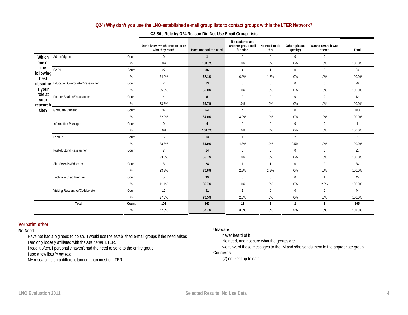### **Q24) Why don't you use the LNO-established e-mail group lists to contact groups within the LTER Network?**

|                   |                                           |       | Don't know which ones exist or<br>who they reach | Have not had the need | It's easier to use<br>another group mail<br>function | No need to do<br>this | Other (please<br>specify) | Wasn't aware it was<br>offered | Total          |
|-------------------|-------------------------------------------|-------|--------------------------------------------------|-----------------------|------------------------------------------------------|-----------------------|---------------------------|--------------------------------|----------------|
| Which             | Admin/Mgmnt                               | Count | 0                                                | $\mathbf{1}$          | $\mathbf{0}$                                         | $\mathbf 0$           | $\mathbf 0$               | $\mathbf{0}$                   | $\mathbf{1}$   |
| one of            |                                           | %     | .0%                                              | 100.0%                | .0%                                                  | .0%                   | $.0\%$                    | .0%                            | 100.0%         |
| the               | Co <sub>PI</sub>                          | Count | 22                                               | 36                    | $\overline{4}$                                       | $\mathbf{1}$          | $\mathbf{0}$              | $\mathbf{0}$                   | 63             |
| following<br>best |                                           | %     | 34.9%                                            | 57.1%                 | 6.3%                                                 | 1.6%                  | $.0\%$                    | .0%                            | 100.0%         |
|                   | describe Education Coordinator/Researcher | Count | $\overline{7}$                                   | 13                    | $\mathbf{0}$                                         | $\mathbf{0}$          | $\mathbf{0}$              | $\mathbf{0}$                   | 20             |
| s your            |                                           | %     | 35.0%                                            | 65.0%                 | .0%                                                  | $.0\%$                | $.0\%$                    | .0%                            | 100.0%         |
| role at<br>your   | Former Student/Researcher                 | Count | $\overline{4}$                                   | 8                     | $\mathbf{0}$                                         | $\mathbf{0}$          | $\mathbf{0}$              | $\mathbf{0}$                   | 12             |
| research          |                                           | %     | 33.3%                                            | 66.7%                 | .0%                                                  | .0%                   | .0%                       | .0%                            | 100.0%         |
| site?             | <b>Graduate Student</b>                   | Count | 32                                               | 64                    | $\overline{4}$                                       | $\mathbf{0}$          | $\mathbf{0}$              | $\mathbf{0}$                   | 100            |
|                   |                                           | %     | 32.0%                                            | 64.0%                 | 4.0%                                                 | $.0\%$                | $.0\%$                    | .0%                            | 100.0%         |
|                   | Information Manager                       | Count | $\mathbf 0$                                      | $\overline{4}$        | $\mathbf{0}$                                         | $\mathbf 0$           | $\mathbf{0}$              | $\mathbf 0$                    | $\overline{4}$ |
|                   |                                           | %     | .0%                                              | 100.0%                | $.0\%$                                               | $.0\%$                | $.0\%$                    | $.0\%$                         | 100.0%         |
|                   | Lead PI                                   | Count | 5                                                | 13                    | $\overline{1}$                                       | $\mathbf{0}$          | $\overline{2}$            | $\mathbf{0}$                   | 21             |
|                   |                                           | %     | 23.8%                                            | 61.9%                 | 4.8%                                                 | $.0\%$                | 9.5%                      | .0%                            | 100.0%         |
|                   | Post-doctoral Researcher                  | Count | $\overline{7}$                                   | 14                    | $\mathbf{0}$                                         | $\mathbf{0}$          | $\mathbf{0}$              | $\mathbf{0}$                   | 21             |
|                   |                                           |       | 33.3%                                            | 66.7%                 | $.0\%$                                               | $.0\%$                | $.0\%$                    | $.0\%$                         | 100.0%         |
|                   | Site Scientist/Educator                   | Count | 8                                                | 24                    | $\overline{1}$                                       | $\mathbf{1}$          | $\mathbf{0}$              | $\mathbf{0}$                   | 34             |
|                   |                                           | %     | 23.5%                                            | 70.6%                 | 2.9%                                                 | 2.9%                  | $.0\%$                    | .0%                            | 100.0%         |
|                   | Technician/Lab Program                    | Count | 5                                                | 39                    | $\mathbf{0}$                                         | $\mathbf 0$           | $\mathbf 0$               | $\overline{1}$                 | 45             |
|                   |                                           | %     | 11.1%                                            | 86.7%                 | $.0\%$                                               | $.0\%$                | $.0\%$                    | 2.2%                           | 100.0%         |
|                   | Visiting Researcher/Collaborator          | Count | 12                                               | 31                    | $\mathbf{1}$                                         | $\mathbf{0}$          | $\mathbf{0}$              | $\mathbf{0}$                   | 44             |
|                   |                                           | %     | 27.3%                                            | 70.5%                 | 2.3%                                                 | $.0\%$                | $.0\%$                    | .0%                            | 100.0%         |
|                   | Total                                     | Count | 102                                              | 247                   | 11                                                   | $\overline{2}$        | $\overline{2}$            | $\mathbf{1}$                   | 365            |
|                   |                                           | %     | 27.9%                                            | 67.7%                 | 3.0%                                                 | .5%                   | .5%                       | .3%                            | 100.0%         |

#### **Q3 Site Role by Q24 Reason Did Not Use Email Group Lists**

### **Verbatim other**

#### **No Need**

Have not had a big need to do so. I would use the established e-mail groups if the need arises I am only loosely affiliated with the *site name* LTER.

I read it often, I personally haven't had the need to send to the entire group

I use a few lists *in my role*.

My research is on a different tangent than most of LTER

#### **Unaware**

never heard of it No need, and not sure what the groups are we forward these messages to the IM and s/he sends them to the appropriate group

#### **Concerns**

(2) not kept up to date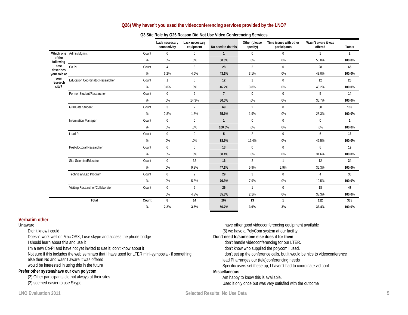### **Q26) Why haven't you used the videoconferencing services provided by the LNO?**

|                     |                                  |       | Lack necessary<br>connectivity | Lack necessary<br>equipment | No need to do this | Other (please<br>specify) | Time issues with other<br>participants | Wasn't aware it was<br>offered | Totals         |
|---------------------|----------------------------------|-------|--------------------------------|-----------------------------|--------------------|---------------------------|----------------------------------------|--------------------------------|----------------|
|                     | Which one Admin/Mgmnt            | Count | $\mathbf{0}$                   | $\mathbf{0}$                | $\overline{1}$     | $\mathbf{0}$              | $\mathbf{0}$                           | $\mathbf{1}$                   | 2              |
| of the<br>following |                                  | %     | $.0\%$                         | .0%                         | 50.0%              | $.0\%$                    | .0%                                    | 50.0%                          | 100.0%         |
| best<br>describes   | Co <sub>PI</sub>                 | Count | $\overline{4}$                 | $\overline{3}$              | 28                 | $\overline{2}$            | $\mathbf 0$                            | 28                             | 65             |
| your role at        |                                  | %     | 6.2%                           | 4.6%                        | 43.1%              | 3.1%                      | $.0\%$                                 | 43.0%                          | 100.0%         |
| your<br>research    | Education Coordinator/Researcher | Count | $\overline{1}$                 | $\mathbf{0}$                | 12                 | $\mathbf{1}$              | $\mathbf 0$                            | 12                             | 26             |
| site?               |                                  | %     | 3.8%                           | $.0\%$                      | 46.2%              | 3.8%                      | $.0\%$                                 | 46.2%                          | 100.0%         |
|                     | Former Student/Researcher        | Count | $\mathbf{0}$                   | $\overline{2}$              | $7^{\circ}$        | $\mathbf{0}$              | $\mathbf{0}$                           | 5                              | 14             |
|                     |                                  | %     | .0%                            | 14.3%                       | 50.0%              | $.0\%$                    | .0%                                    | 35.7%                          | 100.0%         |
|                     | <b>Graduate Student</b>          | Count | $\overline{3}$                 | $\mathfrak{D}$              | 69                 | $\mathfrak{D}$            | $\Omega$                               | 30 <sup>°</sup>                | 106            |
|                     |                                  | %     | 2.8%                           | 1.8%                        | 65.1%              | 1.9%                      | .0%                                    | 28.3%                          | 100.0%         |
|                     | <b>Information Manager</b>       | Count | $\mathbf{0}$                   | $\mathbf{0}$                | $\mathbf{1}$       | $\mathbf{0}$              | $\mathbf 0$                            | $\mathbf{0}$                   | $\overline{1}$ |
|                     |                                  | %     | .0%                            | $.0\%$                      | 100.0%             | $.0\%$                    | $.0\%$                                 | .0%                            | 100.0%         |
|                     | Lead PI                          | Count | $\mathbf{0}$                   | $\Omega$                    | 5                  | $\mathfrak{D}$            | $\mathbf{0}$                           | 6                              | 13             |
|                     |                                  | %     | .0%                            | .0%                         | 38.5%              | 15.4%                     | .0%                                    | 46.5%                          | 100.0%         |
|                     | Post-doctoral Researcher         | Count | $\mathbf{0}$                   | $\mathbf{0}$                | 13                 | $\mathbf{0}$              | $\mathbf 0$                            | 6                              | 19             |
|                     |                                  | %     | .0%                            | $.0\%$                      | 68.4%              | $.0\%$                    | $.0\%$                                 | 31.6%                          | 100.0%         |
|                     | Site Scientist/Educator          | Count | $\mathbf{0}$                   | 32                          | 16                 | $\overline{2}$            | $\overline{1}$                         | 12                             | 34             |
|                     |                                  | %     | $.0\%$                         | 9.8%                        | 47.1%              | 5.9%                      | 2.9%                                   | 35.3%                          | 100.0%         |
|                     | Technician/Lab Program           | Count | $\mathbf{0}$                   | $\overline{2}$              | 29                 | 3                         | $\Omega$                               | $\overline{4}$                 | 38             |
|                     |                                  | %     | $.0\%$                         | 5.3%                        | 76.3%              | 7.9%                      | $.0\%$                                 | 10.5%                          | 100.0%         |
|                     | Visiting Researcher/Collaborator | Count | $\mathbf{0}$                   | $\overline{2}$              | 26                 | $\mathbf{1}$              | $\mathbf{0}$                           | 18                             | 47             |
|                     |                                  |       | .0%                            | 4.3%                        | 55.3%              | 2.1%                      | $.0\%$                                 | 38.3%                          | 100.0%         |
|                     | Total                            | Count | 8                              | 14                          | 207                | 13                        | $\mathbf{1}$                           | 122                            | 365            |
|                     |                                  | %     | 2.2%                           | 3.8%                        | 56.7%              | 3.6%                      | .3%                                    | 33.4%                          | 100.0%         |

#### **Q3 Site Role by Q26 Reason Did Not Use Video Conferencing Services**

#### **Verbatim other**

#### **Unaware**

Didn't know i could

Doesn't work well on Mac OSX, I use skype and access the phone bridge

I should learn about this and use it

I'm a new Co-PI and have not yet invited to use it; don't know about it

Not sure if this includes the web seminars that I have used for LTER mini-symposia - if something else then No and wasn't aware it was offered

would be interested in using this in the future

#### **Prefer other system/have our own polycom**

(2) Other participants did not always at their sites (2) seemed easier to use Skype

I have other good videoconferencing equipment available (5) we have a PolyCom system at our facility **Don't need to/someone else does it for them** I don't handle videoconferencing for our LTER. I don't know who supplied the polycom I used. I don't set up the conference calls, but it would be nice to videoconference lead PI arranges our (tele)conferencing needs Specific users set these up, I haven't had to coordinate vid conf. **Miscellaneous** Am happy to know this is available. Used it only once but was very satisfied with the outcome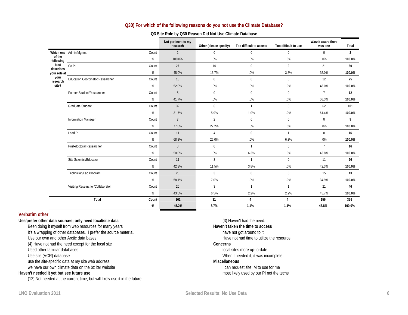### **Q30) For which of the following reasons do you not use the Climate Database?**

| Q3 Site Role by Q30 Reason Did Not Use Climate Database |  |
|---------------------------------------------------------|--|
|---------------------------------------------------------|--|

|                     |                                           | Not pertinent to my<br>research | Other (please specify) | Too difficult to access | Too difficult to use | Wasn't aware there<br>was one | Total          |
|---------------------|-------------------------------------------|---------------------------------|------------------------|-------------------------|----------------------|-------------------------------|----------------|
|                     | Which one Admin/Mgmnt<br>Count            | $\overline{2}$                  | $\mathbf{0}$           | $\mathbf{0}$            | $\mathbf{0}$         | $\mathbf{0}$                  | $\overline{2}$ |
| of the<br>following | %                                         | 100.0%                          | .0%                    | .0%                     | .0%                  | .0%                           | 100.0%         |
| best<br>describes   | Co <sub>PI</sub><br>Count                 | 27                              | 10                     | $\Omega$                | $\overline{2}$       | 21                            | 60             |
| your role at        | %                                         | 45.0%                           | 16.7%                  | .0%                     | 3.3%                 | 35.0%                         | 100.0%         |
| your<br>research    | Education Coordinator/Researcher<br>Count | 13                              | $\mathbf{0}$           | $\mathbf{0}$            | $\mathbf{0}$         | 12                            | 25             |
| site?               | $\%$                                      | 52.0%                           | $.0\%$                 | .0%                     | .0%                  | 48.0%                         | 100.0%         |
|                     | Former Student/Researcher<br>Count        | 5                               | $\mathbf{0}$           | $\mathbf{0}$            | $\mathbf{0}$         | $7^{\circ}$                   | 12             |
|                     | $\%$                                      | 41.7%                           | $.0\%$                 | .0%                     | .0%                  | 58.3%                         | 100.0%         |
|                     | Graduate Student<br>Count                 | 32                              | 6                      | $\overline{1}$          | $\mathbf{0}$         | 62                            | 101            |
|                     | %                                         | 31.7%                           | 5.9%                   | 1.0%                    | .0%                  | 61.4%                         | 100.0%         |
|                     | <b>Information Manager</b><br>Count       | $7^{\circ}$                     | $\overline{2}$         | $\mathbf 0$             | $\mathbf 0$          | $\mathbf 0$                   | 9              |
|                     | $\%$                                      | 77.8%                           | 22.2%                  | .0%                     | .0%                  | .0%                           | 100.0%         |
|                     | Lead PI<br>Count                          | 11                              | $\overline{4}$         | $\mathbf 0$             | $\mathbf{1}$         | $\mathbf 0$                   | 16             |
|                     | $\%$                                      | 68.8%                           | 25.0%                  | .0%                     | 6.3%                 | .0%                           | 100.0%         |
|                     | Post-doctoral Researcher<br>Count         | 8                               | $\mathbf 0$            | $\overline{1}$          | $\mathbf{0}$         | $7^{\circ}$                   | 16             |
|                     | $\%$                                      | 50.0%                           | .0%                    | 6.3%                    | .0%                  | 43.8%                         | 100.0%         |
|                     | Site Scientist/Educator<br>Count          | 11                              | 3                      | $\overline{1}$          | $\mathbf{0}$         | 11                            | 26             |
|                     | %                                         | 42.3%                           | 11.5%                  | 3.8%                    | .0%                  | 42.3%                         | 100.0%         |
|                     | Technician/Lab Program<br>Count           | 25                              | $\overline{3}$         | $\Omega$                | $\mathbf 0$          | 15                            | 43             |
|                     | %                                         | 58.1%                           | 7.0%                   | .0%                     | .0%                  | 34.9%                         | 100.0%         |
|                     | Visiting Researcher/Collaborator<br>Count | 20                              | 3                      | $\overline{1}$          | $\mathbf{1}$         | 21                            | 46             |
|                     | $\%$                                      | 43.5%                           | 6.5%                   | 2.2%                    | 2.2%                 | 45.7%                         | 100.0%         |
|                     | Total<br>Count                            | 161                             | 31                     | $\overline{4}$          | $\overline{4}$       | 156                           | 356            |
|                     | %                                         | 45.2%                           | 8.7%                   | 1.1%                    | 1.1%                 | 43.8%                         | 100.0%         |

#### **Verbatim other**

**Use/prefer other data sources; only need local/site data**  Been doing it myself from web resources for many years It's a wrapping of other databases. I prefer the source material. Use our own and other Arctic data bases (4) Have not had the need except for the local site Used other familiar databases Use site (VCR) database use the site-specific data at my site web address we have our own climate data on the bz lter website **Haven't needed it yet but see future use** 

(12) Not needed at the current time, but will likely use it in the future

(3) Haven't had the need. **Haven't taken the time to access**  have not got around to it Have not had time to utilize the resource **Concerns**  local sites more up-to-date When I needed it, it was incomplete. **Miscellaneous** I can request site IM to use for me most likely used by our PI not the techs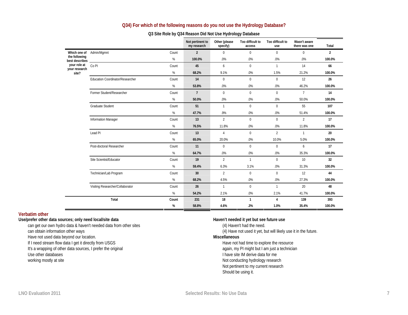|                                 |                                  |       | Not pertinent to<br>my research | Other (please<br>specify) | Too difficult to<br>access | Too difficult to<br>use | Wasn't aware<br>there was one | Total          |
|---------------------------------|----------------------------------|-------|---------------------------------|---------------------------|----------------------------|-------------------------|-------------------------------|----------------|
| Which one of                    | Admin/Mgmnt                      | Count | $\overline{2}$                  | $\mathbf 0$               | $\mathbf 0$                | $\Omega$                | $\mathbf{0}$                  | $\overline{2}$ |
| the following<br>best describes |                                  | %     | 100.0%                          | .0%                       | .0%                        | .0%                     | .0%                           | 100.0%         |
| your role at<br>your research   | Co <sub>PI</sub>                 | Count | 45                              | 6                         | $\mathbf 0$                | $\mathbf{1}$            | 14                            | 66             |
| site?                           |                                  | %     | 68.2%                           | 9.1%                      | .0%                        | 1.5%                    | 21.2%                         | 100.0%         |
|                                 | Education Coordinator/Researcher | Count | 14                              | $\Omega$                  | $\mathbf 0$                | 0                       | 12                            | 26             |
|                                 |                                  | %     | 53.8%                           | .0%                       | .0%                        | .0%                     | 46.2%                         | 100.0%         |
|                                 | Former Student/Researcher        | Count | $\overline{7}$                  | $\Omega$                  | $\mathbf 0$                | $\Omega$                | $7^{\circ}$                   | 14             |
|                                 |                                  | %     | 50.0%                           | .0%                       | .0%                        | .0%                     | 50.0%                         | 100.0%         |
|                                 | <b>Graduate Student</b>          | Count | 51                              | $\mathbf{1}$              | $\mathbf 0$                | $\Omega$                | 55                            | 107            |
|                                 |                                  | %     | 47.7%                           | .9%                       | .0%                        | .0%                     | 51.4%                         | 100.0%         |
|                                 | Information Manager              | Count | 13                              | $\overline{2}$            | $\mathbf 0$                | $\mathbf{0}$            | $\overline{2}$                | 17             |
|                                 |                                  | %     | 76.5%                           | 11.8%                     | .0%                        | .0%                     | 11.8%                         | 100.0%         |
|                                 | Lead PI                          | Count | 13                              | $\overline{4}$            | $\mathbf 0$                | $\overline{2}$          | $\mathbf{1}$                  | 20             |
|                                 |                                  | %     | 65.0%                           | 20.0%                     | .0%                        | 10.0%                   | 5.0%                          | 100.0%         |
|                                 | Post-doctoral Researcher         | Count | 11                              | $\mathbf{0}$              | $\mathbf 0$                | $\mathbf{0}$            | 6                             | 17             |
|                                 |                                  | %     | 64.7%                           | .0%                       | .0%                        | .0%                     | 35.3%                         | 100.0%         |
|                                 | Site Scientist/Educator          | Count | 19                              | $\mathfrak{D}$            | $\mathbf{1}$               | $\Omega$                | 10                            | 32             |
|                                 |                                  | %     | 59.4%                           | 6.3%                      | 3.1%                       | .0%                     | 31.3%                         | 100.0%         |
|                                 | Technician/Lab Program           | Count | 30                              | $\overline{2}$            | $\Omega$                   | $\Omega$                | 12                            | 44             |
|                                 |                                  | $\%$  | 68.2%                           | 4.5%                      | .0%                        | .0%                     | 27.3%                         | 100.0%         |
|                                 | Visiting Researcher/Collaborator | Count | 26                              | $\mathbf{1}$              | $\mathbf 0$                | $\mathbf{1}$            | 20                            | 48             |
|                                 |                                  | $\%$  | 54.2%                           | 2.1%                      | .0%                        | 2.1%                    | 41.7%                         | 100.0%         |
|                                 | Total                            | Count | 231                             | 18                        | $\mathbf{1}$               | 4                       | 139                           | 393            |
|                                 |                                  | %     | 58.8%                           | 4.6%                      | .3%                        | 1.0%                    | 35.4%                         | 100.0%         |

### **Q34) For which of the following reasons do you not use the Hydrology Database?**

### **Q3 Site Role by Q34 Reason Did Not Use Hydrology Database**

#### **Verbatim other**

**Use/prefer other data sources; only need local/site data** 

can get our own hydro data & haven't needed data from other sites can obtain information other ways Have not used data beyond our location. If I need stream flow data I get it directly from USGS

It's a wrapping of other data sources, I prefer the original

Use other databases

working mostly at site

#### **Haven't needed it yet but see future use**

(4) Haven't had the need. (4) Have not used it yet, but will likely use it in the future. **Miscellaneous** Have not had time to explore the resource again, my PI might but I am just a technician I have site IM derive data for me Not conducting hydrology research Not pertinent to my current research Should be using it.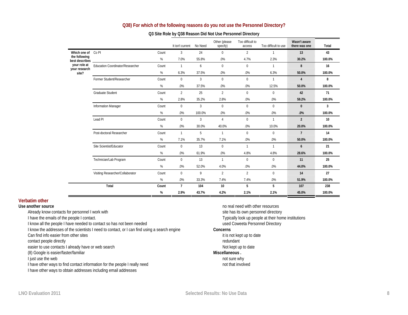### **Q38) For which of the following reasons do you not use the Personnel Directory?**

|                                 |                                         |       | It isn't current | No Need        | Other (please<br>specify) | Too difficult to<br>access | Too difficult to use | Wasn't aware<br>there was one | Total            |
|---------------------------------|-----------------------------------------|-------|------------------|----------------|---------------------------|----------------------------|----------------------|-------------------------------|------------------|
| Which one of Co PI              |                                         | Count | $\overline{3}$   | 24             | $\mathbf{0}$              | $\overline{2}$             | $\mathbf{1}$         | 13                            | 43               |
| the following<br>best describes |                                         | %     | 7.0%             | 55.8%          | .0%                       | 4.7%                       | 2.3%                 | 30.2%                         | 100.0%           |
| your role at<br>your research   | <b>Education Coordinator/Researcher</b> | Count | $\mathbf{1}$     | 6              | $\mathbf{0}$              | $\Omega$                   | $\mathbf{1}$         | 8                             | 16               |
| site?                           |                                         | %     | 6.3%             | 37.5%          | .0%                       | .0%                        | 6.3%                 | 50.0%                         | 100.0%           |
|                                 | Former Student/Researcher               | Count | $\Omega$         | $\overline{3}$ | $\mathbf{0}$              | $\Omega$                   | $\mathbf{1}$         | $\overline{4}$                | 8                |
|                                 |                                         | %     | .0%              | 37.5%          | .0%                       | .0%                        | 12.5%                | 50.0%                         | 100.0%           |
|                                 | <b>Graduate Student</b>                 | Count | $\overline{2}$   | 25             | 2                         | $\Omega$                   | $\Omega$             | 42                            | 71               |
|                                 |                                         | %     | 2.8%             | 35.2%          | 2.8%                      | .0%                        | .0%                  | 59.2%                         | 100.0%           |
|                                 | <b>Information Manager</b>              | Count | $\mathbf{0}$     | $\overline{3}$ | $\mathbf{0}$              | $\Omega$                   | $\mathbf{0}$         | $\mathbf{0}$                  | 3                |
|                                 |                                         | %     | .0%              | 100.0%         | .0%                       | .0%                        | .0%                  | .0%                           | 100.0%           |
|                                 | Lead PI                                 | Count | $\Omega$         | 3              | $\overline{4}$            | $\Omega$                   | $\mathbf{1}$         | $\overline{2}$                | 10 <sup>10</sup> |
|                                 |                                         | %     | .0%              | 30.0%          | 40.0%                     | .0%                        | 10.0%                | 20.0%                         | 100.0%           |
|                                 | Post-doctoral Researcher                | Count | $\mathbf{1}$     | 5              | $\mathbf{1}$              | $\Omega$                   | $\mathbf{0}$         | $\overline{7}$                | 14               |
|                                 |                                         | %     | 7.1%             | 35.7%          | 7.1%                      | .0%                        | .0%                  | 50.0%                         | 100.0%           |
|                                 | Site Scientist/Educator                 | Count | $\mathbf 0$      | 13             | $\mathbf{0}$              | $\mathbf{1}$               | $\mathbf{1}$         | 6                             | 21               |
|                                 |                                         | %     | .0%              | 61.9%          | .0%                       | 4.8%                       | 4.8%                 | 28.6%                         | 100.0%           |
|                                 | Technician/Lab Program                  | Count | $\Omega$         | 13             | $\mathbf{1}$              | $\Omega$                   | $\mathbf{0}$         | 11                            | 25               |
|                                 |                                         | %     | .0%              | 52.0%          | 4.0%                      | .0%                        | .0%                  | 44.0%                         | 100.0%           |
|                                 | Visiting Researcher/Collaborator        | Count | $\mathbf{0}$     | 9              | 2                         | $\overline{2}$             | $\mathbf{0}$         | 14                            | 27               |
|                                 |                                         | %     | .0%              | 33.3%          | 7.4%                      | 7.4%                       | .0%                  | 51.9%                         | 100.0%           |
|                                 | Total                                   | Count | $\overline{7}$   | 104            | 10                        | 5                          | 5                    | 107                           | 238              |
|                                 |                                         | $\%$  | 2.9%             | 43.7%          | 4.2%                      | 2.1%                       | 2.1%                 | 45.0%                         | 100.0%           |

### **Q3 Site Role by Q38 Reason Did Not Use Personnel Directory**

#### **Verbatim other**

**Use another source** 

Already know contacts for personnel I work with

I have the emails of the people I contact.

I know all the people I have needed to contact so has not been needed

I know the addresses of the scientists I need to contact, or I can find using a search engine

Can find info easier from other sites

contact people directly

easier to use contacts I already have or web search

(8) Google is easier/faster/familiar

I just use the web

I have other ways to find contact information for the people I really need

I have other ways to obtain addresses including email addresses

no real need with other resources site has its own personnel directory Typically look up people at their home institutions used Coweeta Personnel Directory

#### **Concerns**

it is not kept up to date redundant Not kept up to date **Miscellaneous .** not sure why

not that involved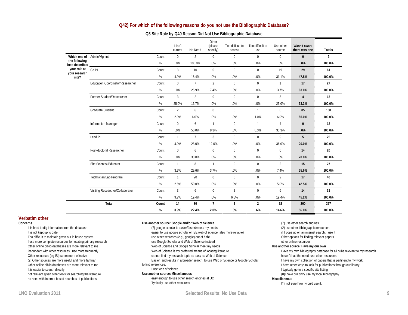#### **Q42) For which of the following reasons do you not use the Bibliographic Database?**

#### **Q3 Site Role by Q40 Reason Did Not Use Bibliographic Database**

|                                         |                                         |       | It isn't<br>current | No Need         | Other<br>(please<br>specify) | Too difficult to<br>access | Too difficult to<br>use | Use other<br>source | Wasn't aware<br>there was one | <b>Totals</b>  |
|-----------------------------------------|-----------------------------------------|-------|---------------------|-----------------|------------------------------|----------------------------|-------------------------|---------------------|-------------------------------|----------------|
|                                         | Which one of Admin/Mgmnt                | Count | $\mathbf{0}$        | 2               | $\mathbf 0$                  | $\mathbf 0$                | $\mathbf 0$             | $\mathbf 0$         | $\mathbf{0}$                  | $\overline{2}$ |
| the following<br>best describes _______ |                                         | %     | $.0\%$              | 100.0%          | .0%                          | .0%                        | $.0\%$                  | .0%                 | .0%                           | 100.0%         |
| your role at<br>your research           | Co <sub>PI</sub>                        | Count | 3                   | 10 <sup>1</sup> | $\Omega$                     | $\mathbf 0$                | $\Omega$                | 19                  | 29                            | 61             |
| site?                                   |                                         | %     | 4.9%                | 16.4%           | .0%                          | .0%                        | .0%                     | 31.1%               | 47.5%                         | 100.0%         |
|                                         | <b>Education Coordinator/Researcher</b> | Count | $\mathbf{0}$        | $\overline{7}$  | 2                            | $\mathbf 0$                | $\mathbf 0$             | $\overline{1}$      | 17                            | 27             |
|                                         |                                         | $\%$  | .0%                 | 25.9%           | 7.4%                         | .0%                        | $.0\%$                  | 3.7%                | 63.0%                         | 100.0%         |
|                                         | Former Student/Researcher               | Count | $\overline{3}$      | $\overline{2}$  | $\mathbf 0$                  | $\mathbf 0$                | $\mathbf 0$             | 3                   | $\overline{4}$                | 12             |
|                                         |                                         | %     | 25.0%               | 16.7%           | .0%                          | .0%                        | .0%                     | 25.0%               | 33.3%                         | 100.0%         |
|                                         | Graduate Student                        | Count | $\overline{2}$      | 6               | $\mathbf 0$                  | $\mathbf 0$                | $\mathbf{1}$            | 6                   | 85                            | 100            |
|                                         |                                         | %     | 2.0%                | 6.0%            | .0%                          | .0%                        | 1.0%                    | 6.0%                | 85.0%                         | 100.0%         |
|                                         | <b>Information Manager</b>              | Count | $\mathbf{0}$        | 6               | $\mathbf{1}$                 | $\mathbf{0}$               | $\mathbf{1}$            | $\overline{4}$      | $\mathbf{0}$                  | 12             |
|                                         |                                         | $\%$  | $.0\%$              | 50.0%           | 8.3%                         | .0%                        | 8.3%                    | 33.3%               | .0%                           | 100.0%         |
|                                         | Lead <sub>PI</sub>                      | Count | $\mathbf{1}$        | $7\overline{ }$ | 3                            | $\mathbf 0$                | $\mathbf 0$             | 9                   | 5                             | 25             |
|                                         |                                         | %     | 4.0%                | 28.0%           | 12.0%                        | .0%                        | .0%                     | 36.0%               | 20.0%                         | 100.0%         |
|                                         | Post-doctoral Researcher                | Count | $\mathbf{0}$        | 6               | $\mathbf{0}$                 | $\mathbf{0}$               | $\mathbf{0}$            | $\mathbf{0}$        | 14                            | 20             |
|                                         |                                         | %     | .0%                 | 30.0%           | .0%                          | .0%                        | $.0\%$                  | .0%                 | 70.0%                         | 100.0%         |
|                                         | Site Scientist/Educator                 | Count | $\mathbf{1}$        | 8               | $\mathbf{1}$                 | $\Omega$                   | $\Omega$                | $\overline{2}$      | 15                            | 27             |
|                                         |                                         | %     | 3.7%                | 29.6%           | 3.7%                         | .0%                        | .0%                     | 7.4%                | 55.6%                         | 100.0%         |
|                                         | Technician/Lab Program                  | Count | $\mathbf{1}$        | 20              | $\mathbf 0$                  | $\mathbf 0$                | $\mathbf 0$             | $\overline{2}$      | 17                            | 40             |
|                                         |                                         | %     | 2.5%                | 50.0%           | .0%                          | .0%                        | .0%                     | 5.0%                | 42.5%                         | 100.0%         |
|                                         | Visiting Researcher/Collaborator        | Count | 3                   | 6               | $\Omega$                     | $\overline{2}$             | $\Omega$                | 6                   | 14                            | 31             |
|                                         |                                         | %     | 9.7%                | 19.4%           | .0%                          | 6.5%                       | .0%                     | 19.4%               | 45.2%                         | 100.0%         |
|                                         | Total                                   | Count | 14                  | 80              | $\overline{7}$               | $\overline{2}$             | $\overline{2}$          | 52                  | 200                           | 357            |
|                                         |                                         | %     | 3.9%                | 22.4%           | 2.0%                         | .6%                        | .6%                     | 14.6%               | 56.0%                         | 100.0%         |

#### **Verbatim other**

#### **Concerns**

It is hard to dig information from the database it is not kept up to date Too difficult to maintain given our in house system. I use more complete resources for locating primary research Other online biblio databases are more relevant to me Redundant with other resources I use more frequently Other resources (eg ISI) seem more effective (2) Other sources are more useful and more familiar Other online biblio databases are more relevant to me It is easier to search directly not relevant given other tools for searching the literature no need with internet based searches of publications

#### **Use another source: Google and/or Web of Science**

(7) google scholar is easier/faster/meets my needs easier to use google scholar or ISE web of science (also more reliable) use other searches (e.g., google) out of habit use Google Scholar and Web of Science instead Web of Science and Google Scholar meet my needs Web of Science is my preferred means of locating literature cannot find my research topic as easy as Web of Science Easier (and results in a broader search) to use Web of Science or Google Scholar to find references. I use web of science

#### **Use another source: Miscellaneous**

easy enough to use other search engines at UC Typically use other resources

(7) use other search engines (2) use other bibliographic resources if it pops up on an internet search, I use it Other options for finding relevant papers other online resources **Use another source: Have my/our own**  Have my own bibliography database for all pubs relevant to my research haven't had the need, use other resources I have my own collection of papers that is pertinent to my work. I have other ways to look for publications through our library I typically go to a specific site listing (8)I have our own/ use my local bibliography **Miscellaneous** 

I'm not sure how I would use it.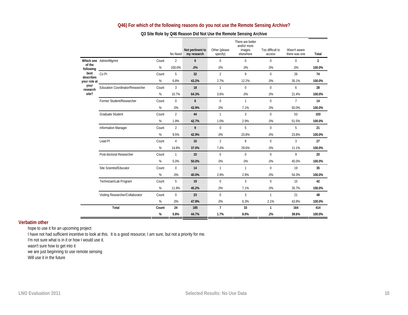# **Q46) For which of the following reasons do you not use the Remote Sensing Archive?**

|                     |                                  |       | No Need        | Not pertinent to<br>my research | Other (please<br>specify) | There are better<br>and/or more<br>images<br>elsewhere | Too difficult to<br>access | Wasn't aware<br>there was one | Total          |
|---------------------|----------------------------------|-------|----------------|---------------------------------|---------------------------|--------------------------------------------------------|----------------------------|-------------------------------|----------------|
|                     | Which one Admin/Mgmnt            | Count | $\overline{2}$ | $\mathbf{0}$                    | $\mathbf 0$               | $\mathbf 0$                                            | $\mathbf{0}$               | $\mathbf{0}$                  | $\overline{2}$ |
| of the<br>following |                                  | $\%$  | 100.0%         | .0%                             | .0%                       | .0%                                                    | .0%                        | .0%                           | 100.0%         |
| best<br>describes   | Co <sub>PI</sub>                 | Count | 5              | 32                              | $\overline{2}$            | 9                                                      | $\Omega$                   | 26                            | 74             |
| your role at        |                                  | $\%$  | 6.8%           | 43.2%                           | 2.7%                      | 12.2%                                                  | .0%                        | 35.1%                         | 100.0%         |
| your<br>research    | Education Coordinator/Researcher | Count | $\overline{3}$ | 18                              | $\mathbf{1}$              | $\Omega$                                               | $\Omega$                   | 6                             | 28             |
| site?               |                                  | %     | 10.7%          | 64.3%                           | 3.6%                      | .0%                                                    | .0%                        | 21.4%                         | 100.0%         |
|                     | Former Student/Researcher        | Count | $\mathbf{0}$   | 6                               | $\mathbf 0$               | $\mathbf{1}$                                           | $\mathbf{0}$               | $\overline{7}$                | 14             |
|                     |                                  | %     | .0%            | 42.9%                           | .0%                       | 7.1%                                                   | .0%                        | 50.0%                         | 100.0%         |
|                     | Graduate Student                 | Count | $\overline{2}$ | 44                              | $\mathbf{1}$              | 3                                                      | $\mathbf 0$                | 53                            | 103            |
|                     |                                  | %     | 1.9%           | 42.7%                           | 1.0%                      | 2.9%                                                   | .0%                        | 51.5%                         | 100.0%         |
|                     | <b>Information Manager</b>       | Count | $\overline{2}$ | 9                               | $\mathbf 0$               | $5^{\circ}$                                            | $\Omega$                   | 5                             | 21             |
|                     |                                  | %     | 9.5%           | 42.9%                           | .0%                       | 23.8%                                                  | .0%                        | 23.8%                         | 100.0%         |
|                     | Lead PI                          | Count | $\overline{4}$ | 10                              | $\overline{2}$            | 8                                                      | $\Omega$                   | 3                             | 27             |
|                     |                                  | %     | 14.8%          | 37.0%                           | 7.4%                      | 29.6%                                                  | .0%                        | 11.1%                         | 100.0%         |
|                     | Post-doctoral Researcher         | Count | $\mathbf{1}$   | 10                              | $\mathbf 0$               | $\mathbf{0}$                                           | $\mathbf 0$                | 9                             | 20             |
|                     |                                  | %     | 5.0%           | 50.0%                           | .0%                       | .0%                                                    | .0%                        | 45.0%                         | 100.0%         |
|                     | Site Scientist/Educator          | Count | $\mathbf{0}$   | 14                              | $\mathbf{1}$              | $\mathbf{1}$                                           | $\mathbf 0$                | 19                            | 35             |
|                     |                                  | %     | .0%            | 40.0%                           | 2.9%                      | 2.9%                                                   | .0%                        | 54.3%                         | 100.0%         |
|                     | Technician/Lab Program           | Count | 5              | 19                              | $\mathbf 0$               | 3                                                      | $\Omega$                   | 15                            | 42             |
|                     |                                  | %     | 11.9%          | 45.2%                           | .0%                       | 7.1%                                                   | .0%                        | 35.7%                         | 100.0%         |
|                     | Visiting Researcher/Collaborator | Count | $\Omega$       | 23                              | $\Omega$                  | $\overline{3}$                                         | $\mathbf{1}$               | 21                            | 48             |
|                     |                                  | %     | .0%            | 47.9%                           | .0%                       | 6.3%                                                   | 2.1%                       | 43.8%                         | 100.0%         |
|                     | Total                            | Count | 24             | 185                             | $\overline{7}$            | 33                                                     | $\mathbf{1}$               | 164                           | 414            |
|                     |                                  | %     | 5.8%           | 44.7%                           | 1.7%                      | 8.0%                                                   | .2%                        | 39.6%                         | 100.0%         |

# **Q3 Site Role by Q46 Reason Did Not Use the Remote Sensing Archive**

#### **Verbatim other**

hope to use it for an upcoming project

I have not had sufficient incentive to look at this. It is a good resource; I am sure, but not a priority for me.

I'm not sure what is in it or how I would use it.

wasn't sure how to get into it

we are just beginning to use remote sensing

Will use it in the future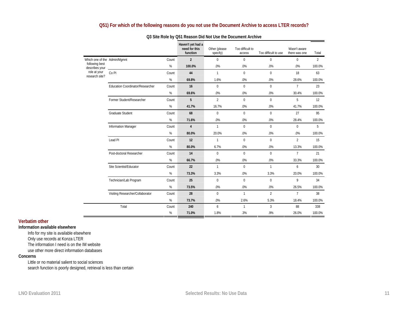# **Q51) For which of the following reasons do you not use the Document Archive to access LTER records?**

|                                  |                                  |       | Haven't yet had a<br>need for this<br>function | Other (please<br>specify) | Too difficult to<br>access | Too difficult to use | Wasn't aware<br>there was one | Total          |
|----------------------------------|----------------------------------|-------|------------------------------------------------|---------------------------|----------------------------|----------------------|-------------------------------|----------------|
| Which one of the Admin/Mgmnt     |                                  | Count | $\overline{2}$                                 | $\Omega$                  | $\Omega$                   | $\Omega$             | $\mathbf{0}$                  | $\overline{2}$ |
| following best<br>describes your |                                  | $\%$  | 100.0%                                         | .0%                       | .0%                        | .0%                  | .0%                           | 100.0%         |
| role at your<br>research site?   | Co <sub>PI</sub>                 | Count | 44                                             | $\mathbf{1}$              | $\mathbf{0}$               | $\Omega$             | 18                            | 63             |
|                                  |                                  | %     | 69.8%                                          | 1.6%                      | .0%                        | .0%                  | 28.6%                         | 100.0%         |
|                                  | Education Coordinator/Researcher | Count | 16                                             | 0                         | $\mathbf{0}$               | $\mathbf{0}$         | $7^{\circ}$                   | 23             |
|                                  |                                  | $\%$  | 69.6%                                          | .0%                       | .0%                        | .0%                  | 30.4%                         | 100.0%         |
|                                  | Former Student/Researcher        | Count | $5^{\circ}$                                    | $\mathfrak{D}$            | $\Omega$                   | $\Omega$             | 5                             | 12             |
|                                  |                                  | %     | 41.7%                                          | 16.7%                     | .0%                        | .0%                  | 41.7%                         | 100.0%         |
|                                  | <b>Graduate Student</b>          | Count | 68                                             | $\mathbf 0$               | $\Omega$                   | $\mathbf{0}$         | 27                            | 95             |
|                                  |                                  | %     | 71.6%                                          | .0%                       | .0%                        | .0%                  | 28.4%                         | 100.0%         |
|                                  | Information Manager              | Count | $\overline{4}$                                 | $\mathbf{1}$              | $\Omega$                   | $\Omega$             | $\Omega$                      | 5              |
|                                  |                                  | %     | 80.0%                                          | 20.0%                     | .0%                        | .0%                  | .0%                           | 100.0%         |
|                                  | Lead <sub>PI</sub>               | Count | 12                                             | $\mathbf{1}$              | $\mathbf{0}$               | $\mathbf{0}$         | $\overline{2}$                | 15             |
|                                  |                                  | $\%$  | 80.0%                                          | 6.7%                      | .0%                        | .0%                  | 13.3%                         | 100.0%         |
|                                  | Post-doctoral Researcher         | Count | 14                                             | $\mathbf 0$               | $\mathbf{0}$               | $\Omega$             | $\overline{7}$                | 21             |
|                                  |                                  | %     | 66.7%                                          | .0%                       | .0%                        | .0%                  | 33.3%                         | 100.0%         |
|                                  | Site Scientist/Educator          | Count | 22                                             | $\mathbf{1}$              | $\Omega$                   | $\mathbf{1}$         | 6                             | 30             |
|                                  |                                  | $\%$  | 73.3%                                          | 3.3%                      | .0%                        | 3.3%                 | 20.0%                         | 100.0%         |
|                                  | Technician/Lab Program           | Count | 25                                             | $\mathbf 0$               | $\mathbf 0$                | $\mathbf{0}$         | 9                             | 34             |
|                                  |                                  | %     | 73.5%                                          | .0%                       | .0%                        | .0%                  | 26.5%                         | 100.0%         |
|                                  | Visiting Researcher/Collaborator | Count | 28                                             | 0                         | $\mathbf{1}$               | $\overline{2}$       | $\overline{7}$                | 38             |
|                                  |                                  | %     | 73.7%                                          | .0%                       | 2.6%                       | 5.3%                 | 18.4%                         | 100.0%         |
|                                  | Total                            | Count | 240                                            | 6                         | $\mathbf{1}$               | 3                    | 88                            | 338            |
|                                  |                                  | %     | 71.0%                                          | 1.8%                      | .3%                        | .9%                  | 26.0%                         | 100.0%         |

#### **Q3 Site Role by Q51 Reason Did Not Use the Document Archive**

#### **Verbatim other**

#### **Information available elsewhere**

Info for my site is available elsewhere Only use records at Konza LTER The information I need is on the IM website use other more direct information databases

#### **Concerns**

Little or no material salient to social sciences search function is poorly designed, retrieval is less than certain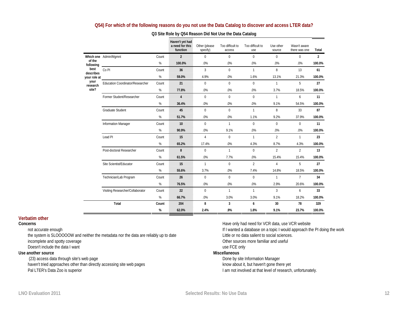#### **Q54) For which of the following reasons do you not use the Data Catalog to discover and access LTER data?**

|                           |                                  |       | Haven't yet had<br>a need for this<br>function | Other (please<br>specify) | Too difficult to<br>access | Too difficult to<br>use | Use other<br>source | Wasn't aware<br>there was one | Total          |
|---------------------------|----------------------------------|-------|------------------------------------------------|---------------------------|----------------------------|-------------------------|---------------------|-------------------------------|----------------|
|                           | Which one Admin/Mgmnt            | Count | $\overline{2}$                                 | $\mathbf 0$               | $\mathbf{0}$               | $\mathbf{0}$            | $\mathbf 0$         | $\mathbf 0$                   | $\overline{2}$ |
| of the<br>following       |                                  | %     | 100.0%                                         | .0%                       | .0%                        | .0%                     | .0%                 | .0%                           | 100.0%         |
| best<br>describes         | Co <sub>PI</sub>                 | Count | 36                                             | $\overline{3}$            | $\Omega$                   | $\mathbf{1}$            | 8                   | 13                            | 61             |
| your role at              |                                  | %     | 59.0%                                          | 4.9%                      | .0%                        | 1.6%                    | 13.1%               | 21.3%                         | 100.0%         |
| your<br>research<br>site? | Education Coordinator/Researcher | Count | 21                                             | $\mathbf 0$               | $\mathbf{0}$               | $\mathbf 0$             | $\mathbf{1}$        | 5                             | 27             |
|                           |                                  | $\%$  | 77.8%                                          | .0%                       | .0%                        | .0%                     | 3.7%                | 18.5%                         | 100.0%         |
|                           | Former Student/Researcher        | Count | $\overline{4}$                                 | $\Omega$                  | $\mathbf{0}$               | $\Omega$                | $\mathbf{1}$        | 6                             | 11             |
|                           |                                  | %     | 36.4%                                          | .0%                       | .0%                        | .0%                     | 9.1%                | 54.5%                         | 100.0%         |
|                           | <b>Graduate Student</b>          | Count | 45                                             | $\mathbf 0$               | $\mathbf 0$                | $\mathbf{1}$            | 8                   | 33                            | 87             |
|                           |                                  | $\%$  | 51.7%                                          | .0%                       | .0%                        | 1.1%                    | 9.2%                | 37.9%                         | 100.0%         |
|                           | <b>Information Manager</b>       | Count | 10                                             | $\Omega$                  | $\mathbf{1}$               | $\Omega$                | $\Omega$            | $\Omega$                      | 11             |
|                           |                                  | %     | 90.9%                                          | .0%                       | 9.1%                       | .0%                     | .0%                 | .0%                           | 100.0%         |
|                           | Lead <sub>PI</sub>               | Count | 15                                             | $\overline{4}$            | $\Omega$                   | $\mathbf{1}$            | $\mathfrak{D}$      | $\mathbf{1}$                  | 23             |
|                           |                                  | $\%$  | 65.2%                                          | 17.4%                     | .0%                        | 4.3%                    | 8.7%                | 4.3%                          | 100.0%         |
|                           | Post-doctoral Researcher         | Count | 8                                              | $\mathbf{0}$              | $\mathbf{1}$               | $\mathbf{0}$            | $\overline{2}$      | $\overline{2}$                | 13             |
|                           |                                  | %     | 61.5%                                          | .0%                       | 7.7%                       | .0%                     | 15.4%               | 15.4%                         | 100.0%         |
|                           | Site Scientist/Educator          | Count | 15                                             | $\mathbf{1}$              | $\mathbf 0$                | $\overline{2}$          | $\overline{4}$      | 5                             | 27             |
|                           |                                  | $\%$  | 55.6%                                          | 3.7%                      | .0%                        | 7.4%                    | 14.8%               | 18.5%                         | 100.0%         |
|                           | Technician/Lab Program           | Count | 26                                             | $\mathbf 0$               | $\Omega$                   | $\mathbf{0}$            | $\mathbf{1}$        | $7\overline{ }$               | 34             |
|                           |                                  | %     | 76.5%                                          | .0%                       | .0%                        | .0%                     | 2.9%                | 20.6%                         | 100.0%         |
|                           | Visiting Researcher/Collaborator | Count | 22                                             | $\Omega$                  | $\mathbf{1}$               | $\mathbf{1}$            | $\overline{3}$      | 6                             | 33             |
|                           |                                  | $\%$  | 66.7%                                          | .0%                       | 3.0%                       | 3.0%                    | 9.1%                | 18.2%                         | 100.0%         |
|                           | Total                            | Count | 204                                            | 8                         | $\overline{3}$             | 6                       | 30                  | 78                            | 329            |
|                           |                                  | %     | 62.0%                                          | 2.4%                      | .9%                        | 1.8%                    | 9.1%                | 23.7%                         | 100.0%         |

#### **Q3 Site Role by Q54 Reason Did Not Use the Data Catalog**

#### **Verbatim other**

#### **Concerns**

not accurate enough

the system is SLOOOOOW and neither the metadata nor the data are reliably up to date incomplete and spotty coverage Doesn't include the data I want

#### **Use another source**

 (23) access data through site's web page haven't tried approaches other than directly accessing site web pages Pal LTER's Data Zoo is superior

Have only had need for VCR data, use VCR website If I wanted a database on a topic I would approach the PI doing the work Little or no data salient to social sciences. Other sources more familiar and useful use FCE only **Miscellaneous** 

Done by site Information Manager know about it, but haven't gone there yet I am not involved at that level of research, unfortunately.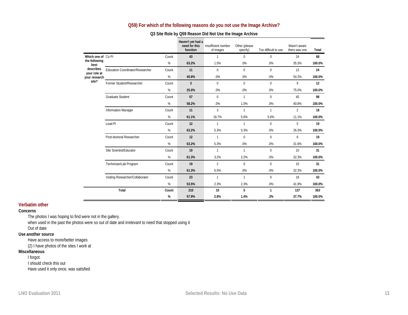### **Q59) For which of the following reasons do you not use the Image Archive?**

|                           |                                  |       | Haven't yet had a<br>need for this<br>function | Insufficient number<br>of images | Other (please<br>specify) | Too difficult to use | Wasn't aware<br>there was one | Total  |
|---------------------------|----------------------------------|-------|------------------------------------------------|----------------------------------|---------------------------|----------------------|-------------------------------|--------|
| Which one of Co PI        |                                  | Count | 43                                             | $\mathbf{1}$                     | $\Omega$                  | $\Omega$             | 24                            | 68     |
| the following<br>best     |                                  | %     | 63.2%                                          | 1.5%                             | .0%                       | .0%                  | 35.3%                         | 100.0% |
| describes<br>your role at | Education Coordinator/Researcher | Count | 11                                             | $\mathbf 0$                      | $\Omega$                  | $\Omega$             | 13                            | 24     |
| your research             |                                  | %     | 45.8%                                          | .0%                              | .0%                       | .0%                  | 54.2%                         | 100.0% |
| site?                     | Former Student/Researcher        | Count | $\overline{3}$                                 | $\mathbf{0}$                     | $\Omega$                  | $\Omega$             | 9                             | 12     |
|                           |                                  | %     | 25.0%                                          | .0%                              | .0%                       | .0%                  | 75.0%                         | 100.0% |
|                           | <b>Graduate Student</b>          | Count | 57                                             | $\Omega$                         | $\mathbf{1}$              | $\Omega$             | 40                            | 98     |
|                           |                                  | %     | 58.2%                                          | .0%                              | 1.0%                      | .0%                  | 40.8%                         | 100.0% |
|                           | <b>Information Manager</b>       | Count | 11                                             | 3                                | $\mathbf{1}$              | 1                    | $\overline{2}$                | 18     |
|                           |                                  | %     | 61.1%                                          | 16.7%                            | 5.6%                      | 5.6%                 | 11.1%                         | 100.0% |
|                           | Lead PI                          | Count | 12                                             | $\mathbf{1}$                     | $\mathbf{1}$              | $\mathbf 0$          | 5                             | 19     |
|                           |                                  | %     | 63.2%                                          | 5.3%                             | 5.3%                      | .0%                  | 26.3%                         | 100.0% |
|                           | Post-doctoral Researcher         | Count | 12                                             | $\mathbf{1}$                     | $\mathbf{0}$              | $\mathbf 0$          | 6                             | 19     |
|                           |                                  | %     | 63.2%                                          | 5.3%                             | .0%                       | .0%                  | 31.6%                         | 100.0% |
|                           | Site Scientist/Educator          | Count | 19                                             | $\mathbf{1}$                     | $\mathbf{1}$              | $\mathbf 0$          | 10                            | 31     |
|                           |                                  | %     | 61.3%                                          | 3.2%                             | 3.2%                      | .0%                  | 32.3%                         | 100.0% |
|                           | Technician/Lab Program           | Count | 19                                             | $\overline{2}$                   | $\mathbf 0$               | $\mathbf 0$          | 10                            | 31     |
|                           |                                  | %     | 61.3%                                          | 6.5%                             | .0%                       | .0%                  | 32.3%                         | 100.0% |
|                           | Visiting Researcher/Collaborator | Count | 23                                             | 1                                | $\mathbf{1}$              | $\Omega$             | 18                            | 43     |
|                           |                                  | %     | 53.5%                                          | 2.3%                             | 2.3%                      | .0%                  | 41.9%                         | 100.0% |
|                           | Total                            | Count | 210                                            | 10                               | 5                         | $\mathbf{1}$         | 137                           | 363    |
|                           |                                  | %     | 57.9%                                          | 2.8%                             | 1.4%                      | .3%                  | 37.7%                         | 100.0% |

#### **Q3 Site Role by Q59 Reason Did Not Use the Image Archive**

#### **Verbatim other**

#### **Concerns**

The photos I was hoping to find were not in the gallery.

when used in the past the photos were so out of date and irrelevant to need that stopped using it

#### Out of date **Use another source**

Have access to more/better images

(2) I have photos of the sites I work at

#### **Miscellaneous**

I forgot.

I should check this out Have used it only once, was satisfied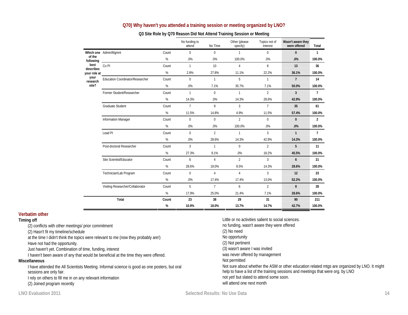| Q70) Why haven't you attended a training session or meeting organized by LNO? |  |
|-------------------------------------------------------------------------------|--|
|                                                                               |  |

|                     |                                  |       | No funding to<br>attend | No Time         | Other (please<br>specify) | Topics not of<br>interest | Wasn't aware they<br>were offered | Total          |
|---------------------|----------------------------------|-------|-------------------------|-----------------|---------------------------|---------------------------|-----------------------------------|----------------|
|                     | Which one Admin/Mgmnt            | Count | $\mathbf{0}$            | $\Omega$        | $\mathbf{1}$              | $\mathbf{0}$              | $\mathbf{0}$                      | $\mathbf{1}$   |
| of the<br>following |                                  | $\%$  | .0%                     | .0%             | 100.0%                    | .0%                       | .0%                               | 100.0%         |
| best<br>describes   | Co <sub>PI</sub>                 | Count | $\mathbf{1}$            | 10 <sup>1</sup> | $\overline{4}$            | 8                         | 13                                | 36             |
| your role at        |                                  | %     | 2.8%                    | 27.8%           | 11.1%                     | 22.2%                     | 36.1%                             | 100.0%         |
| your<br>research    | Education Coordinator/Researcher | Count | $\mathbf{0}$            | $\mathbf{1}$    | 5                         | $\mathbf{1}$              | $\overline{7}$                    | 14             |
| site?               |                                  | $\%$  | $.0\%$                  | 7.1%            | 35.7%                     | 7.1%                      | 50.0%                             | 100.0%         |
|                     | Former Student/Researcher        | Count | $\mathbf{1}$            | $\mathbf 0$     | $\mathbf{1}$              | $\overline{2}$            | $\overline{3}$                    | $\overline{7}$ |
|                     |                                  | $\%$  | 14.3%                   | .0%             | 14.3%                     | 28.6%                     | 42.9%                             | 100.0%         |
|                     | <b>Graduate Student</b>          | Count | $\overline{7}$          | 9               | $\overline{3}$            | $7\overline{ }$           | 35                                | 61             |
|                     |                                  | %     | 11.5%                   | 14.8%           | 4.9%                      | 11.5%                     | 57.4%                             | 100.0%         |
|                     | <b>Information Manager</b>       | Count | $\mathbf{0}$            | $\mathbf{0}$    | $\overline{2}$            | $\mathbf{0}$              | $\bf{0}$                          | $\overline{2}$ |
|                     |                                  | %     | .0%                     | .0%             | 100.0%                    | .0%                       | .0%                               | 100.0%         |
|                     | Lead <sub>PI</sub>               | Count | $\mathbf{0}$            | $\overline{2}$  | $\mathbf{1}$              | 3                         | $\mathbf{1}$                      | $\overline{7}$ |
|                     |                                  | %     | .0%                     | 28.6%           | 14.3%                     | 42.9%                     | 14.3%                             | 100.0%         |
|                     | Post-doctoral Researcher         | Count | 3                       | $\mathbf{1}$    | 0                         | $\overline{2}$            | 5                                 | 11             |
|                     |                                  | %     | 27.3%                   | 9.1%            | .0%                       | 18.2%                     | 45.5%                             | 100.0%         |
|                     | Site Scientist/Educator          | Count | 6                       | $\overline{4}$  | $\mathfrak{p}$            | 3                         | 6                                 | 21             |
|                     |                                  | %     | 28.6%                   | 19.0%           | 9.5%                      | 14.3%                     | 28.6%                             | 100.0%         |
|                     | Technician/Lab Program           | Count | $\mathbf{0}$            | $\overline{4}$  | $\overline{4}$            | $\overline{3}$            | 12                                | 23             |
|                     |                                  | %     | .0%                     | 17.4%           | 17.4%                     | 13.0%                     | 52.2%                             | 100.0%         |
|                     | Visiting Researcher/Collaborator | Count | $5^{\circ}$             | $\overline{7}$  | 6                         | $\overline{2}$            | 8                                 | 28             |
|                     |                                  | $\%$  | 17.9%                   | 25.0%           | 21.4%                     | 7.1%                      | 28.6%                             | 100.0%         |
|                     | Total                            | Count | 23                      | 38              | 29                        | 31                        | 90                                | 211            |
|                     |                                  | %     | 10.9%                   | 18.0%           | 13.7%                     | 14.7%                     | 42.7%                             | 100.0%         |

#### **Q3 Site Role by Q70 Reason Did Not Attend Training Session or Meeting**

#### **Verbatim other**

#### **Timing off**

(2) conflicts with other meetings/ prior commitment

(2) Hasn't fit my timeline/schedule

at the time I didn't think the topics were relevant to me (now they probably are!)

Have not had the opportunity.

Just haven't yet. Combination of time, funding, interest

I haven't been aware of any that would be beneficial at the time they were offered.

#### **Miscellaneous**

I have attended the All Scientists Meeting. Informal science is good as one posters, but oral sessions are only fair.

I rely on others to fill me in on any relevant information

(2) Joined program recently

(2) No need No opportunity (2) Not pertinent

Not permitted

(3) wasn't aware I was invited was never offered by management

will attend one next month

not yet! but slated to attend some soon.

Little or no activities salient to social sciences. no funding, wasn't aware they were offered

Not sure about whether the ASM or other education related mtgs are organized by LNO. It might

help to have a list of the training sessions and meetings that were org. by LNO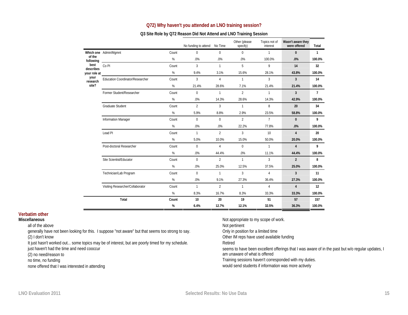### **Q72) Why haven't you attended an LNO training session?**

### **Q3 Site Role by Q72 Reason Did Not Attend and LNO Training Session**

|                     |                                         |       | No funding to attend   No Time |                | Other (please<br>specify) | Topics not of<br>interest | Wasn't aware they<br>were offered | Total          |
|---------------------|-----------------------------------------|-------|--------------------------------|----------------|---------------------------|---------------------------|-----------------------------------|----------------|
|                     | Which one Admin/Mgmnt                   | Count | $\Omega$                       | $\mathbf 0$    | $\mathbf{0}$              | $\mathbf{1}$              | $\mathbf{0}$                      | $\mathbf{1}$   |
| of the<br>following |                                         | %     | .0%                            | .0%            | .0%                       | 100.0%                    | .0%                               | 100.0%         |
| best<br>describes   | Co <sub>PI</sub>                        | Count | 3                              | $\mathbf{1}$   | 5                         | 9                         | 14                                | 32             |
| your role at        |                                         | %     | 9.4%                           | 3.1%           | 15.6%                     | 28.1%                     | 43.8%                             | 100.0%         |
| your<br>research    | <b>Education Coordinator/Researcher</b> | Count | 3                              | 4              | 1                         | 3                         | $\overline{3}$                    | 14             |
| site?               |                                         | %     | 21.4%                          | 28.6%          | 7.1%                      | 21.4%                     | 21.4%                             | 100.0%         |
|                     | Former Student/Researcher               | Count | $\Omega$                       | $\mathbf{1}$   | $\overline{2}$            | $\mathbf{1}$              | $\overline{3}$                    | $\overline{7}$ |
|                     |                                         | %     | .0%                            | 14.3%          | 28.6%                     | 14.3%                     | 42.9%                             | 100.0%         |
|                     | <b>Graduate Student</b>                 | Count | $\overline{2}$                 | $\overline{3}$ | $\mathbf{1}$              | 8                         | 20                                | 34             |
|                     |                                         | %     | 5.9%                           | 8.8%           | 2.9%                      | 23.5%                     | 58.8%                             | 100.0%         |
|                     | <b>Information Manager</b>              | Count | $\Omega$                       | $\Omega$       | $\overline{2}$            | $7\overline{ }$           | $\mathbf{0}$                      | 9              |
|                     |                                         | $\%$  | .0%                            | .0%            | 22.2%                     | 77.8%                     | .0%                               | 100.0%         |
|                     | Lead <sub>PI</sub>                      | Count | $\mathbf{1}$                   | $\overline{2}$ | $\overline{3}$            | 10                        | $\overline{4}$                    | 20             |
|                     |                                         | %     | 5.0%                           | 10.0%          | 15.0%                     | 50.0%                     | 20.0%                             | 100.0%         |
|                     | Post-doctoral Researcher                | Count | $\Omega$                       | $\overline{4}$ | $\Omega$                  | $\mathbf{1}$              | $\overline{4}$                    | 9              |
|                     |                                         | $\%$  | .0%                            | 44.4%          | $.0\%$                    | 11.1%                     | 44.4%                             | 100.0%         |
|                     | Site Scientist/Educator                 | Count | $\mathbf{0}$                   | $\overline{2}$ | $\mathbf{1}$              | $\overline{3}$            | $\overline{2}$                    | 8              |
|                     |                                         | %     | .0%                            | 25.0%          | 12.5%                     | 37.5%                     | 25.0%                             | 100.0%         |
|                     | Technician/Lab Program                  | Count | $\Omega$                       | $\mathbf{1}$   | 3                         | 4                         | $\mathbf{3}$                      | 11             |
|                     |                                         | %     | .0%                            | 9.1%           | 27.3%                     | 36.4%                     | 27.3%                             | 100.0%         |
|                     | Visiting Researcher/Collaborator        | Count | $\mathbf{1}$                   | $\overline{2}$ | $\mathbf{1}$              | 4                         | $\overline{4}$                    | 12             |
|                     |                                         | %     | 8.3%                           | 16.7%          | 8.3%                      | 33.3%                     | 33.3%                             | 100.0%         |
|                     | Total                                   | Count | 10                             | 20             | 19                        | 51                        | 57                                | 157            |
|                     |                                         | %     | 6.4%                           | 12.7%          | 12.1%                     | 32.5%                     | 36.3%                             | 100.0%         |

### **Verbatim other**

#### **Miscellaneous**

all of the above

generally have not been looking for this. I suppose "not aware" but that seems too strong to say. (2) I don't know

It just hasn't worked out... some topics may be of interest, but are poorly timed for my schedule.

just haven't had the time and need cooccur

 $\blacksquare$ 

 $\sim$ 

(2) no need/reason to

no time, no funding

none offered that I was interested in attending

Not appropriate to my scope of work. Not pertinent Only in position for a limited time Other IM reps have used available funding Retired seems to have been excellent offerings that I was aware of in the past but w/o regular updates, I am unaware of what is offered Training sessions haven't corresponded with my duties.

would send students if information was more actively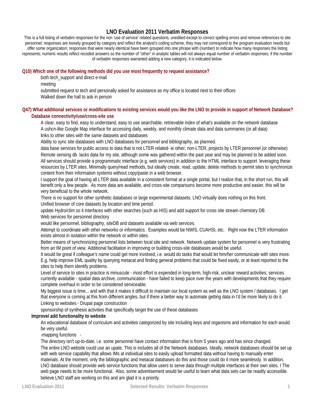# **LNO Evaluation 2011 Verbatim Responses**

This is a full listing of verbatim responses for the non 'use of service' related questions, unedited except to correct spelling errors and remove references to site personnel; responses are loosely grouped by category and reflect the analyst's coding scheme, they may not correspond to the program evaluation needs but offer some organization; responses that were nearly identical have been grouped into one phrase with (number) to indicate how many responses the listing represents; numeric results reflect recoded answers so the number of "other" in analytic tables will not always equal number of verbatim responses; if the number of verbatim responses warranted adding a new category, it is indicated below.

#### **Q10) Which one of the following methods did you use most frequently to request assistance?**

both tech\_support and direct e-mail

meeting

submitted request to tech and personally asked for assistance as my office is located next to their offices Walked down the hall to ask in person

#### **Q47) What additional services or modifications to existing services would you like the LNO to provide in support of Network Database? Database connectivity/use/cross-site use**

A clear, easy to find, easy to understand, easy to use searchable, retrievable index of what's available on the network database A ushcn-like Google Map interface for accessing daily, weekly, and monthly climate data and data summaries (or all data) links to other sites with the same datasets and databases

Ability to sync site databases with LNO databases for personnel and bibliography, as planned.

data base services for public access to data that is not LTER related- ie other, non-LTER, projects by LTER personnel (or otherwise) Remote sensing db lacks data for my site, although some was gathered within the past year and may be planned to be added soon. All services should provide a programmatic interface (e.g. web services) in addition to the HTML interface to support leveraging these resources by LTER sites. Minimally query/read methods, but ideally create, read, update, delete methods to permit sites to synchronize content from their information systems without copy/paste in a web browser.

I support the goal of having all LTER data available in a consistent format at a single portal, but I realize that, in the short run, this will benefit only a few people. As more data are available, and cross-site comparisons become more productive and easier, this will be very beneficial to the whole network.

There is no support for other synthetic databases or large experimental datasets. LNO virtually does nothing on this front. Unified browser of core datasets by location and time period.

update Hydro/clim so it interfaces with other searches (such as HIS) and add support for cross site stream chemistry DB Web services for personnel directory

would like personnel, bibliography, siteDB and datasets available via web services.

Attempt to coordinate with other networks or informatics. Examples would be NWIS, CUAHSI, etc. Right now the LTER information exists almost in isolation within the network or within sites.

Better means of synchronizing personnel lists between local site and network. Network update system for personnel is very frustrating from an IM point of view. Additional facilitation in improving or building cross-site databases would be useful.

It would be great if *colleague's name* could get more involved, i.e. would do tasks that would let *him/her* communicate with sites more. E.g. help improve EML quality by querying metacat and finding general problems that could be fixed easily, or at least reported to the sites to help them identify problems.

Level of service to sites in practice is minuscule - most effort is expended in long-term, high-risk, unclear reward activities; services currently available - spatial data archive, communication - have failed to keep pace over the years with developments that they require complete overhaul in order to be considered serviceable.

My biggest issue is time... and with that it makes it difficult to maintain our local system as well as the LNO system / databases. I get that everyone is coming at this from different angles, but if there a better way to automate getting data in I'd be more likely to do it. Linking to websites - Drupal page construction

sponsorship of synthesis activities that specifically target the use of these databases

#### **Improve/ add functionality to website**

An educational database of curriculum and activities categorized by site including keys and organisms and information for each would be very useful.

-mapping functions -

The directory isn't up-to-date, i.e. some personnel have contact information that is from 5 years ago and has since changed. The entire LNO website could use an upate. This is includes all of the Network databases. Ideally, network databases should be set up with web service capability that allows IMs at individual sites to easily upload formatted data without having to manually enter materials. At the moment, only the bibliographic and metacat databases do this and those could do it more seamlessly. In addition, LNO database should provide web service functions that allow users to serve data through multiple interfaces at their own sites. I The web page needs to be more functional. Also, some advertisement would be useful to learn what data sets can be readily accessible. believe LNO staff are working on this and am glad it is a priority.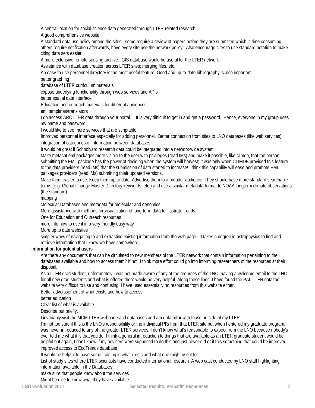A central location for social science data generated through LTER-related research.

A good comprehensive website

A standard data use policy among the sites - some require a review of papers before they are submitted which is time consuming, others require notification afterwards, have every site use the network policy. Also encourage sites to use standard notation to make citing data sets easier.

A more extensive remote sensing archive. GIS database would be useful for the LTER network

Assistance with database creation across LTER sites; merging files, etc.

An easy-to-use personnel directory is the most useful feature. Good and up-to-date bibliography is also important

better graphing

database of LTER curriculum materials

expose underlying functionality through web services and APIs

better spatial data interface

Education and outreach materials for different audiences

eml templates/translators

I do access ARC LTER data through your portal. It is very difficult to get in and get a password. Hence, everyone in my group uses my name and password.

I would like to see more services that are scriptable

Improved personnel interface especially for adding personnel. Better connection from sites to LNO databases (like web services). integration of categories of information between databases

It would be great if Schoolyard research data could be integrated into a network-wide system.

Make metacat eml packages more visible to the user with privileges (read IMs) and make it possible, like climdb, that the person submitting the EML package has the power of deciding when the system will harvest; It was only when CLIMDB provided this feature to the data providers (read IMs) that the submission of data started to increase! I think this capability will ease and promote EML packages providers (read IMs) submitting thieir updated versions.

Make them easier to use. Keep them up to date. Advertise them to a broader audience. They should have more standard searchable terms (e.g. Global Change Master Directory keywords, etc.) and use a similar metadata format to NOAA longterm climate observations (the standard).

mapping

Molecular Databases and metadata for molecular and genomics

More assistance with methods for visualization of long-term data to illustrate trends.

One for Education and Outreach resources

more info how to use it in a very friendly easy way

More up to date websites

simpler ways of navigating to and extracting existing information from the web page. It takes a degree in astrophysics to find and retrieve information that I know we have somewhere.

#### **Information for potential users**

Are there any documents that can be circulated to new members of the LTER network that contain information pertaining to the databases available and how to access them? If not, I think more effort could go into informing researchers of the resources at their disposal.

As a LTER grad student, unfortunately I was not made aware of any of the reources of the LNO. having a welcome email to the LNO for all new grad students and what is offered there would be very helpful. Along these lines, I have found the PAL LTER datazoo website very difficult to use and confusing. I have used essentially no resources from this website either.

Better advertisement of what exists and how to access

better education

Clear list of what is available.

Describe but briefly.

I invariably visit the MCM LTER webpage and databases and am unfamiliar with those outside of my LTER.

I'm not too sure if this is the LNO's responsibility or the individual PI's from that LTER site but when I entered my graduate program, I was never introduced to any of the greater LTER services. I don't know what's reasonable to expect from the LNO because nobody's ever told me what it is that you do. I think a general introduction to things that are available as an LTER graduate student would be helpful but again, I don't know if my advisers were supposed to do this and just never did or if this something that could be improved. improved access to EcoTrends database

It would be helpful to have some training in what exists and what one might use it for.

List of study sites where LTER scientists have conducted international research A web cast conducted by LNO staff highlighting information available in the Databases

make sure that people know about the services

Might be nice to know what they have available.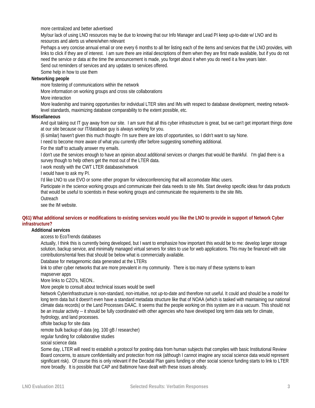more centralized and better advertised

My/our lack of using LNO resources may be due to knowing that our Info Manager and Lead PI keep up-to-date w/ LNO and its resources and alerts us where/when relevant

Perhaps a very concise annual email or one every 6 months to all lter listing each of the items and services that the LNO provides, with links to click if they are of interest. I am sure there are initial descriptions of them when they are first made available, but if you do not need the service or data at the time the announcement is made, you forget about it when you do need it a few years later.

Send out reminders of services and any updates to services offered.

Some help in how to use them

### **Networking people**

more fostering of communications within the network

More information on working groups and cross site collaborations

More interaction

More leadership and training opportunities for individual LTER sites and IMs with respect to database development, meeting networklevel standards, maximizing database comparability to the extent possible, etc.

#### **Miscellaneous**

And quit taking out IT guy away from our site. I am sure that all this cyber infrastructure is great, but we can't get important things done at our site because our IT/database guy is always working for you.

(6 similar) haven't given this much thought- I'm sure there are lots of opportunities, so I didn't want to say None.

I need to become more aware of what you currently offer before suggesting something additional.

For the staff to actually answer my emails.

I don't use the services enough to have an opinion about additional services or changes that would be thankful. I'm glad there is a survey though to help others get the most out of the LTER data.

I work mostly with the CWT LTER database/network

I would have to ask my PI.

I'd like LNO to use EVO or some other program for videoconferencing that will accomodate iMac users.

Participate in the science working groups and communicate their data needs to site IMs. Start develop specific ideas for data products that would be useful to scientists in these working groups and communicate the requirements to the site IMs.

**Outreach** 

see the IM website.

#### **Q61) What additional services or modifications to existing services would you like the LNO to provide in support of Network Cyber infrastructure?**

#### **Additional services**

access to EcoTrends databases

Actually, I think this is currently being developed, but I want to emphasize how important this would be to me: develop larger storage solution, backup service, and minimally managed virtual servers for sites to use for web applications. This may be financed with site contributions/rental fees that should be below what is commercially available.

Database for metagenomic data generated at the LTERs

link to other cyber networks that are more prevalent in my community. There is too many of these systems to learn mapserver apps

More links to CZO's, NEON..

More people to consult about technical issues would be swell

Network Cyberinfrastructure is non-standard, non-intuitive, not up-to-date and therefore not useful. It could and should be a model for long term data but it doesn't even have a standard metadata structure like that of NOAA (which is tasked with maintaining our national climate data records) or the Land Processes DAAC. It seems that the people working on this system are in a vacuum. This should not be an insular activity -- it should be fully coordinated with other agencies who have developed long term data sets for climate, hydrology, and land processes.

offsite backup for site data

remote bulk backup of data (eg. 100 gB / researcher)

regular funding for collaborative studies

social science data

Some day, LTER will need to establish a protocol for posting data from human subjects that complies with basic Institutional Review Board concerns, to assure confidentiality and protection from risk (although I cannot imagine any social science data would represent significant risk). Of course this is only relevant if the Decadal Plan gains funding or other social science funding starts to link to LTER more broadly. It is possible that CAP and Baltimore have dealt with these issues already.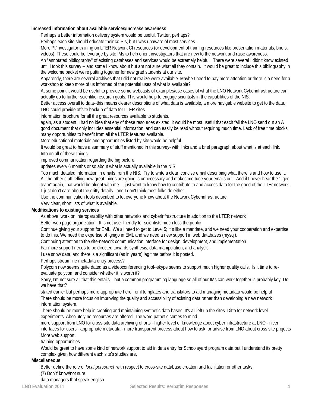### **Increased information about available services/Increase awareness**

Perhaps a better information delivery system would be useful. Twitter, perhaps?

Perhaps each site should educate their co-PIs, but I was unaware of most services.

More PI/investigator training on LTER Network CI resources (or development of training resources like presentation materials, briefs, videos). These could be leverage by site IMs to help orient investigators that are new to the network and raise awareness.

An "annotated bibliography" of existing databases and services would be extremely helpful. There were several I didn't know existed until I took this survey -- and some I know about but am not sure what all they contain. It would be great to include this bibliography in the welcome packet we're putting together for new grad students at our site.

Apparently, there are several archives that I did not realize were available. Maybe I need to pay more attention or there is a need for a workshop to keep more of us informed of the potential uses of what is available?

At some point it would be useful to provide some webcasts of examples/use cases of what the LNO Network Cyberinfrastructure can actually do to further scientific research goals. This would help to engage scientists in the capabilities of the NIS.

Better access overall to data--this means clearer descriptions of what data is available, a more navigable website to get to the data. LNO could provide offsite backup of data for LTER sites

information brochure for all the great resources available to students.

again, as a student, i had no idea that eny of these resources existed. it would be most useful that each fall the LNO send out an A good document that only includes essential information, and can easily be read without requiring much time. Lack of free time blocks many opportunities to benefit from all the LTER features available.

More educational materials and opportunities listed by site would be helpful.

It would be great to have a summary of stuff mentioned in this survey- with links and a brief paragraph about what is at each link. Info on all of these things

improved communication regarding the big picture

updates every 6 months or so about what is actually available in the NIS

Too much detailed information in emails from the NIS. Try to write a clear, concise email describing what there is and how to use it. All the other stuff telling how great things are going is unnecessary and makes me tune your emails out. And if I never hear the "tiger team" again, that would be alright with me. I just want to know how to contribute to and access data for the good of the LTEr network. I just don't care about the gritty details - and I don't think most folks do either.

Use the communication tools described to let everyone know about the Network Cyberinfrastructure

Very clear, short lists of what is available.

#### **Modifications to existing services**

As above, work on interoperability with other networks and cyberinfrastructure in addition to the LTER network

Better web page organization. It is not user friendly for scientists much less the public

Continue giving your support for EML. We all need to get to Level 5; it´s like a mandate, and we need your cooperation and expertise to do this. We need the expertise of Ignigo in EML and we need a new support in web databases (mysql).

Continuing attention to the site-network communication interface for design, development, and implementation.

Far more support needs to be directed towards synthesis, data manipulation, and analysis.

I use snow data, and there is a significant (as in years) lag time before it is posted.

Perhaps streamline metadata entry process?

Polycom now seems quite dated as a videoconferencing tool--skype seems to support much higher quality calls. Is it time to reevaluate polycom and consider whether it is worth it?

Sorry, I'm not sure all that this entails... but a common programming language so all of our IMs can work together is probably key. Do we have that?

stated earlier but perhaps more appropriate here: eml templates and translators to aid managing metadata would be helpful There should be more focus on improving the quality and accessibility of existing data rather than developing a new network information system.

There should be more help in creating and maintaining synthetic data bases. It's all left up the sites. Ditto for network level experiments. Absolutely no resources are offered. The word pathetic comes to mind.

more support from LNO for cross-site data archiving efforts - higher level of knowledge about cyber infrastructure at LNO - nicer interfaces for users - appropriate metadata - more transparent process about how to ask for advise from LNO about cross site projects More web support.

training opportunities

Would be great to have some kind of network support to aid in data entry for Schoolayard program data but I understand its pretty complex given how different each site's studies are.

#### **Miscellaneous**

Better define the role of *local personnel* with respect to cross-site database creation and facilitation or other tasks.

(7) Don't' know/not sure

data managers that speak english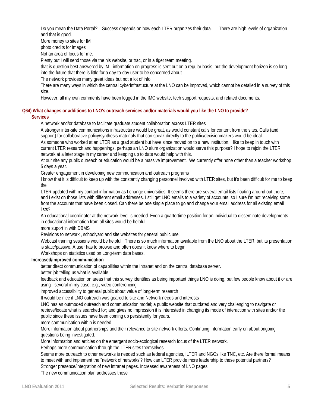Do you mean the Data Portal? Success depends on how each LTER organizes their data. There are high levels of organization and that is good.

More money to sites for IM

photo credits for images

Not an area of focus for me.

Plenty but I will send those via the nis website, or trac, or in a tiger team meeting.

that is question best answered by IM - information on progress is sent out on a regular basis, but the development horizon is so long into the future that there is little for a day-to-day user to be concerned about

The network provides many great ideas but not a lot of info.

There are many ways in which the central cyberinfrastucture at the LNO can be improved, which cannot be detailed in a survey of this size.

However, all my own comments have been logged in the IMC website, tech support requests, and related documents.

# **Q64) What changes or additions to LNO's outreach services and/or materials would you like the LNO to provide?**

### **Services**

A network and/or database to facilitate graduate student collaboration across LTER sites

A stronger inter-site communications infrastructure would be great, as would constant calls for content from the sites. Calls (and support) for collaborative policy/synthesis materials that can speak directly to the public/decisionmakers would be ideal.

As someone who worked at an LTER as a grad student but have since moved on to a new institution, I like to keep in touch with current LTER research and happenings. perhaps an LNO alum organization would serve this purpose? I hope to rejoin the LTER network at a later stage in my career and keeping up to date would help with this.

At our site any public outreach or education would be a massive improvement. We currently offer none other than a teacher workshop 5 days a year.

Greater engagement in developing new communication and outreach programs

I know that it is difficult to keep up with the constantly changing personnel involved with LTER sites, but it's been difficult for me to keep the

LTER updated with my contact information as I change universities. It seems there are several email lists floating around out there, and I exist on those lists with different email addresses. I still get LNO emails to a variety of accounts, so I sure I'm not receiving some from the accounts that have been closed. Can there be one single place to go and change your email address for all existing email lists?

An educational coordinator at the network level is needed. Even a quartertime position for an individual to disseminate developments in educational information from all sites would be helpful.

more suport in with DBMS

Revisions to network , schoolyard and site websites for general public use.

Webcast training sessions would be helpful. There is so much information available from the LNO about the LTER, but its presentation is static/passive. A user has to browse and often doesn't know where to begin.

Workshops on statistics used on Long-term data bases.

#### **Increased/improved communication**

better direct communication of capabilities within the intranet and on the central database server.

better job telling us what is available

feedback and education on areas that this survey identifies as being important things LNO is doing, but few people know about it or are using - several in my case, e.g., video conferencing

improved accessibility to general public about value of long-term research

It would be nice if LNO outreach was geared to site and Network needs and interests

LNO has an outmoded outreach and communication model; a public website that outdated and very challenging to navigate or retrieve/locate what is searched for; and gives no impression it is interested in changing its mode of interaction with sites and/or the public since these issues have been coming up persistently for years.

more communication within is needed

More information about partnerships and their relevance to site-network efforts. Continuing information early on about ongoing questions being investigated.

More information and articles on the emergent socio-ecological research focus of the LTER network.

Perhaps more communication through the LTER sites themselves.

Seems more outreach to other networks is needed such as federal agencies, ILTER and NGOs like TNC, etc. Are there formal means to meet with and implement the "network of networks'? How can LTER provide more leadership to these potential partners?

Stronger presence/integration of new intranet pages. Increased awareness of LNO pages.

The new communication plan addresses these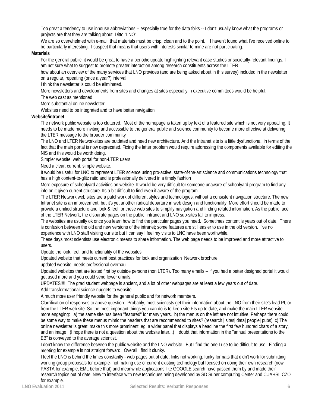Too great a tendency to use inhouse abbreviations -- especially true for the data folks -- I don't usually know what the programs or projects are that they are talking about. Ditto "LNO"

We are so overwhelmed with e-mail, that materials must be crisp, clean and to the point. I haven't found what I've received online to be particularly interesting. I suspect that means that users with interests similar to mine are not participating.

#### **Materials**

For the general public, it would be great to have a periodic update highlighting relevant case studies or societally-relevant findings. I am not sure what to suggest to promote greater interaction among research constituents across the LTER.

how about an overview of the many services that LNO provides (and are being asked about in this survey) included in the newsletter on a regular, repeating (once a year?) interval

I think the newsletter is could be eliminated.

More newsletters and developments from sites and changes at sites especially in executive committees would be helpful.

The web cast as mentioned

More substantial online newsletter

Websites need to be integrated and to have better navigation

### **Website/intranet**

The network public website is too cluttered. Most of the homepage is taken up by text of a featured site which is not very appealing. It needs to be made more inviting and accessible to the general public and science community to become more effective at delivering the LTER message to the broader community

The LNO and LTER Networksites are outdated and need new architecture. And the Intranet site is a little dysfunctional, in terms of the fact that the main portal is now deprecated. Fixing the latter problem would require addressing the components available for editing the NIS and this would be worth doing.

Simpler website web portal for non-LTER users

Need a clear, current, simple website.

It would be useful for LNO to represent LTER science using pro-active, state-of-the-art science and communications technology that has a high content-to-glitz ratio and is professionally delivered in a timely fashion

More exposure of schoolyard activities on website. It would be very difficult for someone unaware of schoolyard program to find any info on it given current structure. Its a bit difficult to find even if aware of the program.

The LTER Network web sites are a patchwork of different styles and technologies, without a consistent navigation structure. The new Intranet site is an improvement, but it's yet another radical departure in web design and functionality. More effort should be made to provide a unified structure and look & feel for these web sites to simplify navigation and finding related information. As the public face of the LTER Network, the disparate pages on the public, intranet and LNO sub-sites fail to impress.

The websites are usually ok once you learn how to find the particular pages you need. Sometimes content is years out of date. There is confusion between the old and new versions of the intranet; some features are still easier to use in the old version. I've no experience with LNO staff visiting our site but I can say I feel my visits to LNO have been worthwhile.

These days most scientists use electronic means to share information. The web page needs to be improved and more attractive to users.

Update the look, feel, and functionality of the websites

Updated website that meets current best practices for look and organization Network brochure

updated website. needs professional overhaul

Updated websites that are tested first by outside persons (non LTER). Too many emails -- if you had a better designed portal it would get used more and you could send fewer emails.

UPDATES!!!! The grad student webpage is ancient, and a lot of other webpages are at least a few years out of date.

Add transformational science nuggets to website

A much more user friendly website for the general public and for network members.

Clarrification of responses to above question: Probably, most scientists get their information about the LNO from their site's lead PI, or from the LTER web site. So the most important things you can do is to keep site PIs up to date, and make the main LTER website more engaging: a) the same site has been "featured" for many years. b) the menus on the left are not intuitive. Perhaps there could be some way to make these menus mimic the headers that are recommended to sites? (research | sites| data| people| pubs) c) The online newsletter is great! make this more prominent, eg, a wider panel that displays a headline the first few hundred chars of a story, and an image (I hope there is not a question about the website later...) I doubt that information in the "annual presentations to the EB" is conveyed to the average scientist.

I don't know the difference between the public website and the LNO website. But I find the one I use to be difficult to use. Finding a meeting for example is not straight forward. Overall I find it clunky.

I feel the LNO is behind the times constantly - web pages out of date, links not working, funky formats that didn't work for submitting working group proposals for example- not making use of current existing technology but focused on doing their own research (now PASTA for example, EML before that) and meanwhile applications like GOOGLE search have passed them by and made their research topics out of date. New to interface with new techniques being developed by SD Super computing Center and CUAHSI, CZO for example.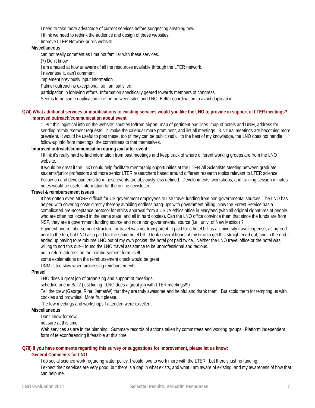I need to take more advantage of current services before suggesting anything new.

I think we need to rethink the audience and design of these websites.

Improve LTER Network public website

#### **Miscellaneous**

can not really comment as I ma not familiar with these services.

(7) Don't know

I am amazed at how unaware of all the resources available through the LTER network.

I never use it, can't comment

implement previously input information

Palmer outreach is exceptional, so I am satisfied.

participation in lobbying efforts. Information specifically geared towards members of congress.

Seems to be some duplication in effort between sites and LNO. Better coordination to avoid duplication.

#### **Q74) What additional services or modifications to existing services would you like the LNO to provide in support of LTER meetings? Improved outreach/communication about event**

1. Put this logistical info on the website: shuttles to/from airport. map of pertinent bus lines. map of hotels and UNM, address for sending reimbursement requests. 2. make the calendar more prominent, and list all meetings. 3. vitural meetings are becoming more prevalent. It would be useful to post these, too (if they can be publicized). to the best of my knowledge, the LNO does not handle follow-up info from meetings, the committees to that themselves.

#### **Improved outreach/communication during and after event**

I think it's really hard to find information from past meetings and keep track of where different working groups are from the LNO website.

It would be great if the LNO could help facilitate mentorship opportunities at the LTER All Scientists Meeting between graduate students/junior professors and more senior LTER researchers based around different research topics relevant to LTER science. Follow-up and developments from these events are obviously less defined. Developments, workshops, and training session minutes notes would be useful information for the online newsletter.

#### **Travel & reimbursement issues**

It has gotten even MORE difficult for US government employees to use travel funding from non-governmental sources. The LNO has helped with covering costs directly thereby avoiding endless hang-ups with government billing. Now the Forest Service has a complicated pre-acceptance protocol for ethics approval from a USDA ethics office in Maryland (with all original signatures of people who are often not located in the same state, and all in hard copies). Can the LNO office convince them that since the funds are from NSF, they are a government funding source and not a non-governmental source (i.e., univ. of New Mexico) ?

Payment and reimbursement structure for travel was not transparent. I paid for a hotel bill as a University travel expense, as agreed prior to the trip, but LNO also paid for the same hotel bill. I took several hours of my time to get this straightened out, and in the end, I ended up having to reimburse LNO out of my own pocket; the hotel got paid twice. Neither the LNO travel office or the hotel was willing to sort this out--I found the LNO travel assistance to be unprofessional and tedious.

put a return address on the reimbursement form itself

some explanations on the reimbursement check would be great

UNM is too slow when processing reimbursements.

#### **Praise!**

LNO does a great job of organizing and support of meetings.

schedule one in Bali? (just kiding - LNO does a great job with LTER meetings!!!)

Tell the crew (George, Rina, JamesW) that they are truly awesome and helpful and thank them. But scold them for tempting us with cookies and brownies! More fruit please.

The few meetings and workshops I attended were excellent.

#### **Miscellaneous**

Don't know for now

#### not sure at this time

Web services as are in the planning. Summary records of actions taken by committees and working groups. Platform independent form of teleconferencing if feasible at this time.

#### **Q78) If you have comments regarding this survey or suggestions for improvement, please let us know: General Comments for LNO**

I do social science work regarding water policy. I would love to work more with the LTER, but there's just no funding. I expect their services are very good, but there is a gap in what exists, and what I am aware of existing, and my awareness of how that can help me.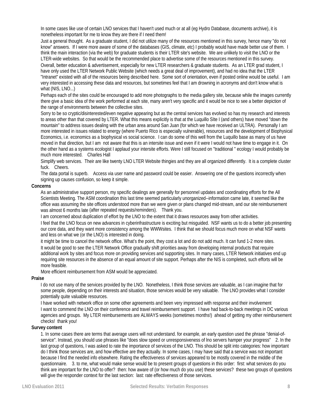In some cases like use of certain LNO services that I haven't used much or at all (eg Hydro Database, documents archive), it is nonetheless important for me to know they are there if I need them!

Just a general thought. As a graduate student, I did not utilize many of the resources mentioned in this survey, hence many "do not know" answers. If I were more aware of some of the databases (GIS, climate, etc) I probably would have made better use of them. I think the main interaction (via the web) for graduate students is their LTER site's website. We are unlikely to visit the LNO or the LTER-wide websites. So that would be the recommended place to advertise some of the resources mentioned in this survey. Overall, better education & advertisement, especially for new LTER researchers & graduate students. As an LTER grad student, I have only used the LTER Network Public Website (which needs a great deal of improvement), and had no idea that the LTER "Intranet" existed with all of the resources being described here. Some sort of orientation, even if posted online would be useful. I am very interested in accessing these data and resources, but sometimes feel that I am drowning in acronyms and don't know what is what (NIS, LNO...)

Perhaps each of the sites could be encouraged to add more photographs to the media gallery site, because while the images currently there give a basic idea of the work performed at each site, many aren't very specific and it would be nice to see a better depiction of the range of environments between the collective sites.

Sorry to be so cryptic/disinterested/even negative appearing but as the central services has evolved so has my research and interests to areas other than that covered by LTER. What this means explicitly is that at the Luquillo SIte I (and others) have moved "down the mountain" to address issues dealing with the urban area around San Juan (for which we have received an ULTRA). Personally I am more interested in issues related to energy (where Puerto RIco is especially vulnerable), resources and the development of Biophysical Economics, i.e. economics as a biophysical vs social science. I can do some of this well from the Luquillo base as many of us have moved in that direction, but I am not aware that this is an intersite issue and even if it were I would not have time to engage in it. On the other hand as a systems ecologist I applaud your intersite efforts. Were I still focused on "traditional " ecology I would probably be much more interested. Charles Hall

Simplify web services. Their are like twenty LNO LTER Website thingies and they are all organized differently. It is a complete cluster fuck. Cheers.

The data portal is superb. Access via user name and password could be easier. Answering one of the questions incorrectly when signing up causes confusion, so keep it simple.

#### **Concerns**

As an administrative support person, my specific dealings are generally for personnel updates and coordinating efforts for the All Scientists Meeting. The ASM coordination this last time seemed particularly unorganized--information came late, it seemed like the office was assuming the site offices understood more than we were given or plans changed mid-stream, and our site reimbursement was almost 6 months late (after repeated requests/reminders). Thank you.

I am concerned about duplication of effort by the LNO to the extent that it draws resources away from other activities.

I feel that the LNO focus on new advances in cyberinfrastructure is exciting but misguided. NSF wants us to do a better job presenting our core data, and they want more consistency among the WWWsites. I think that we should focus much more on what NSF wants and less on what we (or the LNO) is interested in doing.

it might be time to cancel the network office. What's the point, they cost a lot and do not add much. It can fund 1-2 more sites. It would be good to see the LTER Network Office gradually shift priorities away from developing internal products that require additional work by sites and focus more on providing services and supporting sites. In many cases, LTER Network initiatives end up requiring site resources in the absence of an equal amount of site support. Perhaps after the NIS is completed, such efforts will be more feasible.

More efficient reimbursement from ASM would be appreciated.

#### **Praise**

I do not use many of the services provided by the LNO. Nonetheless, I think those services are valuable, as I can imagine that for some people, depending on their interests and situation, those services would be very valuable. The LNO provides what I consider potentially quite valuable resources.

I have worked with network office on some other agreements and been very impressed with response and their involvement I want to commend the LNO on their conference and travel reimbursement support. I have had back-to-back meetings in DC various agencies and groups. My LTER reimbursements are ALWAYS weeks (sometimes months!) ahead of getting my other reimbursement checks! thank you!

#### **Survey content**

1. In some cases there are terms that average users will not understand. for example, an early question used the phrase "denial-ofservice". Instead, you should use phrases like "does slow speed or unresponsiveness of lno servers hamper your progress" 2. In the last group of questions, I was asked to rate the importance of services of the LNO. This should be split into categories: how important do I think those services are, and how effective are they actually. In some cases, I may have said that a service was not important because I find the needed info elsewhere. Rating the effectiveness of services appeared to be mostly covered in the middle of the questionnaire. 3. to me, what would make sense would be to present groups of questions in this order: first: what services do you think are important for the LNO to offer? then: how aware of (or how much do you use) these services? these two groups of questions will give the responder context for the last section: last: rate effectiveness of those services.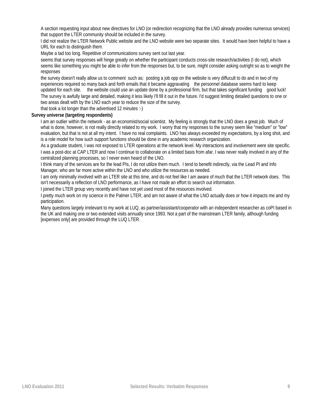A section requesting input about new directives for LNO (or redirection recognizing that the LNO already provides numerous services) that support the LTER community should be included in the survey.

I did not realize the LTER Network Public website and the LNO website were two separate sites. It would have been helpful to have a URL for each to distinguish them.

Maybe a tad too long. Repetitive of communications survey sent out last year.

seems that survey responses will hinge greatly on whether the participant conducts cross-site research/activities (I do not), which seems like something you might be able to infer from the responses but, to be sure, might consider asking outright so as to weight the responses

the survey doesn't really allow us to comment such as: posting a job opp on the website is very diffucult to do and in two of my experiences required so many back and forth emails that it became aggravating the personnel database seems hard to keep updated for each site. the website could use an update done by a professional firm, but that takes significant funding good luck! The survey is awfully large and detailed, making it less likely I'll fill it out in the future. I'd suggest limiting detailed questions to one or two areas dealt with by the LNO each year to reduce the size of the survey.

that took a lot longer than the advertised 12 minutes :-)

### **Survey universe (targeting respondents)**

I am an outlier within the network - as an economist/social scientist. My feeling is strongly that the LNO does a great job. Much of what is done, however, is not really directly related to my work. I worry that my responses to the survey seem like "medium" or "low" evaluation, but that is not at all my intent. I have no real complaints. LNO has always exceeded my expectations, by a long shot, and is a role model for how such support functions should be done in any academic research organization.

As a graduate student, I was not exposed to LTER operations at the network level. My interactions and involvement were site specific. I was a post-doc at CAP LTER and now I continue to collaborate on a limited basis from afar. I was never really involved in any of the centralized planning processes, so I never even heard of the LNO.

I think many of the services are for the lead PIs, I do not utilize them much. I tend to benefit indirectly, via the Lead PI and Info Manager, who are far more active within the LNO and who utilize the resources as needed.

I am only minimally involved with an LTER site at this time, and do not feel like I am aware of much that the LTER network does. This isn't necessarily a reflection of LNO performance, as I have not made an effort to search out information.

I joined the LTER group very recently and have not yet used most of the resources involved.

I pretty much work on my science in the Palmer LTER, and am not aware of what the LNO actually does or how it impacts me and my participation.

Many questions largely irrelevant to my work at LUQ, as partner/assistant/cooperator with an independent researcher as coPI based in the UK and making one or two extended visits annually since 1993. Not a part of the mainstream LTER family, although funding [expenses only] are provided through the LUQ LTER.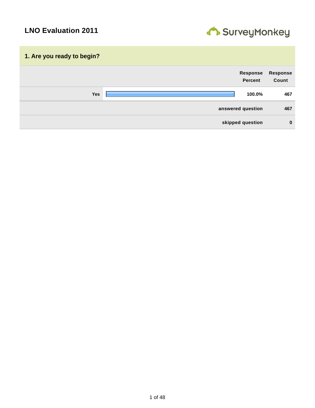

| 1. Are you ready to begin? |                            |                          |
|----------------------------|----------------------------|--------------------------|
|                            | Response<br><b>Percent</b> | <b>Response</b><br>Count |
| <b>Yes</b>                 | 100.0%                     | 467                      |
|                            | answered question          | 467                      |
|                            | skipped question           | $\mathbf 0$              |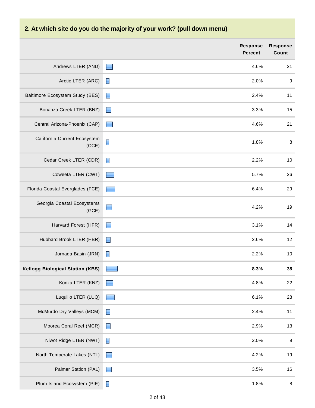# **2. At which site do you do the majority of your work? (pull down menu)**

|                                         | <b>Response</b><br><b>Percent</b> | <b>Response</b><br>Count |
|-----------------------------------------|-----------------------------------|--------------------------|
| Andrews LTER (AND)                      | 4.6%<br>E                         | 21                       |
| Arctic LTER (ARC)                       | 2.0%<br>$\blacksquare$            | $\boldsymbol{9}$         |
| Baltimore Ecosystem Study (BES)         | $\blacksquare$<br>2.4%            | 11                       |
| Bonanza Creek LTER (BNZ)                | 3.3%<br>E                         | 15                       |
| Central Arizona-Phoenix (CAP)           | 4.6%<br><b>First</b>              | 21                       |
| California Current Ecosystem<br>(CCE)   | $\blacksquare$<br>1.8%            | $\bf 8$                  |
| Cedar Creek LTER (CDR)                  | $\blacksquare$<br>2.2%            | 10                       |
| Coweeta LTER (CWT)                      | 5.7%                              | 26                       |
| Florida Coastal Everglades (FCE)        | 6.4%                              | 29                       |
| Georgia Coastal Ecosystems<br>(GCE)     | 4.2%<br>$\blacksquare$            | 19                       |
| Harvard Forest (HFR)                    | 3.1%<br>E                         | 14                       |
| Hubbard Brook LTER (HBR)                | $\blacksquare$<br>2.6%            | 12                       |
| Jornada Basin (JRN)                     | $\blacksquare$<br>2.2%            | 10                       |
| <b>Kellogg Biological Station (KBS)</b> | 8.3%                              | 38                       |
| Konza LTER (KNZ)                        | 4.8%                              | 22                       |
| Luquillo LTER (LUQ)                     | 6.1%<br>نے ک                      | 28                       |
| McMurdo Dry Valleys (MCM)               | $\blacksquare$<br>2.4%            | 11                       |
| Moorea Coral Reef (MCR)                 | 2.9%<br>$\blacksquare$            | 13                       |
| Niwot Ridge LTER (NWT)                  | $\blacksquare$<br>2.0%            | $\boldsymbol{9}$         |
| North Temperate Lakes (NTL)             | 4.2%<br>E                         | 19                       |
| Palmer Station (PAL)                    | 3.5%<br>$\blacksquare$            | 16                       |
| Plum Island Ecosystem (PIE)             | $\blacksquare$<br>1.8%            | 8                        |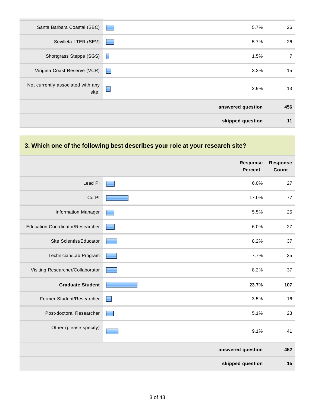| ▉<br>2.9%<br>site.<br>answered question<br>skipped question | 456<br>11      |
|-------------------------------------------------------------|----------------|
|                                                             |                |
|                                                             |                |
| Not currently associated with any                           | 13             |
| Virigina Coast Reserve (VCR)<br>3.3%<br><b>For</b>          | 15             |
| Shortgrass Steppe (SGS) <b>□</b><br>1.5%                    | $\overline{7}$ |
| Sevilleta LTER (SEV)<br>5.7%<br><b>The Contract</b>         | 26             |
| Santa Barbara Coastal (SBC)<br>5.7%                         | 26             |

# **3. Which one of the following best describes your role at your research site?**

|                                         | Response<br><b>Percent</b> | <b>Response</b><br>Count |
|-----------------------------------------|----------------------------|--------------------------|
| Lead PI                                 | 6.0%                       | 27                       |
| Co <sub>PI</sub>                        | 17.0%                      | $77 \,$                  |
| <b>Information Manager</b>              | 5.5%                       | 25                       |
| <b>Education Coordinator/Researcher</b> | 6.0%                       | 27                       |
| Site Scientist/Educator                 | 8.2%                       | 37                       |
| Technician/Lab Program                  | 7.7%                       | 35                       |
| Visiting Researcher/Collaborator        | 8.2%                       | 37                       |
| <b>Graduate Student</b>                 | 23.7%                      | 107                      |
| Former Student/Researcher               | 3.5%<br>▉                  | 16                       |
| Post-doctoral Researcher                | 5.1%                       | 23                       |
| Other (please specify)                  | 9.1%                       | 41                       |
|                                         | answered question          | 452                      |
|                                         | skipped question           | 15                       |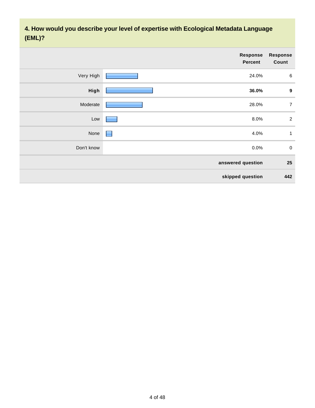**4. How would you describe your level of expertise with Ecological Metadata Language (EML)?**

|            | <b>Response</b><br><b>Percent</b> | <b>Response</b><br>Count |
|------------|-----------------------------------|--------------------------|
| Very High  | 24.0%                             | $\,6\,$                  |
| High       | 36.0%                             | $\boldsymbol{9}$         |
| Moderate   | 28.0%                             | $\overline{7}$           |
| Low        | 8.0%                              | $\sqrt{2}$               |
| None       | 4.0%<br>E.                        | $\mathbf{1}$             |
| Don't know | 0.0%                              | $\pmb{0}$                |
|            | answered question                 | 25                       |
|            | skipped question                  | 442                      |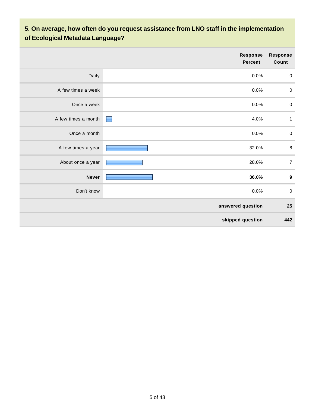# **5. On average, how often do you request assistance from LNO staff in the implementation of Ecological Metadata Language?**

|                     | Response<br><b>Percent</b> | <b>Response</b><br>Count |
|---------------------|----------------------------|--------------------------|
| Daily               | 0.0%                       | $\pmb{0}$                |
| A few times a week  | 0.0%                       | $\pmb{0}$                |
| Once a week         | 0.0%                       | $\pmb{0}$                |
| A few times a month | 4.0%<br><b>Formation</b>   | 1                        |
| Once a month        | 0.0%                       | $\pmb{0}$                |
| A few times a year  | 32.0%                      | $\, 8$                   |
| About once a year   | 28.0%                      | $\boldsymbol{7}$         |
| <b>Never</b>        | 36.0%                      | $\boldsymbol{9}$         |
| Don't know          | 0.0%                       | $\pmb{0}$                |
|                     | answered question          | 25                       |
|                     | skipped question           | 442                      |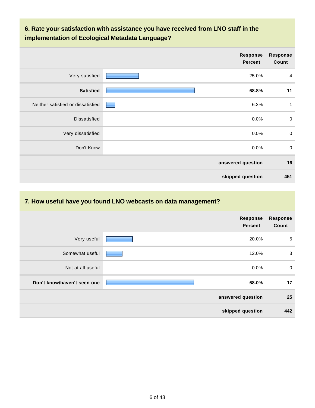# **6. Rate your satisfaction with assistance you have received from LNO staff in the implementation of Ecological Metadata Language?**

|                                   | <b>Response</b><br><b>Percent</b> | <b>Response</b><br>Count |
|-----------------------------------|-----------------------------------|--------------------------|
| Very satisfied                    | 25.0%                             | $\overline{a}$           |
| <b>Satisfied</b>                  | 68.8%                             | 11                       |
| Neither satisfied or dissatisfied | 6.3%                              | 1                        |
| <b>Dissatisfied</b>               | 0.0%                              | $\boldsymbol{0}$         |
| Very dissatisfied                 | 0.0%                              | $\mathbf 0$              |
| Don't Know                        | 0.0%                              | $\mathbf 0$              |
|                                   | answered question                 | 16                       |
|                                   | skipped question                  | 451                      |

# **7. How useful have you found LNO webcasts on data management?**

|                             | <b>Response</b><br><b>Percent</b> | <b>Response</b><br>Count |
|-----------------------------|-----------------------------------|--------------------------|
| Very useful                 | 20.0%                             | $\sqrt{5}$               |
| Somewhat useful             | 12.0%                             | 3                        |
| Not at all useful           | $0.0\%$                           | $\mathbf 0$              |
| Don't know/haven't seen one | 68.0%                             | 17                       |
|                             | answered question                 | 25                       |
|                             | skipped question                  | 442                      |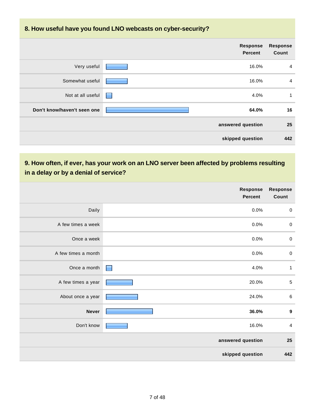# **8. How useful have you found LNO webcasts on cyber-security?**

|                             |   | <b>Response</b><br><b>Percent</b> | <b>Response</b><br>Count |
|-----------------------------|---|-----------------------------------|--------------------------|
| Very useful                 |   | 16.0%                             | $\overline{4}$           |
| Somewhat useful             |   | 16.0%                             | $\overline{4}$           |
| Not at all useful           | ٠ | 4.0%                              | 1                        |
| Don't know/haven't seen one |   | 64.0%                             | 16                       |
|                             |   | answered question                 | 25                       |
|                             |   | skipped question                  | 442                      |

# **9. How often, if ever, has your work on an LNO server been affected by problems resulting in a delay or by a denial of service?**

|                     | <b>Response</b><br><b>Percent</b> | <b>Response</b><br>Count |
|---------------------|-----------------------------------|--------------------------|
| Daily               | 0.0%                              | $\pmb{0}$                |
| A few times a week  | 0.0%                              | $\pmb{0}$                |
| Once a week         | 0.0%                              | $\pmb{0}$                |
| A few times a month | 0.0%                              | $\pmb{0}$                |
| Once a month        | 4.0%<br>$\blacksquare$            | $\mathbf{1}$             |
| A few times a year  | 20.0%                             | $\sqrt{5}$               |
| About once a year   | 24.0%                             | $\,6\,$                  |
| <b>Never</b>        | 36.0%                             | $\boldsymbol{9}$         |
| Don't know          | 16.0%                             | $\overline{4}$           |
|                     | answered question                 | 25                       |
|                     | skipped question                  | 442                      |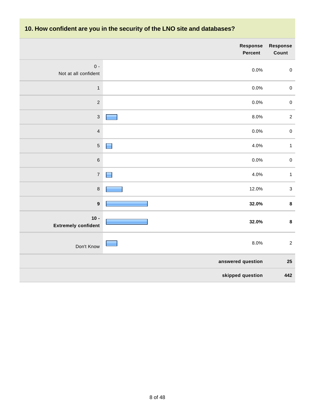# **10. How confident are you in the security of the LNO site and databases?**

|                                      | Response<br>Percent | Response<br>Count |
|--------------------------------------|---------------------|-------------------|
| $0 -$<br>Not at all confident        | 0.0%                | $\pmb{0}$         |
| $\mathbf{1}$                         | 0.0%                | $\pmb{0}$         |
| $\mathbf 2$                          | 0.0%                | $\pmb{0}$         |
| $\mathbf{3}$                         | 8.0%                | $\mathbf 2$       |
| $\overline{4}$                       | 0.0%                | $\pmb{0}$         |
| $\sqrt{5}$                           | 4.0%                | $\mathbf{1}$      |
| $\,6\,$                              | 0.0%                | $\mathbf 0$       |
| $\overline{7}$                       | 4.0%                | $\mathbf{1}$      |
| $\,8\,$                              | 12.0%               | $\mathbf{3}$      |
| $\boldsymbol{9}$                     | 32.0%               | $\bf 8$           |
| $10 -$<br><b>Extremely confident</b> | 32.0%               | $\pmb{8}$         |
| Don't Know                           | 8.0%                | $\sqrt{2}$        |
|                                      | answered question   | 25                |
|                                      | skipped question    | 442               |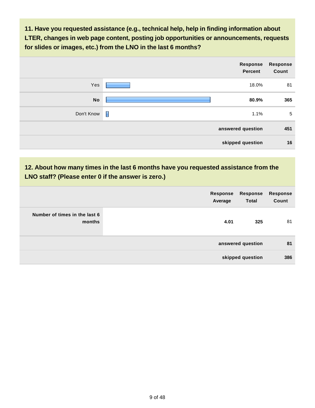**11. Have you requested assistance (e.g., technical help, help in finding information about LTER, changes in web page content, posting job opportunities or announcements, requests for slides or images, etc.) from the LNO in the last 6 months?**

|            |                          | Response<br>Percent | <b>Response</b><br>Count |
|------------|--------------------------|---------------------|--------------------------|
| Yes        |                          | 18.0%               | 81                       |
| <b>No</b>  |                          | 80.9%               | 365                      |
| Don't Know | $\overline{\phantom{a}}$ | 1.1%                | $\sqrt{5}$               |
|            |                          | answered question   | 451                      |
|            |                          | skipped question    | 16                       |

# **12. About how many times in the last 6 months have you requested assistance from the LNO staff? (Please enter 0 if the answer is zero.)**

|                                         | Response<br>Response<br><b>Total</b><br>Average | Response<br>Count |
|-----------------------------------------|-------------------------------------------------|-------------------|
| Number of times in the last 6<br>months | 4.01                                            | 81<br>325         |
|                                         | answered question                               | 81                |
|                                         | skipped question                                | 386               |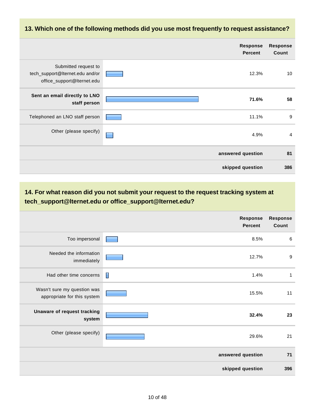#### **13. Which one of the following methods did you use most frequently to request assistance?**

|                                                                                       | <b>Response</b><br><b>Percent</b> | <b>Response</b><br>Count |
|---------------------------------------------------------------------------------------|-----------------------------------|--------------------------|
| Submitted request to<br>tech_support@Iternet.edu and/or<br>office_support@Iternet.edu | 12.3%                             | 10                       |
| Sent an email directly to LNO<br>staff person                                         | 71.6%                             | 58                       |
| Telephoned an LNO staff person                                                        | 11.1%                             | 9                        |
| Other (please specify)                                                                | 4.9%                              | $\overline{4}$           |
|                                                                                       | answered question                 | 81                       |
|                                                                                       | skipped question                  | 386                      |

### **14. For what reason did you not submit your request to the request tracking system at tech\_support@lternet.edu or office\_support@lternet.edu?**

|                                                            | <b>Response</b><br><b>Percent</b> | <b>Response</b><br>Count |
|------------------------------------------------------------|-----------------------------------|--------------------------|
| Too impersonal                                             | 8.5%                              | 6                        |
| Needed the information<br>immediately                      | 12.7%                             | 9                        |
| Had other time concerns                                    | $\blacksquare$<br>1.4%            | 1                        |
| Wasn't sure my question was<br>appropriate for this system | 15.5%                             | 11                       |
| Unaware of request tracking<br>system                      | 32.4%                             | 23                       |
| Other (please specify)                                     | 29.6%                             | 21                       |
|                                                            | answered question                 | 71                       |
|                                                            | skipped question                  | 396                      |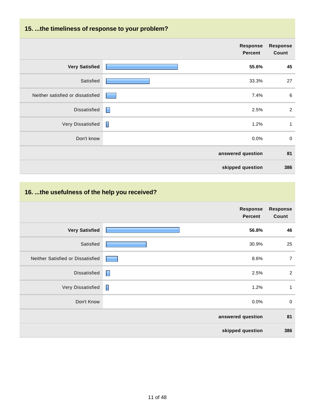# **15. ...the timeliness of response to your problem?**

|                                   | Response<br><b>Percent</b> | <b>Response</b><br>Count |
|-----------------------------------|----------------------------|--------------------------|
| <b>Very Satisfied</b>             | 55.6%                      | 45                       |
| Satisfied                         | 33.3%                      | 27                       |
| Neither satisfied or dissatisfied | 7.4%                       | $\,6\,$                  |
| Dissatisfied                      | $\blacksquare$<br>2.5%     | $\overline{2}$           |
| Very Dissatisfied                 | $\blacksquare$<br>1.2%     | $\mathbf{1}$             |
| Don't know                        | $0.0\%$                    | $\boldsymbol{0}$         |
|                                   | answered question          | 81                       |
|                                   | skipped question           | 386                      |

# **16. ...the usefulness of the help you received?**

|                                   | <b>Response</b><br>Percent | <b>Response</b><br>Count |
|-----------------------------------|----------------------------|--------------------------|
| <b>Very Satisfied</b>             | 56.8%                      | 46                       |
| Satisfied                         | 30.9%                      | 25                       |
| Neither Satisfied or Dissatisfied | 8.6%                       | $\overline{7}$           |
| Dissatisfied                      | 2.5%                       | $\overline{2}$           |
| Very Dissatisfied                 | $\blacksquare$<br>1.2%     | $\mathbf{1}$             |
| Don't Know                        | 0.0%                       | $\boldsymbol{0}$         |
|                                   | answered question          | 81                       |
|                                   | skipped question           | 386                      |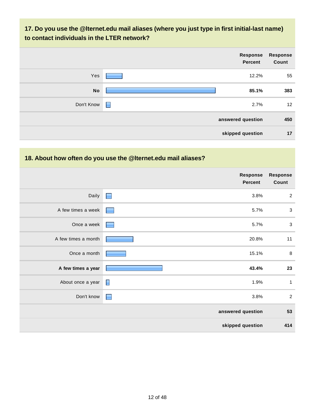## **17. Do you use the @lternet.edu mail aliases (where you just type in first initial-last name) to contact individuals in the LTER network?**

|            |                | Response<br>Percent | <b>Response</b><br>Count |
|------------|----------------|---------------------|--------------------------|
| Yes        |                | 12.2%               | 55                       |
| <b>No</b>  |                | 85.1%               | 383                      |
| Don't Know | $\blacksquare$ | 2.7%                | 12                       |
|            |                | answered question   | 450                      |
|            |                | skipped question    | 17                       |

#### **18. About how often do you use the @lternet.edu mail aliases?**

|                     | Response<br><b>Percent</b> | <b>Response</b><br>Count |
|---------------------|----------------------------|--------------------------|
| Daily               | 3.8%<br>$\blacksquare$     | $\overline{2}$           |
| A few times a week  | 5.7%                       | $\sqrt{3}$               |
| Once a week         | 5.7%                       | $\sqrt{3}$               |
| A few times a month | 20.8%                      | 11                       |
| Once a month        | 15.1%                      | 8                        |
| A few times a year  | 43.4%                      | 23                       |
| About once a year   | E<br>1.9%                  | $\mathbf{1}$             |
| Don't know          | 3.8%<br>E                  | $\overline{2}$           |
|                     | answered question          | 53                       |
|                     | skipped question           | 414                      |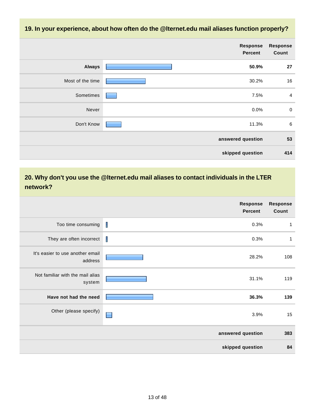**19. In your experience, about how often do the @lternet.edu mail aliases function properly?**

|                  | <b>Response</b><br>Percent | Response<br>Count |
|------------------|----------------------------|-------------------|
| <b>Always</b>    | 50.9%                      | 27                |
| Most of the time | 30.2%                      | 16                |
| Sometimes        | 7.5%                       | $\overline{a}$    |
| Never            | 0.0%                       | $\mathbf 0$       |
| Don't Know       | 11.3%                      | $\,6$             |
|                  | answered question          | 53                |
|                  | skipped question           | 414               |

### **20. Why don't you use the @lternet.edu mail aliases to contact individuals in the LTER network?**

|                                             | <b>Response</b><br><b>Percent</b> | <b>Response</b><br>Count |
|---------------------------------------------|-----------------------------------|--------------------------|
| Too time consuming                          | T<br>0.3%                         | $\mathbf{1}$             |
| They are often incorrect                    | $\mathbf I$<br>0.3%               | 1                        |
| It's easier to use another email<br>address | 28.2%                             | 108                      |
| Not familiar with the mail alias<br>system  | 31.1%                             | 119                      |
| Have not had the need                       | 36.3%                             | 139                      |
| Other (please specify)                      | 3.9%                              | 15                       |
|                                             | answered question                 | 383                      |
|                                             | skipped question                  | 84                       |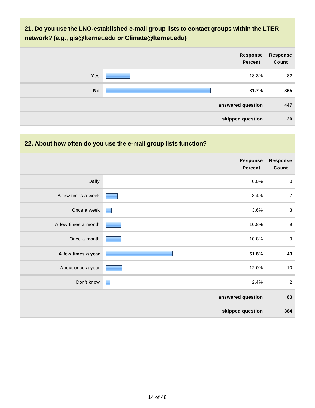### **21. Do you use the LNO-established e-mail group lists to contact groups within the LTER network? (e.g., gis@lternet.edu or Climate@lternet.edu)**

|           | Response<br>Percent | <b>Response</b><br>Count |
|-----------|---------------------|--------------------------|
| Yes       | 18.3%               | 82                       |
| <b>No</b> | 81.7%               | 365                      |
|           | answered question   | 447                      |
|           | skipped question    | 20                       |

### **22. About how often do you use the e-mail group lists function?**

|                     | <b>Response</b><br><b>Percent</b> | <b>Response</b><br>Count |
|---------------------|-----------------------------------|--------------------------|
| Daily               | 0.0%                              | $\boldsymbol{0}$         |
| A few times a week  | 8.4%                              | $\overline{7}$           |
| Once a week         | 3.6%<br>Е                         | $\sqrt{3}$               |
| A few times a month | 10.8%                             | $\boldsymbol{9}$         |
| Once a month        | 10.8%                             | $\boldsymbol{9}$         |
| A few times a year  | 51.8%                             | 43                       |
| About once a year   | 12.0%                             | 10                       |
| Don't know          | ▉<br>2.4%                         | $\overline{2}$           |
|                     | answered question                 | 83                       |
|                     | skipped question                  | 384                      |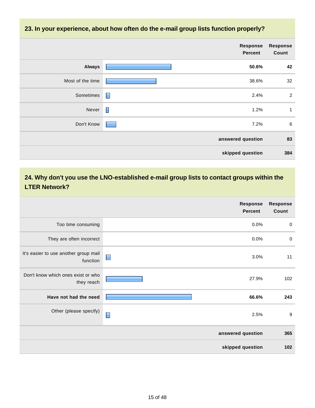#### **23. In your experience, about how often do the e-mail group lists function properly?**

|                  | Response<br><b>Percent</b> | <b>Response</b><br>Count |
|------------------|----------------------------|--------------------------|
| <b>Always</b>    | 50.6%                      | 42                       |
| Most of the time | 38.6%                      | 32                       |
| Sometimes        | $\blacksquare$<br>2.4%     | 2                        |
| Never            | Γ<br>1.2%                  | 1                        |
| Don't Know       | 7.2%                       | 6                        |
|                  | answered question          | 83                       |
|                  | skipped question           | 384                      |

### **24. Why don't you use the LNO-established e-mail group lists to contact groups within the LTER Network?**

|                                                   | <b>Response</b><br><b>Percent</b> | <b>Response</b><br>Count |
|---------------------------------------------------|-----------------------------------|--------------------------|
| Too time consuming                                | 0.0%                              | $\mathbf 0$              |
| They are often incorrect                          | 0.0%                              | $\mathbf 0$              |
| It's easier to use another group mail<br>function | $\blacksquare$<br>3.0%            | 11                       |
| Don't know which ones exist or who<br>they reach  | 27.9%                             | 102                      |
| Have not had the need                             | 66.6%                             | 243                      |
| Other (please specify)                            | ▉<br>2.5%                         | 9                        |
|                                                   | answered question                 | 365                      |
|                                                   | skipped question                  | 102                      |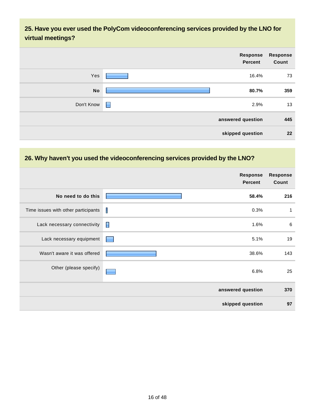### **25. Have you ever used the PolyCom videoconferencing services provided by the LNO for virtual meetings?**

| <b>Response</b><br><b>Response</b><br>Count<br>Percent<br>Yes<br>73<br>16.4%<br><b>No</b><br>80.7%<br>359<br>13<br>Don't Know<br>2.9%<br>H<br>445<br>answered question<br>22<br>skipped question |  |  |
|--------------------------------------------------------------------------------------------------------------------------------------------------------------------------------------------------|--|--|
|                                                                                                                                                                                                  |  |  |
|                                                                                                                                                                                                  |  |  |
|                                                                                                                                                                                                  |  |  |
|                                                                                                                                                                                                  |  |  |
|                                                                                                                                                                                                  |  |  |
|                                                                                                                                                                                                  |  |  |

#### **26. Why haven't you used the videoconferencing services provided by the LNO?**

|                                     |   | <b>Response</b><br><b>Percent</b> | <b>Response</b><br>Count |
|-------------------------------------|---|-----------------------------------|--------------------------|
| No need to do this                  |   | 58.4%                             | 216                      |
| Time issues with other participants | T | 0.3%                              | 1                        |
| Lack necessary connectivity         | П | 1.6%                              | 6                        |
| Lack necessary equipment            |   | 5.1%                              | 19                       |
| Wasn't aware it was offered         |   | 38.6%                             | 143                      |
| Other (please specify)              |   | 6.8%                              | 25                       |
|                                     |   | answered question                 | 370                      |
|                                     |   | skipped question                  | 97                       |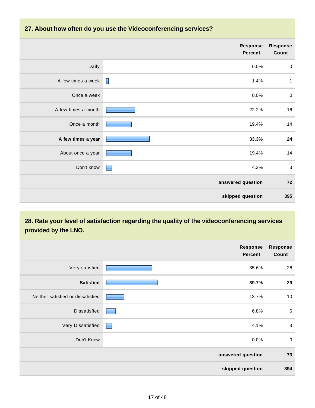#### **27. About how often do you use the Videoconferencing services?**

|                     | Response<br><b>Percent</b> | <b>Response</b><br>Count |
|---------------------|----------------------------|--------------------------|
| Daily               | 0.0%                       | $\mathbf 0$              |
| A few times a week  | I<br>1.4%                  | $\mathbf{1}$             |
| Once a week         | 0.0%                       | $\pmb{0}$                |
| A few times a month | 22.2%                      | 16                       |
| Once a month        | 19.4%                      | 14                       |
| A few times a year  | 33.3%                      | 24                       |
| About once a year   | 19.4%                      | 14                       |
| Don't know          | 4.2%<br>٠                  | $\mathbf{3}$             |
|                     | answered question          | 72                       |
|                     | skipped question           | 395                      |

### **28. Rate your level of satisfaction regarding the quality of the videoconferencing services provided by the LNO.**

|                                   | <b>Response</b><br><b>Percent</b> | <b>Response</b><br>Count |
|-----------------------------------|-----------------------------------|--------------------------|
| Very satisfied                    | 35.6%                             | 26                       |
| <b>Satisfied</b>                  | 39.7%                             | 29                       |
| Neither satisfied or dissatisfied | 13.7%                             | 10                       |
| Dissatisfied                      | 6.8%                              | $\sqrt{5}$               |
| Very Dissatisfied                 | 4.1%<br>L.                        | $\mathbf{3}$             |
| Don't Know                        | 0.0%                              | $\mathbf 0$              |
|                                   | answered question                 | 73                       |
|                                   | skipped question                  | 394                      |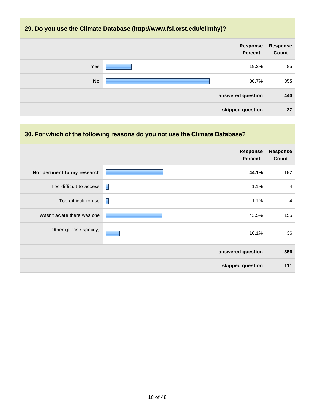#### **29. Do you use the Climate Database (http://www.fsl.orst.edu/climhy)?**



#### **30. For which of the following reasons do you not use the Climate Database?**

|                              | Response<br><b>Percent</b> | <b>Response</b><br>Count |
|------------------------------|----------------------------|--------------------------|
| Not pertinent to my research | 44.1%                      | 157                      |
| Too difficult to access      | П<br>1.1%                  | $\overline{4}$           |
| Too difficult to use         | Π<br>1.1%                  | $\overline{4}$           |
| Wasn't aware there was one   | 43.5%                      | 155                      |
| Other (please specify)       | 10.1%                      | 36                       |
|                              | answered question          | 356                      |
|                              | skipped question           | 111                      |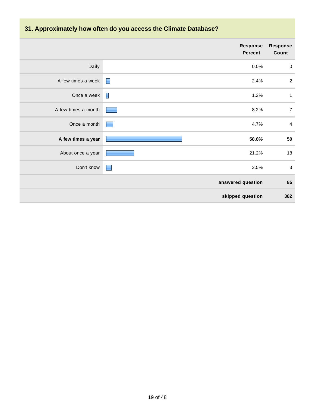# **31. Approximately how often do you access the Climate Database?**

|                     |                | <b>Response</b><br><b>Percent</b> | <b>Response</b><br>Count |
|---------------------|----------------|-----------------------------------|--------------------------|
| Daily               |                | 0.0%                              | $\boldsymbol{0}$         |
| A few times a week  | $\blacksquare$ | 2.4%                              | $\sqrt{2}$               |
| Once a week         | Π              | 1.2%                              | $\mathbf{1}$             |
| A few times a month |                | 8.2%                              | $\overline{7}$           |
| Once a month        |                | 4.7%                              | $\overline{a}$           |
| A few times a year  |                | 58.8%                             | 50                       |
| About once a year   |                | 21.2%                             | 18                       |
| Don't know          | н              | 3.5%                              | $\mathbf{3}$             |
|                     |                | answered question                 | 85                       |
|                     |                | skipped question                  | 382                      |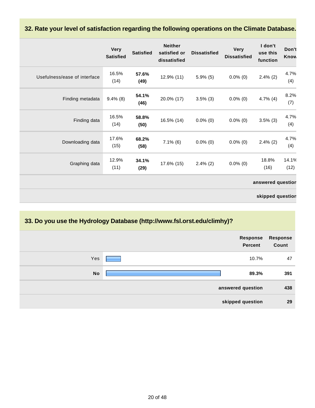#### **32. Rate your level of satisfaction regarding the following operations on the Climate Database.**

|                              | <b>Very</b><br><b>Satisfied</b> | <b>Satisfied</b> | <b>Neither</b><br>satisfied or<br>dissatisfied | <b>Dissatisfied</b> | <b>Very</b><br><b>Dissatisfied</b> | I don't<br>use this<br>function | Don't<br>Know |
|------------------------------|---------------------------------|------------------|------------------------------------------------|---------------------|------------------------------------|---------------------------------|---------------|
| Usefulness/ease of interface | 16.5%<br>(14)                   | 57.6%<br>(49)    | 12.9% (11)                                     | $5.9\%$ (5)         | $0.0\%$ (0)                        | $2.4\%$ (2)                     | 4.7%<br>(4)   |
| Finding metadata             | $9.4\%$ (8)                     | 54.1%<br>(46)    | 20.0% (17)                                     | $3.5\%$ (3)         | $0.0\%$ (0)                        | $4.7\%$ (4)                     | 8.2%<br>(7)   |
| Finding data                 | 16.5%<br>(14)                   | 58.8%<br>(50)    | 16.5% (14)                                     | $0.0\%$ (0)         | $0.0\%$ (0)                        | $3.5\%$ (3)                     | 4.7%<br>(4)   |
| Downloading data             | 17.6%<br>(15)                   | 68.2%<br>(58)    | $7.1\%$ (6)                                    | $0.0\%$ (0)         | $0.0\%$ (0)                        | $2.4\%$ (2)                     | 4.7%<br>(4)   |
| Graphing data                | 12.9%<br>(11)                   | 34.1%<br>(29)    | 17.6% (15)                                     | $2.4\%$ (2)         | $0.0\%$ (0)                        | 18.8%<br>(16)                   | 14.1%<br>(12) |
|                              |                                 |                  |                                                |                     |                                    | answered question               |               |
|                              |                                 |                  |                                                |                     |                                    | skipped question                |               |

### **33. Do you use the Hydrology Database (http://www.fsl.orst.edu/climhy)?**

| Response<br>Count | Response<br>Percent |           |
|-------------------|---------------------|-----------|
| 47                | 10.7%               | Yes       |
| 391               | 89.3%               | <b>No</b> |
| 438               | answered question   |           |
| 29                | skipped question    |           |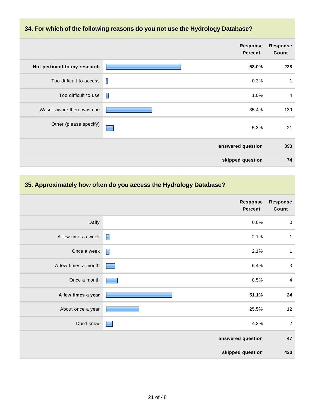#### **34. For which of the following reasons do you not use the Hydrology Database?**

|                              |   | Response<br><b>Percent</b> | <b>Response</b><br>Count |
|------------------------------|---|----------------------------|--------------------------|
| Not pertinent to my research |   | 58.0%                      | 228                      |
| Too difficult to access      | П | 0.3%                       | 1                        |
| Too difficult to use         | П | 1.0%                       | $\overline{4}$           |
| Wasn't aware there was one   |   | 35.4%                      | 139                      |
| Other (please specify)       |   | 5.3%                       | 21                       |
|                              |   | answered question          | 393                      |
|                              |   | skipped question           | 74                       |

### **35. Approximately how often do you access the Hydrology Database?**

|                     | Response<br><b>Percent</b> | <b>Response</b><br>Count |
|---------------------|----------------------------|--------------------------|
| Daily               | 0.0%                       | $\mathbf 0$              |
| A few times a week  | $\blacksquare$<br>2.1%     | $\mathbf{1}$             |
| Once a week         | E<br>2.1%                  | $\mathbf{1}$             |
| A few times a month | 6.4%                       | $\mathbf{3}$             |
| Once a month        | 8.5%                       | $\overline{4}$           |
| A few times a year  | 51.1%                      | 24                       |
| About once a year   | 25.5%                      | 12                       |
| Don't know          | 4.3%                       | $\sqrt{2}$               |
|                     | answered question          | 47                       |
|                     | skipped question           | 420                      |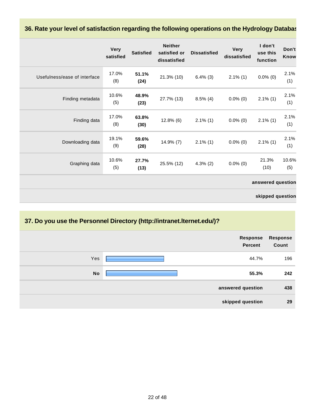#### **36. Rate your level of satisfaction regarding the following operations on the Hydrology Database.**

|                              | <b>Very</b><br>satisfied | <b>Satisfied</b> | <b>Neither</b><br>satisfied or<br>dissatisfied | <b>Dissatisfied</b> | <b>Very</b><br>dissatisfied | I don't<br>use this<br>function | Don't<br>Know |
|------------------------------|--------------------------|------------------|------------------------------------------------|---------------------|-----------------------------|---------------------------------|---------------|
| Usefulness/ease of interface | 17.0%<br>(8)             | 51.1%<br>(24)    | 21.3% (10)                                     | $6.4\%$ (3)         | $2.1\%$ (1)                 | $0.0\%$ (0)                     | 2.1%<br>(1)   |
| Finding metadata             | 10.6%<br>(5)             | 48.9%<br>(23)    | 27.7% (13)                                     | $8.5\%$ (4)         | $0.0\%$ (0)                 | $2.1\%$ (1)                     | 2.1%<br>(1)   |
| Finding data                 | 17.0%<br>(8)             | 63.8%<br>(30)    | $12.8\%$ (6)                                   | $2.1\%$ (1)         | $0.0\%$ (0)                 | $2.1\%$ (1)                     | 2.1%<br>(1)   |
| Downloading data             | 19.1%<br>(9)             | 59.6%<br>(28)    | 14.9% (7)                                      | $2.1\%$ (1)         | $0.0\%$ (0)                 | $2.1\%$ (1)                     | 2.1%<br>(1)   |
| Graphing data                | 10.6%<br>(5)             | 27.7%<br>(13)    | 25.5% (12)                                     | $4.3\%$ (2)         | $0.0\%$ (0)                 | 21.3%<br>(10)                   | 10.6%<br>(5)  |
|                              |                          |                  |                                                |                     |                             | answered question               |               |
|                              |                          |                  |                                                |                     |                             | skipped question                |               |

### **37. Do you use the Personnel Directory (http://intranet.lternet.edu/)?**

|           | Response<br>Percent | <b>Response</b><br>Count |
|-----------|---------------------|--------------------------|
| Yes       | 44.7%               | 196                      |
| <b>No</b> | 55.3%               | 242                      |
|           | answered question   | 438                      |
|           | skipped question    | 29                       |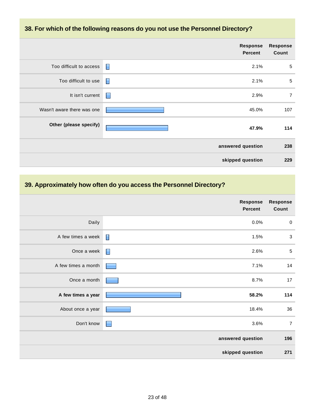#### **38. For which of the following reasons do you not use the Personnel Directory?**

|                            |   | Response<br><b>Percent</b> | <b>Response</b><br>Count |
|----------------------------|---|----------------------------|--------------------------|
| Too difficult to access    | П | 2.1%                       | $\sqrt{5}$               |
| Too difficult to use       | E | 2.1%                       | $\overline{5}$           |
| It isn't current           | Н | 2.9%                       | $\overline{7}$           |
| Wasn't aware there was one |   | 45.0%                      | 107                      |
| Other (please specify)     |   | 47.9%                      | 114                      |
|                            |   | answered question          | 238                      |
|                            |   | skipped question           | 229                      |

### **39. Approximately how often do you access the Personnel Directory?**

|                     | <b>Response</b><br><b>Percent</b> | <b>Response</b><br>Count |
|---------------------|-----------------------------------|--------------------------|
| Daily               | 0.0%                              | $\boldsymbol{0}$         |
| A few times a week  | $\blacksquare$<br>1.5%            | $\sqrt{3}$               |
| Once a week         | 2.6%<br>$\blacksquare$            | $\sqrt{5}$               |
| A few times a month | 7.1%                              | 14                       |
| Once a month        | 8.7%                              | 17                       |
| A few times a year  | 58.2%                             | 114                      |
| About once a year   | 18.4%                             | 36                       |
| Don't know          | 3.6%<br>▉                         | $\overline{7}$           |
|                     | answered question                 | 196                      |
|                     | skipped question                  | 271                      |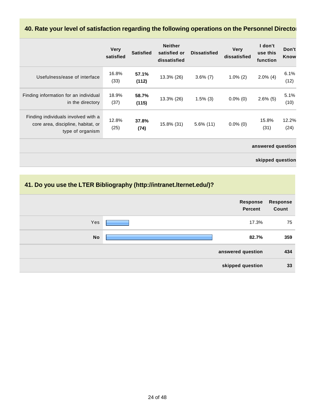#### 40. Rate your level of satisfaction regarding the following operations on the Personnel Director

|                                                                                               | <b>Very</b><br>satisfied | <b>Satisfied</b> | <b>Neither</b><br>satisfied or<br>dissatisfied | <b>Dissatisfied</b> | <b>Very</b><br>dissatisfied | I don't<br>use this<br>function | Don't<br>Know |
|-----------------------------------------------------------------------------------------------|--------------------------|------------------|------------------------------------------------|---------------------|-----------------------------|---------------------------------|---------------|
| Usefulness/ease of interface                                                                  | 16.8%<br>(33)            | 57.1%<br>(112)   | 13.3% (26)                                     | $3.6\%$ (7)         | $1.0\%$ (2)                 | $2.0\%$ (4)                     | 6.1%<br>(12)  |
| Finding information for an individual<br>in the directory                                     | 18.9%<br>(37)            | 58.7%<br>(115)   | 13.3% (26)                                     | $1.5\%$ (3)         | $0.0\%$ (0)                 | $2.6\%$ (5)                     | 5.1%<br>(10)  |
| Finding individuals involved with a<br>core area, discipline, habitat, or<br>type of organism | 12.8%<br>(25)            | 37.8%<br>(74)    | 15.8% (31)                                     | $5.6\%$ (11)        | $0.0\%$ (0)                 | 15.8%<br>(31)                   | 12.2%<br>(24) |
|                                                                                               |                          |                  |                                                |                     |                             | answered question               |               |
|                                                                                               |                          |                  |                                                |                     |                             | skipped question                |               |

### **41. Do you use the LTER Bibliography (http://intranet.lternet.edu/)?**

|           | <b>Response</b><br>Percent | <b>Response</b><br>Count |
|-----------|----------------------------|--------------------------|
| Yes       | 17.3%                      | 75                       |
| <b>No</b> | 82.7%                      | 359                      |
|           | answered question          | 434                      |
|           | skipped question           | 33                       |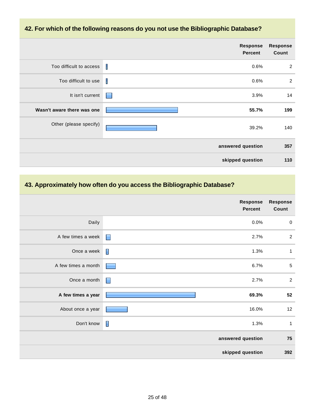#### **42. For which of the following reasons do you not use the Bibliographic Database?**

|                            | <b>Response</b><br><b>Percent</b> | <b>Response</b><br>Count |
|----------------------------|-----------------------------------|--------------------------|
| Too difficult to access    | 0.6%<br>H                         | $\overline{2}$           |
| Too difficult to use       | Ш<br>0.6%                         | $\overline{2}$           |
| It isn't current           | 3.9%<br>٠                         | 14                       |
| Wasn't aware there was one | 55.7%                             | 199                      |
| Other (please specify)     | 39.2%                             | 140                      |
|                            | answered question                 | 357                      |
|                            | skipped question                  | 110                      |

### **43. Approximately how often do you access the Bibliographic Database?**

|                     | <b>Response</b><br>Percent | <b>Response</b><br>Count |
|---------------------|----------------------------|--------------------------|
| Daily               | 0.0%                       | $\mathbf 0$              |
| A few times a week  | $\blacksquare$<br>2.7%     | $\sqrt{2}$               |
| Once a week         | $\blacksquare$<br>1.3%     | $\mathbf{1}$             |
| A few times a month | 6.7%                       | $\sqrt{5}$               |
| Once a month        | F<br>2.7%                  | $\overline{2}$           |
| A few times a year  | 69.3%                      | 52                       |
| About once a year   | 16.0%                      | 12                       |
| Don't know          | $\blacksquare$<br>1.3%     | $\mathbf{1}$             |
|                     | answered question          | 75                       |
|                     | skipped question           | 392                      |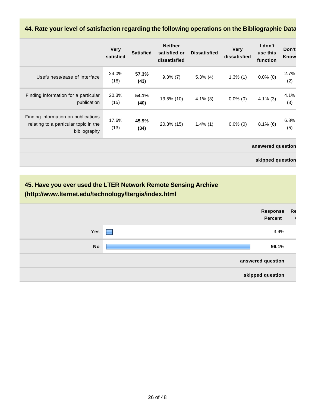# **44. Rate your level of satisfaction regarding the following operations on the Bibliographic Data**

|                                                                                              | <b>Very</b><br>satisfied | <b>Satisfied</b> | <b>Neither</b><br>satisfied or<br>dissatisfied | <b>Dissatisfied</b> | <b>Very</b><br>dissatisfied | I don't<br>use this<br>function | Don't<br>Know |
|----------------------------------------------------------------------------------------------|--------------------------|------------------|------------------------------------------------|---------------------|-----------------------------|---------------------------------|---------------|
| Usefulness/ease of interface                                                                 | 24.0%<br>(18)            | 57.3%<br>(43)    | $9.3\%$ (7)                                    | $5.3\%$ (4)         | $1.3\%$ (1)                 | $0.0\%$ (0)                     | 2.7%<br>(2)   |
| Finding information for a particular<br>publication                                          | 20.3%<br>(15)            | 54.1%<br>(40)    | 13.5% (10)                                     | $4.1\%$ (3)         | $0.0\%$ (0)                 | $4.1\%$ (3)                     | 4.1%<br>(3)   |
| Finding information on publications<br>relating to a particular topic in the<br>bibliography | 17.6%<br>(13)            | 45.9%<br>(34)    | 20.3% (15)                                     | $1.4\%$ (1)         | $0.0\%$ (0)                 | $8.1\%$ (6)                     | 6.8%<br>(5)   |
|                                                                                              |                          |                  |                                                |                     |                             | answered question               |               |
|                                                                                              |                          |                  |                                                |                     |                             | skipped question                |               |

| (http://www.lternet.edu/technology/ltergis/index.html | 45. Have you ever used the LTER Network Remote Sensing Archive |    |
|-------------------------------------------------------|----------------------------------------------------------------|----|
|                                                       | Response<br><b>Percent</b>                                     | Re |
|                                                       |                                                                |    |
| Yes                                                   | 3.9%                                                           |    |
| <b>No</b>                                             | 96.1%                                                          |    |
|                                                       | answered question                                              |    |
|                                                       | skipped question                                               |    |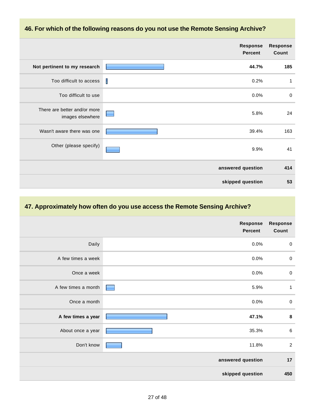#### **46. For which of the following reasons do you not use the Remote Sensing Archive?**

|                                                  |   | <b>Response</b><br><b>Percent</b> | <b>Response</b><br>Count |
|--------------------------------------------------|---|-----------------------------------|--------------------------|
| Not pertinent to my research                     |   | 44.7%                             | 185                      |
| Too difficult to access                          | I | 0.2%                              | 1                        |
| Too difficult to use                             |   | 0.0%                              | $\mathbf 0$              |
| There are better and/or more<br>images elsewhere |   | 5.8%                              | 24                       |
| Wasn't aware there was one                       |   | 39.4%                             | 163                      |
| Other (please specify)                           |   | 9.9%                              | 41                       |
|                                                  |   | answered question                 | 414                      |
|                                                  |   | skipped question                  | 53                       |

#### **47. Approximately how often do you use access the Remote Sensing Archive?**

|                     | <b>Response</b><br>Percent | <b>Response</b><br>Count |
|---------------------|----------------------------|--------------------------|
| Daily               | 0.0%                       | $\mathbf 0$              |
| A few times a week  | 0.0%                       | $\mathbf 0$              |
| Once a week         | 0.0%                       | $\mathbf 0$              |
| A few times a month | 5.9%                       | $\mathbf{1}$             |
| Once a month        | 0.0%                       | $\mathbf 0$              |
| A few times a year  | 47.1%                      | $\bf8$                   |
| About once a year   | 35.3%                      | $\,6$                    |
| Don't know          | 11.8%                      | $\overline{2}$           |
|                     | answered question          | 17                       |
|                     | skipped question           | 450                      |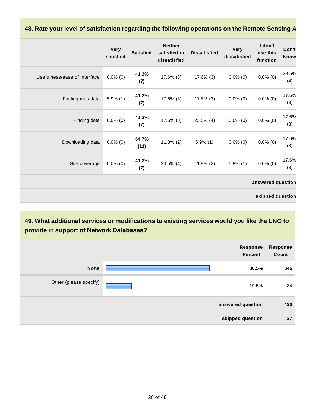#### **48. Rate your level of satisfaction regarding the following operations on the Remote Sensing A**

|                              | <b>Very</b><br>satisfied | <b>Satisfied</b> | <b>Neither</b><br>satisfied or<br>dissatisfied | <b>Dissatisfied</b> | <b>Very</b><br>dissatisfied | I don't<br>use this<br>function | Don't<br>Know |
|------------------------------|--------------------------|------------------|------------------------------------------------|---------------------|-----------------------------|---------------------------------|---------------|
| Usefulness/ease of interface | $0.0\%$ (0)              | 41.2%<br>(7)     | 17.6% (3)                                      | 17.6% (3)           | $0.0\%$ (0)                 | $0.0\%$ (0)                     | 23.5%<br>(4)  |
| Finding metadata             | $5.9\%$ (1)              | 41.2%<br>(7)     | 17.6% (3)                                      | 17.6% (3)           | $0.0\%$ (0)                 | $0.0\%$ (0)                     | 17.6%<br>(3)  |
| Finding data                 | $0.0\%$ (0)              | 41.2%<br>(7)     | 17.6% (3)                                      | $23.5\%$ (4)        | $0.0\%$ (0)                 | $0.0\%$ (0)                     | 17.6%<br>(3)  |
| Downloading data             | $0.0\%$ (0)              | 64.7%<br>(11)    | $11.8\%$ (2)                                   | $5.9\%$ (1)         | $0.0\%$ (0)                 | $0.0\%$ (0)                     | 17.6%<br>(3)  |
| Site coverage                | $0.0\%$ (0)              | 41.2%<br>(7)     | 23.5% (4)                                      | $11.8\%$ (2)        | $5.9\%$ (1)                 | $0.0\%$ (0)                     | 17.6%<br>(3)  |
|                              |                          |                  |                                                |                     |                             | answered question               |               |
|                              |                          |                  |                                                |                     |                             | skipped question                |               |

**49. What additional services or modifications to existing services would you like the LNO to provide in support of Network Databases?**

|                        | Response<br><b>Percent</b> | <b>Response</b><br>Count |
|------------------------|----------------------------|--------------------------|
| <b>None</b>            | 80.5%                      | 346                      |
| Other (please specify) | 19.5%                      | 84                       |
|                        | answered question          | 430                      |
|                        | skipped question           | 37                       |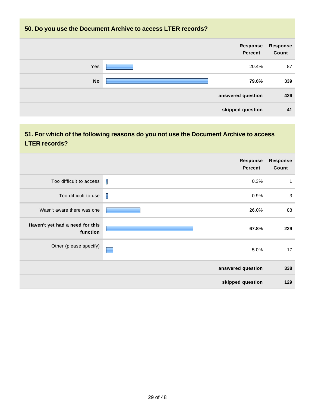#### **50. Do you use the Document Archive to access LTER records?**



### **51. For which of the following reasons do you not use the Document Archive to access LTER records?**

|                                             | <b>Response</b><br><b>Percent</b> | <b>Response</b><br>Count |
|---------------------------------------------|-----------------------------------|--------------------------|
| Too difficult to access                     | $\mathbf I$<br>0.3%               | $\mathbf{1}$             |
| Too difficult to use                        | I<br>0.9%                         | 3                        |
| Wasn't aware there was one                  | 26.0%                             | 88                       |
| Haven't yet had a need for this<br>function | 67.8%                             | 229                      |
| Other (please specify)                      | 5.0%                              | 17                       |
|                                             | answered question                 | 338                      |
|                                             | skipped question                  | 129                      |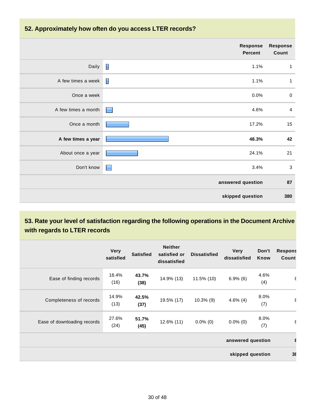#### **52. Approximately how often do you access LTER records?**

|                     | <b>Response</b><br><b>Percent</b> | <b>Response</b><br>Count |
|---------------------|-----------------------------------|--------------------------|
| Daily               | Γ<br>1.1%                         | $\mathbf{1}$             |
| A few times a week  | I<br>1.1%                         | $\mathbf{1}$             |
| Once a week         | 0.0%                              | $\pmb{0}$                |
| A few times a month | 4.6%<br><b>Contract</b>           | $\overline{4}$           |
| Once a month        | 17.2%                             | 15                       |
| A few times a year  | 48.3%                             | 42                       |
| About once a year   | 24.1%                             | 21                       |
| Don't know          | 3.4%<br>$\blacksquare$            | $\mathbf{3}$             |
|                     | answered question                 | 87                       |
|                     | skipped question                  | 380                      |

### **53. Rate your level of satisfaction regarding the following operations in the Document Archive with regards to LTER records**

|                             | <b>Very</b><br>satisfied | <b>Satisfied</b> | <b>Neither</b><br>satisfied or<br>dissatisfied | <b>Dissatisfied</b> | <b>Very</b><br>dissatisfied | Don't<br>Know | <b>Respons</b><br>Count |
|-----------------------------|--------------------------|------------------|------------------------------------------------|---------------------|-----------------------------|---------------|-------------------------|
| Ease of finding records     | 18.4%<br>(16)            | 43.7%<br>(38)    | 14.9% (13)                                     | $11.5\%$ (10)       | $6.9\%$ (6)                 | 4.6%<br>(4)   | $\epsilon$              |
| Completeness of records     | 14.9%<br>(13)            | 42.5%<br>(37)    | 19.5% (17)                                     | $10.3\%$ (9)        | $4.6\%$ (4)                 | 8.0%<br>(7)   | $\epsilon$              |
| Ease of downloading records | 27.6%<br>(24)            | 51.7%<br>(45)    | 12.6% (11)                                     | $0.0\%$ (0)         | $0.0\%$ (0)                 | 8.0%<br>(7)   | ε                       |
|                             |                          |                  |                                                |                     | answered question           |               |                         |
| skipped question            |                          |                  |                                                |                     |                             | $3\xi$        |                         |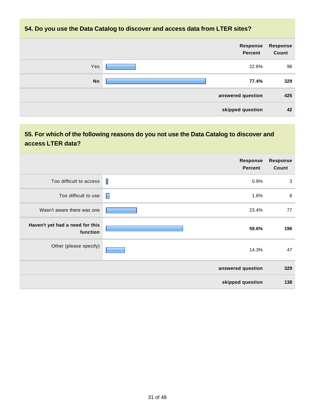#### **54. Do you use the Data Catalog to discover and access data from LTER sites?**

|           | Response<br>Percent | <b>Response</b><br>Count |
|-----------|---------------------|--------------------------|
| Yes       | 22.6%               | 96                       |
| <b>No</b> | 77.4%               | 329                      |
|           | answered question   | 425                      |
|           | skipped question    | 42                       |

### **55. For which of the following reasons do you not use the Data Catalog to discover and access LTER data?**

|                                             | <b>Response</b><br><b>Percent</b> | <b>Response</b><br>Count |
|---------------------------------------------|-----------------------------------|--------------------------|
| Too difficult to access                     | I<br>0.9%                         | 3                        |
| Too difficult to use                        | E<br>1.8%                         | 6                        |
| Wasn't aware there was one                  | 23.4%                             | 77                       |
| Haven't yet had a need for this<br>function | 59.6%                             | 196                      |
| Other (please specify)                      | 14.3%                             | 47                       |
|                                             | answered question                 | 329                      |
|                                             | skipped question                  | 138                      |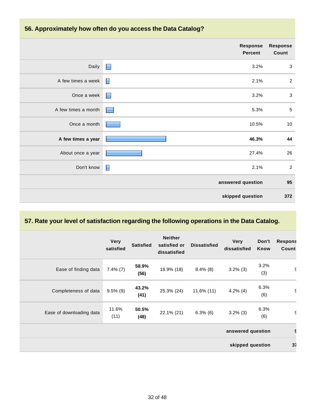#### **56. Approximately how often do you access the Data Catalog?**

|                     | <b>Response</b><br><b>Percent</b> | <b>Response</b><br>Count |
|---------------------|-----------------------------------|--------------------------|
| Daily               | $\Box$<br>3.2%                    | $\mathbf 3$              |
| A few times a week  | 2.1%                              | $\overline{2}$           |
| Once a week         | 3.2%<br>$\Box$                    | $\mathbf{3}$             |
| A few times a month | 5.3%                              | $\sqrt{5}$               |
| Once a month        | 10.5%                             | $10$                     |
| A few times a year  | 46.3%                             | 44                       |
| About once a year   | 27.4%                             | 26                       |
| Don't know          | $\blacksquare$<br>2.1%            | $\overline{2}$           |
|                     | answered question                 | 95                       |
|                     | skipped question                  | 372                      |

#### **57. Rate your level of satisfaction regarding the following operations in the Data Catalog.**

|                          | <b>Very</b><br>satisfied | <b>Satisfied</b> | <b>Neither</b><br>satisfied or<br>dissatisfied | <b>Dissatisfied</b> | <b>Very</b><br>dissatisfied | Don't<br>Know | <b>Respons</b><br>Count |
|--------------------------|--------------------------|------------------|------------------------------------------------|---------------------|-----------------------------|---------------|-------------------------|
| Ease of finding data     | $7.4\%$ (7)              | 58.9%<br>(56)    | 18.9% (18)                                     | $8.4\%$ (8)         | $3.2\%$ (3)                 | 3.2%<br>(3)   | £.                      |
| Completeness of data     | $9.5\%$ (9)              | 43.2%<br>(41)    | 25.3% (24)                                     | $11.6\%$ (11)       | $4.2\%$ (4)                 | 6.3%<br>(6)   | ć                       |
| Ease of downloading data | 11.6%<br>(11)            | 50.5%<br>(48)    | 22.1% (21)                                     | $6.3\%$ (6)         | $3.2\%$ (3)                 | 6.3%<br>(6)   | $\epsilon$              |
|                          |                          |                  |                                                |                     | answered question           |               |                         |
| skipped question         |                          |                  |                                                |                     |                             | 37            |                         |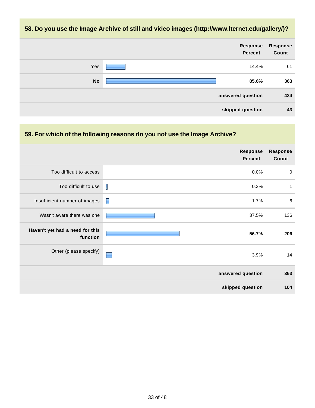#### **58. Do you use the Image Archive of still and video images (http://www.lternet.edu/gallery/)?**



#### **59. For which of the following reasons do you not use the Image Archive?**

|                                             | <b>Response</b><br><b>Percent</b> | <b>Response</b><br>Count |
|---------------------------------------------|-----------------------------------|--------------------------|
| Too difficult to access                     | 0.0%                              | $\mathbf 0$              |
| Too difficult to use                        | I<br>0.3%                         | $\mathbf{1}$             |
| Insufficient number of images               | $\blacksquare$<br>1.7%            | $6\phantom{1}6$          |
| Wasn't aware there was one                  | 37.5%                             | 136                      |
| Haven't yet had a need for this<br>function | 56.7%                             | 206                      |
| Other (please specify)                      | 3.9%<br>÷                         | 14                       |
|                                             | answered question                 | 363                      |
|                                             | skipped question                  | 104                      |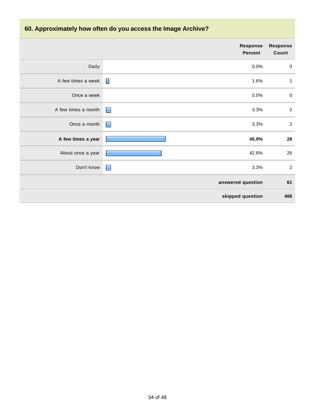# **60. Approximately how often do you access the Image Archive?**

|                     |                | Response<br><b>Percent</b> | <b>Response</b><br>Count |
|---------------------|----------------|----------------------------|--------------------------|
| Daily               |                | 0.0%                       | $\pmb{0}$                |
| A few times a week  | $\blacksquare$ | 1.6%                       | $\mathbf 1$              |
| Once a week         |                | 0.0%                       | $\pmb{0}$                |
| A few times a month | $\blacksquare$ | 3.3%                       | $\boldsymbol{2}$         |
| Once a month        | $\blacksquare$ | 3.3%                       | $\sqrt{2}$               |
| A few times a year  |                | 45.9%                      | 28                       |
| About once a year   |                | 42.6%                      | 26                       |
| Don't know          | E              | 3.3%                       | $\overline{2}$           |
|                     |                | answered question          | 61                       |
|                     |                | skipped question           | 406                      |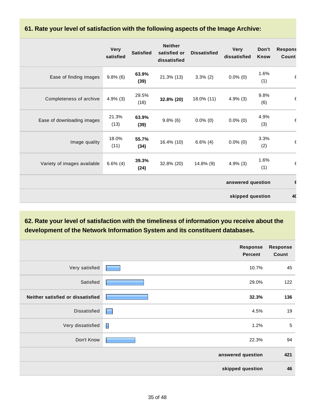#### **61. Rate your level of satisfaction with the following aspects of the Image Archive:**

|                             | <b>Very</b><br>satisfied | <b>Satisfied</b> | <b>Neither</b><br>satisfied or<br>dissatisfied | <b>Dissatisfied</b> | <b>Very</b><br>dissatisfied | Don't<br>Know | <b>Respons</b><br>Count |
|-----------------------------|--------------------------|------------------|------------------------------------------------|---------------------|-----------------------------|---------------|-------------------------|
| Ease of finding images      | $9.8\%$ (6)              | 63.9%<br>(39)    | $21.3\%$ (13)                                  | $3.3\%$ (2)         | $0.0\%$ (0)                 | 1.6%<br>(1)   | $\epsilon$              |
| Completeness of archive     | $4.9\%$ (3)              | 29.5%<br>(18)    | 32.8% (20)                                     | 18.0% (11)          | $4.9\%$ (3)                 | 9.8%<br>(6)   | $\epsilon$              |
| Ease of downloading images  | 21.3%<br>(13)            | 63.9%<br>(39)    | $9.8\%$ (6)                                    | $0.0\%$ (0)         | $0.0\%$ (0)                 | 4.9%<br>(3)   | $\epsilon$              |
| Image quality               | 18.0%<br>(11)            | 55.7%<br>(34)    | 16.4% (10)                                     | $6.6\%$ (4)         | $0.0\%$ (0)                 | 3.3%<br>(2)   | $\epsilon$              |
| Variety of images available | $6.6\%$ (4)              | 39.3%<br>(24)    | 32.8% (20)                                     | $14.8\%$ (9)        | $4.9\%$ (3)                 | 1.6%<br>(1)   | $\epsilon$              |
|                             |                          |                  |                                                |                     | answered question           |               |                         |
|                             |                          |                  |                                                |                     | skipped question            |               | 40                      |

### **62. Rate your level of satisfaction with the timeliness of information you receive about the development of the Network Information System and its constituent databases.**

|                                   | Response<br><b>Percent</b> | <b>Response</b><br>Count |
|-----------------------------------|----------------------------|--------------------------|
| Very satisfied                    | 10.7%                      | 45                       |
| Satisfied                         | 29.0%                      | 122                      |
| Neither satisfied or dissatisfied | 32.3%                      | 136                      |
| Dissatisfied                      | 4.5%<br>L                  | 19                       |
| Very dissatisfied                 | $\mathbb{R}$<br>1.2%       | $\sqrt{5}$               |
| Don't Know                        | 22.3%                      | 94                       |
|                                   | answered question          | 421                      |
|                                   | skipped question           | 46                       |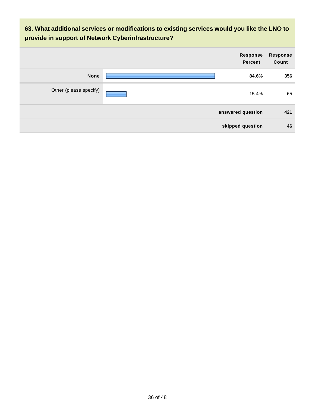**63. What additional services or modifications to existing services would you like the LNO to provide in support of Network Cyberinfrastructure?**

|                        | <b>Response</b><br>Percent | Response<br>Count |
|------------------------|----------------------------|-------------------|
| <b>None</b>            | 84.6%                      | 356               |
| Other (please specify) | 15.4%                      | 65                |
|                        | answered question          | 421               |
|                        | skipped question           | 46                |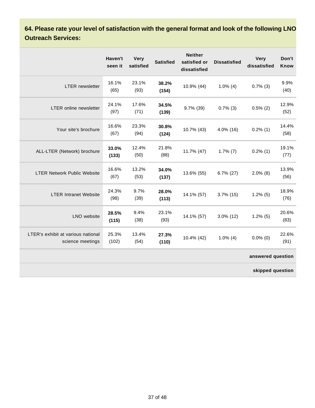**64. Please rate your level of satisfaction with the general format and look of the following LNO Outreach Services:**

|                                                        | Haven't<br>seen it | <b>Very</b><br>satisfied | <b>Satisfied</b> | <b>Neither</b><br>satisfied or<br>dissatisfied | <b>Dissatisfied</b> | <b>Very</b><br>dissatisfied | Don't<br>Know |
|--------------------------------------------------------|--------------------|--------------------------|------------------|------------------------------------------------|---------------------|-----------------------------|---------------|
| <b>LTER</b> newsletter                                 | 16.1%<br>(65)      | 23.1%<br>(93)            | 38.2%<br>(154)   | 10.9% (44)                                     | $1.0\%$ (4)         | $0.7\%$ (3)                 | 9.9%<br>(40)  |
| <b>LTER</b> online newsletter                          | 24.1%<br>(97)      | 17.6%<br>(71)            | 34.5%<br>(139)   | 9.7% (39)                                      | $0.7\%$ (3)         | $0.5\%$ (2)                 | 12.9%<br>(52) |
| Your site's brochure                                   | 16.6%<br>(67)      | 23.3%<br>(94)            | 30.8%<br>(124)   | 10.7% (43)                                     | 4.0% (16)           | $0.2\%$ (1)                 | 14.4%<br>(58) |
| ALL-LTER (Network) brochure                            | 33.0%<br>(133)     | 12.4%<br>(50)            | 21.8%<br>(88)    | 11.7% (47)                                     | $1.7\%$ (7)         | $0.2\%$ (1)                 | 19.1%<br>(77) |
| <b>LTER Network Public Website</b>                     | 16.6%<br>(67)      | 13.2%<br>(53)            | 34.0%<br>(137)   | 13.6% (55)                                     | $6.7\%$ (27)        | $2.0\%$ (8)                 | 13.9%<br>(56) |
| <b>LTER Intranet Website</b>                           | 24.3%<br>(98)      | 9.7%<br>(39)             | 28.0%<br>(113)   | 14.1% (57)                                     | $3.7\%$ (15)        | $1.2\%$ (5)                 | 18.9%<br>(76) |
| LNO website                                            | 28.5%<br>(115)     | 9.4%<br>(38)             | 23.1%<br>(93)    | 14.1% (57)                                     | $3.0\%$ (12)        | $1.2\%$ (5)                 | 20.6%<br>(83) |
| LTER's exhibit at various national<br>science meetings | 25.3%<br>(102)     | 13.4%<br>(54)            | 27.3%<br>(110)   | 10.4% (42)                                     | $1.0\%$ (4)         | $0.0\%$ (0)                 | 22.6%<br>(91) |
|                                                        |                    |                          |                  |                                                |                     | answered question           |               |
|                                                        |                    |                          |                  |                                                |                     | skipped question            |               |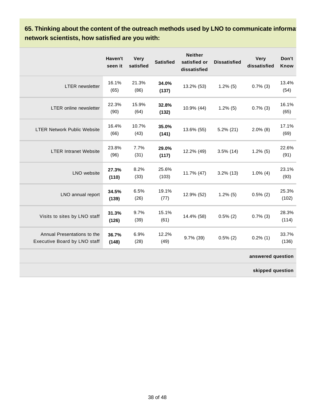65. Thinking about the content of the outreach methods used by LNO to communicate information. **network scientists, how satisfied are you with:**

|                                                             | Haven't<br>seen it | <b>Very</b><br>satisfied | <b>Satisfied</b> | <b>Neither</b><br>satisfied or<br>dissatisfied | <b>Dissatisfied</b> | <b>Very</b><br>dissatisfied | Don't<br>Know  |
|-------------------------------------------------------------|--------------------|--------------------------|------------------|------------------------------------------------|---------------------|-----------------------------|----------------|
| <b>LTER</b> newsletter                                      | 16.1%<br>(65)      | 21.3%<br>(86)            | 34.0%<br>(137)   | 13.2% (53)                                     | $1.2\%$ (5)         | $0.7\%$ (3)                 | 13.4%<br>(54)  |
| LTER online newsletter                                      | 22.3%<br>(90)      | 15.9%<br>(64)            | 32.8%<br>(132)   | 10.9% (44)                                     | $1.2\%$ (5)         | $0.7\%$ (3)                 | 16.1%<br>(65)  |
| <b>LTER Network Public Website</b>                          | 16.4%<br>(66)      | 10.7%<br>(43)            | 35.0%<br>(141)   | 13.6% (55)                                     | $5.2\%$ (21)        | $2.0\%$ (8)                 | 17.1%<br>(69)  |
| <b>LTER Intranet Website</b>                                | 23.8%<br>(96)      | 7.7%<br>(31)             | 29.0%<br>(117)   | 12.2% (49)                                     | $3.5\%$ (14)        | $1.2\%$ (5)                 | 22.6%<br>(91)  |
| LNO website                                                 | 27.3%<br>(110)     | 8.2%<br>(33)             | 25.6%<br>(103)   | 11.7% (47)                                     | $3.2\%$ (13)        | $1.0\%$ (4)                 | 23.1%<br>(93)  |
| LNO annual report                                           | 34.5%<br>(139)     | 6.5%<br>(26)             | 19.1%<br>(77)    | 12.9% (52)                                     | $1.2\%$ (5)         | $0.5\%$ (2)                 | 25.3%<br>(102) |
| Visits to sites by LNO staff                                | 31.3%<br>(126)     | 9.7%<br>(39)             | 15.1%<br>(61)    | 14.4% (58)                                     | $0.5\%$ (2)         | $0.7\%$ (3)                 | 28.3%<br>(114) |
| Annual Presentations to the<br>Executive Board by LNO staff | 36.7%<br>(148)     | 6.9%<br>(28)             | 12.2%<br>(49)    | 9.7% (39)                                      | $0.5\%$ (2)         | $0.2\%$ (1)                 | 33.7%<br>(136) |
|                                                             |                    |                          |                  |                                                |                     | answered question           |                |
|                                                             |                    |                          |                  |                                                |                     |                             |                |

**skipped question**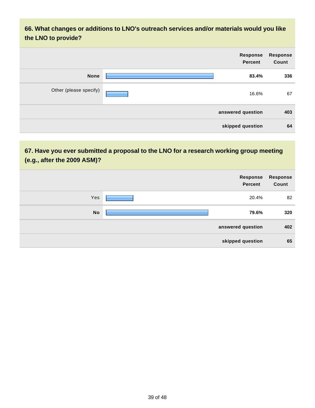### **66. What changes or additions to LNO's outreach services and/or materials would you like the LNO to provide?**

| <b>Response</b><br>Count | Response<br>Percent |                        |
|--------------------------|---------------------|------------------------|
| 336                      | 83.4%               | <b>None</b>            |
| 67                       | 16.6%               | Other (please specify) |
| 403                      | answered question   |                        |
| 64                       | skipped question    |                        |

### **67. Have you ever submitted a proposal to the LNO for a research working group meeting (e.g., after the 2009 ASM)?**

|           | Response<br>Percent | Response<br>Count |
|-----------|---------------------|-------------------|
| Yes       | 20.4%               | 82                |
| <b>No</b> | 79.6%               | 320               |
|           | answered question   | 402               |
|           | skipped question    | 65                |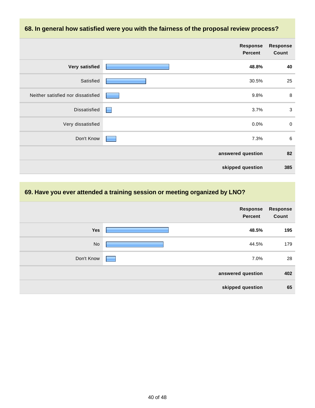# **68. In general how satisfied were you with the fairness of the proposal review process? Response Percent Response Count Very satisfied 48.8% 40** Satisfied **30.5%** 25 Neither satisfied nor dissatisfied **1990** 8 8 8 8 8 9.8% Dissatisfied 1.3.7% 3.7% Very dissatisfied 0.0% 0 Don't Know **6** and the control of the control of the control of the control of the control of the control of the control of the control of the control of the control of the control of the control of the control of the cont **answered question 82 skipped question 385**

#### **69. Have you ever attended a training session or meeting organized by LNO?**

|            | Response<br>Percent | Response<br>Count |
|------------|---------------------|-------------------|
| <b>Yes</b> | 48.5%               | 195               |
| No         | 44.5%               | 179               |
| Don't Know | 7.0%                | 28                |
|            | answered question   | 402               |
|            | skipped question    | 65                |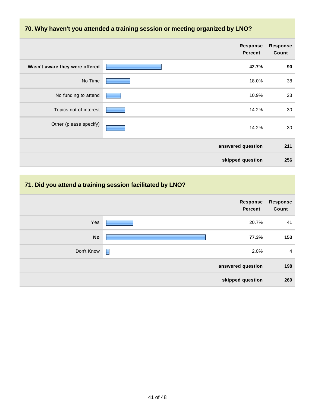#### **70. Why haven't you attended a training session or meeting organized by LNO?**

|                                | Response<br><b>Percent</b> | <b>Response</b><br>Count |
|--------------------------------|----------------------------|--------------------------|
| Wasn't aware they were offered | 42.7%                      | 90                       |
| No Time                        | 18.0%                      | 38                       |
| No funding to attend           | 10.9%                      | 23                       |
| Topics not of interest         | 14.2%                      | 30                       |
| Other (please specify)         | 14.2%                      | 30                       |
|                                | answered question          | 211                      |
|                                | skipped question           | 256                      |

#### **71. Did you attend a training session facilitated by LNO?**

|            |        | <b>Response</b><br><b>Percent</b> | Response<br>Count |
|------------|--------|-----------------------------------|-------------------|
| Yes        |        | 20.7%                             | 41                |
| <b>No</b>  |        | 77.3%                             | 153               |
| Don't Know | $\Box$ | 2.0%                              | $\overline{4}$    |
|            |        | answered question                 | 198               |
|            |        | skipped question                  | 269               |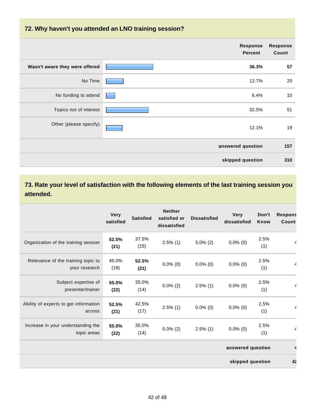#### **72. Why haven't you attended an LNO training session?**

|                                | Response<br><b>Percent</b> | <b>Response</b><br>Count |
|--------------------------------|----------------------------|--------------------------|
| Wasn't aware they were offered | 36.3%                      | 57                       |
| No Time                        | 12.7%                      | 20                       |
| No funding to attend           | 6.4%                       | 10                       |
| Topics not of interest         | 32.5%                      | 51                       |
| Other (please specify)         | 12.1%                      | 19                       |
|                                | answered question          | 157                      |
|                                | skipped question           | 310                      |

**73. Rate your level of satisfaction with the following elements of the last training session you attended.**

|                                                     | <b>Very</b><br>satisfied | <b>Satisfied</b> | <b>Neither</b><br>satisfied or<br>dissatisfied | <b>Dissatisfied</b> | <b>Very</b><br>dissatisfied | Don't<br><b>Know</b> | <b>Respons</b><br>Count  |
|-----------------------------------------------------|--------------------------|------------------|------------------------------------------------|---------------------|-----------------------------|----------------------|--------------------------|
| Organization of the training session                | 52.5%<br>(21)            | 37.5%<br>(15)    | $2.5\%$ (1)                                    | $5.0\%$ (2)         | $0.0\%$ (0)                 | 2.5%<br>(1)          | $\angle$                 |
| Relevance of the training topic to<br>your research | 45.0%<br>(18)            | 52.5%<br>(21)    | $0.0\%$ (0)                                    | $0.0\%$ (0)         | $0.0\%$ (0)                 | 2.5%<br>(1)          | $\overline{\phantom{a}}$ |
| Subject expertise of<br>presenter/trainer           | 55.0%<br>(22)            | 35.0%<br>(14)    | $5.0\%$ (2)                                    | $2.5\%$ (1)         | $0.0\%$ (0)                 | 2.5%<br>(1)          | $\angle$                 |
| Ability of experts to get information<br>across     | 52.5%<br>(21)            | 42.5%<br>(17)    | $2.5\%$ (1)                                    | $0.0\%$ (0)         | $0.0\%$ (0)                 | 2.5%<br>(1)          | $\overline{A}$           |
| Increase in your understanding the<br>topic areas   | 55.0%<br>(22)            | 35.0%<br>(14)    | $5.0\%$ (2)                                    | $2.5\%$ (1)         | $0.0\%$ (0)                 | 2.5%<br>(1)          | $\overline{\mathcal{L}}$ |
|                                                     |                          |                  |                                                |                     | answered question           |                      |                          |
|                                                     |                          |                  |                                                |                     | skipped question            |                      | 4 <sub>2</sub>           |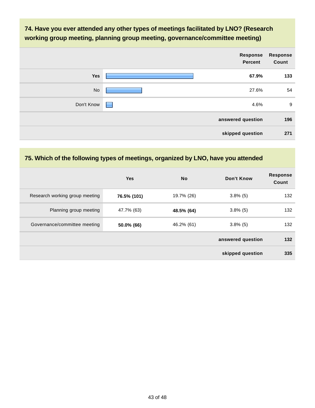### **74. Have you ever attended any other types of meetings facilitated by LNO? (Research working group meeting, planning group meeting, governance/committee meeting)**

|            | Response<br><b>Percent</b> | <b>Response</b><br>Count |
|------------|----------------------------|--------------------------|
| Yes        | 67.9%                      | 133                      |
| <b>No</b>  | 27.6%                      | 54                       |
| Don't Know | 4.6%<br>۰                  | 9                        |
|            | answered question          | 196                      |
|            | skipped question           | 271                      |

#### **75. Which of the following types of meetings, organized by LNO, have you attended**

|                                | <b>Yes</b>  | <b>No</b>  | Don't Know        | <b>Response</b><br>Count |
|--------------------------------|-------------|------------|-------------------|--------------------------|
| Research working group meeting | 76.5% (101) | 19.7% (26) | $3.8\%$ (5)       | 132                      |
| Planning group meeting         | 47.7% (63)  | 48.5% (64) | $3.8\%$ (5)       | 132                      |
| Governance/committee meeting   | 50.0% (66)  | 46.2% (61) | $3.8\%$ (5)       | 132                      |
|                                |             |            | answered question | 132                      |
|                                |             |            | skipped question  | 335                      |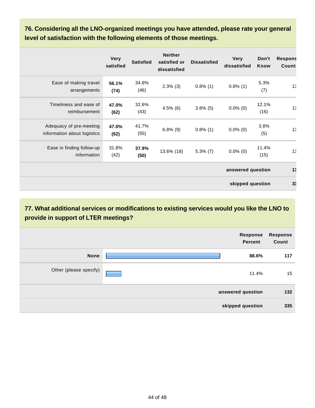**76. Considering all the LNO-organized meetings you have attended, please rate your general level of satisfaction with the following elements of those meetings.**

|                                                        | <b>Very</b><br>satisfied | <b>Satisfied</b> | <b>Neither</b><br>satisfied or<br>dissatisfied | <b>Dissatisfied</b> | <b>Very</b><br>dissatisfied | Don't<br>Know | <b>Respons</b><br>Count |
|--------------------------------------------------------|--------------------------|------------------|------------------------------------------------|---------------------|-----------------------------|---------------|-------------------------|
| Ease of making travel<br>arrangements                  | 56.1%<br>(74)            | 34.8%<br>(46)    | $2.3\%$ (3)                                    | $0.8\%$ (1)         | $0.8\%$ (1)                 | 5.3%<br>(7)   | 13 <sup>°</sup>         |
| Timeliness and ease of<br>reimbursement                | 47.0%<br>(62)            | 32.6%<br>(43)    | $4.5\%$ (6)                                    | $3.8\%$ (5)         | $0.0\%$ (0)                 | 12.1%<br>(16) | 15                      |
| Adequacy of pre-meeting<br>information about logistics | 47.0%<br>(62)            | 41.7%<br>(55)    | $6.8\%$ (9)                                    | $0.8\%$ (1)         | $0.0\%$ (0)                 | 3.8%<br>(5)   | 13                      |
| Ease in finding follow-up<br>information               | 31.8%<br>(42)            | 37.9%<br>(50)    | 13.6% (18)                                     | $5.3\%$ (7)         | $0.0\%$ (0)                 | 11.4%<br>(15) | 15                      |
|                                                        |                          |                  |                                                |                     | answered question           |               | 13                      |
|                                                        |                          |                  |                                                |                     | skipped question            |               | 3 <sup>°</sup>          |

**77. What additional services or modifications to existing services would you like the LNO to provide in support of LTER meetings?**

|                        | <b>Response</b><br>Percent | <b>Response</b><br>Count |
|------------------------|----------------------------|--------------------------|
| <b>None</b>            | 88.6%                      | 117                      |
| Other (please specify) | 11.4%                      | 15                       |
|                        | answered question          | 132                      |
|                        | skipped question           | 335                      |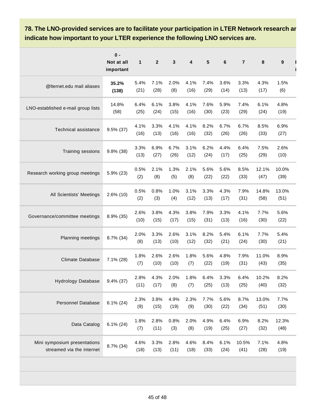### **78. The LNO-provided services are to facilitate your participation in LTER Network research ar indicate how important to your LTER experience the following LNO services are.**

|                                                           | $0 -$<br>Not at all<br>important | 1            | $\boldsymbol{2}$ | 3            | 4            | 5            | 6            | $\overline{7}$ | 8             | $\boldsymbol{9}$ |
|-----------------------------------------------------------|----------------------------------|--------------|------------------|--------------|--------------|--------------|--------------|----------------|---------------|------------------|
| @Iternet.edu mail aliases                                 | 35.2%<br>(138)                   | 5.4%<br>(21) | 7.1%<br>(28)     | 2.0%<br>(8)  | 4.1%<br>(16) | 7.4%<br>(29) | 3.6%<br>(14) | 3.3%<br>(13)   | 4.3%<br>(17)  | 1.5%<br>(6)      |
| LNO-established e-mail group lists                        | 14.8%<br>(58)                    | 6.4%<br>(25) | 6.1%<br>(24)     | 3.8%<br>(15) | 4.1%<br>(16) | 7.6%<br>(30) | 5.9%<br>(23) | 7.4%<br>(29)   | 6.1%<br>(24)  | 4.8%<br>(19)     |
| Technical assistance                                      | 9.5% (37)                        | 4.1%<br>(16) | 3.3%<br>(13)     | 4.1%<br>(16) | 4.1%<br>(16) | 8.2%<br>(32) | 6.7%<br>(26) | 6.7%<br>(26)   | 8.5%<br>(33)  | 6.9%<br>(27)     |
| Training sessions                                         | 9.8% (38)                        | 3.3%<br>(13) | 6.9%<br>(27)     | 6.7%<br>(26) | 3.1%<br>(12) | 6.2%<br>(24) | 4.4%<br>(17) | 6.4%<br>(25)   | 7.5%<br>(29)  | 2.6%<br>(10)     |
| Research working group meetings                           | 5.9% (23)                        | 0.5%<br>(2)  | 2.1%<br>(8)      | 1.3%<br>(5)  | 2.1%<br>(8)  | 5.6%<br>(22) | 5.6%<br>(22) | 8.5%<br>(33)   | 12.1%<br>(47) | 10.0%<br>(39)    |
| All Scientists' Meetings                                  | 2.6% (10)                        | 0.5%<br>(2)  | 0.8%<br>(3)      | 1.0%<br>(4)  | 3.1%<br>(12) | 3.3%<br>(13) | 4.3%<br>(17) | 7.9%<br>(31)   | 14.8%<br>(58) | 13.0%<br>(51)    |
| Governance/committee meetings                             | 8.9% (35)                        | 2.6%<br>(10) | 3.8%<br>(15)     | 4.3%<br>(17) | 3.8%<br>(15) | 7.9%<br>(31) | 3.3%<br>(13) | 4.1%<br>(16)   | 7.7%<br>(30)  | 5.6%<br>(22)     |
| Planning meetings                                         | 8.7% (34)                        | 2.0%<br>(8)  | 3.3%<br>(13)     | 2.6%<br>(10) | 3.1%<br>(12) | 8.2%<br>(32) | 5.4%<br>(21) | 6.1%<br>(24)   | 7.7%<br>(30)  | 5.4%<br>(21)     |
| <b>Climate Database</b>                                   | 7.1% (28)                        | 1.8%<br>(7)  | 2.6%<br>(10)     | 2.6%<br>(10) | 1.8%<br>(7)  | 5.6%<br>(22) | 4.8%<br>(19) | 7.9%<br>(31)   | 11.0%<br>(43) | 8.9%<br>(35)     |
| <b>Hydrology Database</b>                                 | $9.4\%$ (37)                     | 2.8%<br>(11) | 4.3%<br>(17)     | 2.0%<br>(8)  | 1.8%<br>(7)  | 6.4%<br>(25) | 3.3%<br>(13) | 6.4%<br>(25)   | 10.2%<br>(40) | 8.2%<br>(32)     |
| Personnel Database                                        | $6.1\%$ (24)                     | 2.3%<br>(9)  | 3.8%<br>(15)     | 4.9%<br>(19) | 2.3%<br>(9)  | 7.7%<br>(30) | 5.6%<br>(22) | 8.7%<br>(34)   | 13.0%<br>(51) | 7.7%<br>(30)     |
| Data Catalog                                              | $6.1\% (24)$                     | 1.8%<br>(7)  | 2.8%<br>(11)     | 0.8%<br>(3)  | 2.0%<br>(8)  | 4.9%<br>(19) | 6.4%<br>(25) | 6.9%<br>(27)   | 8.2%<br>(32)  | 12.3%<br>(48)    |
| Mini symposium presentations<br>streamed via the internet | 8.7% (34)                        | 4.6%<br>(18) | 3.3%<br>(13)     | 2.8%<br>(11) | 4.6%<br>(18) | 8.4%<br>(33) | 6.1%<br>(24) | 10.5%<br>(41)  | 7.1%<br>(28)  | 4.8%<br>(19)     |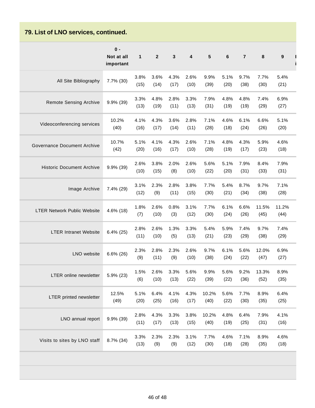## **79. List of LNO services, continued.**

|                                    | $0 -$<br>Not at all<br>important | $\mathbf{1}$ | $\overline{\mathbf{2}}$ | $\mathbf{3}$ | 4            | 5             | 6            | $\overline{\mathbf{r}}$ | 8             | 9             |
|------------------------------------|----------------------------------|--------------|-------------------------|--------------|--------------|---------------|--------------|-------------------------|---------------|---------------|
| All Site Bibliography              | 7.7% (30)                        | 3.8%<br>(15) | 3.6%<br>(14)            | 4.3%<br>(17) | 2.6%<br>(10) | 9.9%<br>(39)  | 5.1%<br>(20) | 9.7%<br>(38)            | 7.7%<br>(30)  | 5.4%<br>(21)  |
| <b>Remote Sensing Archive</b>      | 9.9% (39)                        | 3.3%<br>(13) | 4.8%<br>(19)            | 2.8%<br>(11) | 3.3%<br>(13) | 7.9%<br>(31)  | 4.8%<br>(19) | 4.8%<br>(19)            | 7.4%<br>(29)  | 6.9%<br>(27)  |
| Videoconferencing services         | 10.2%<br>(40)                    | 4.1%<br>(16) | 4.3%<br>(17)            | 3.6%<br>(14) | 2.8%<br>(11) | 7.1%<br>(28)  | 4.6%<br>(18) | 6.1%<br>(24)            | 6.6%<br>(26)  | 5.1%<br>(20)  |
| Governance Document Archive        | 10.7%<br>(42)                    | 5.1%<br>(20) | 4.1%<br>(16)            | 4.3%<br>(17) | 2.6%<br>(10) | 7.1%<br>(28)  | 4.8%<br>(19) | 4.3%<br>(17)            | 5.9%<br>(23)  | 4.6%<br>(18)  |
| <b>Historic Document Archive</b>   | 9.9% (39)                        | 2.6%<br>(10) | 3.8%<br>(15)            | 2.0%<br>(8)  | 2.6%<br>(10) | 5.6%<br>(22)  | 5.1%<br>(20) | 7.9%<br>(31)            | 8.4%<br>(33)  | 7.9%<br>(31)  |
| Image Archive                      | 7.4% (29)                        | 3.1%<br>(12) | 2.3%<br>(9)             | 2.8%<br>(11) | 3.8%<br>(15) | 7.7%<br>(30)  | 5.4%<br>(21) | 8.7%<br>(34)            | 9.7%<br>(38)  | 7.1%<br>(28)  |
| <b>LTER Network Public Website</b> | 4.6% (18)                        | 1.8%<br>(7)  | 2.6%<br>(10)            | 0.8%<br>(3)  | 3.1%<br>(12) | 7.7%<br>(30)  | 6.1%<br>(24) | 6.6%<br>(26)            | 11.5%<br>(45) | 11.2%<br>(44) |
| <b>LTER Intranet Website</b>       | $6.4\%$ (25)                     | 2.8%<br>(11) | 2.6%<br>(10)            | 1.3%<br>(5)  | 3.3%<br>(13) | 5.4%<br>(21)  | 5.9%<br>(23) | 7.4%<br>(29)            | 9.7%<br>(38)  | 7.4%<br>(29)  |
| LNO website                        | $6.6\%$ (26)                     | 2.3%<br>(9)  | 2.8%<br>(11)            | 2.3%<br>(9)  | 2.6%<br>(10) | 9.7%<br>(38)  | 6.1%<br>(24) | 5.6%<br>(22)            | 12.0%<br>(47) | 6.9%<br>(27)  |
| LTER online newsletter             | 5.9% (23)                        | 1.5%<br>(6)  | 2.6%<br>(10)            | 3.3%<br>(13) | 5.6%<br>(22) | 9.9%<br>(39)  | 5.6%<br>(22) | 9.2%<br>(36)            | 13.3%<br>(52) | 8.9%<br>(35)  |
| LTER printed newsletter            | 12.5%<br>(49)                    | 5.1%<br>(20) | 6.4%<br>(25)            | 4.1%<br>(16) | 4.3%<br>(17) | 10.2%<br>(40) | 5.6%<br>(22) | 7.7%<br>(30)            | 8.9%<br>(35)  | 6.4%<br>(25)  |
| LNO annual report                  | 9.9% (39)                        | 2.8%<br>(11) | 4.3%<br>(17)            | 3.3%<br>(13) | 3.8%<br>(15) | 10.2%<br>(40) | 4.8%<br>(19) | 6.4%<br>(25)            | 7.9%<br>(31)  | 4.1%<br>(16)  |
| Visits to sites by LNO staff       | 8.7% (34)                        | 3.3%<br>(13) | 2.3%<br>(9)             | 2.3%<br>(9)  | 3.1%<br>(12) | 7.7%<br>(30)  | 4.6%<br>(18) | 7.1%<br>(28)            | 8.9%<br>(35)  | 4.6%<br>(18)  |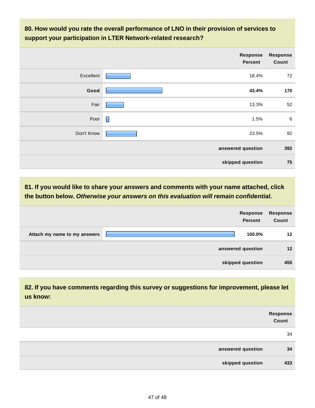**80. How would you rate the overall performance of LNO in their provision of services to support your participation in LTER Network-related research?**

|            | Response<br><b>Percent</b> | <b>Response</b><br>Count |
|------------|----------------------------|--------------------------|
| Excellent  | 18.4%                      | 72                       |
| Good       | 43.4%                      | 170                      |
| Fair       | 13.3%                      | 52                       |
| Poor       | 1.5%                       | 6                        |
| Don't Know | 23.5%                      | 92                       |
|            | answered question          | 392                      |
|            | skipped question           | 75                       |

**81. If you would like to share your answers and comments with your name attached, click the button below. Otherwise your answers on this evaluation will remain confidential.**

|                              | <b>Response</b><br>Percent | <b>Response</b><br>Count |
|------------------------------|----------------------------|--------------------------|
| Attach my name to my answers | 100.0%                     | $12 \,$                  |
|                              | answered question          | $12 \overline{ }$        |
|                              | skipped question           | 455                      |

**82. If you have comments regarding this survey or suggestions for improvement, please let us know:** 

|                   | Response<br>Count |
|-------------------|-------------------|
|                   | 34                |
| answered question | 34                |
| skipped question  | 433               |